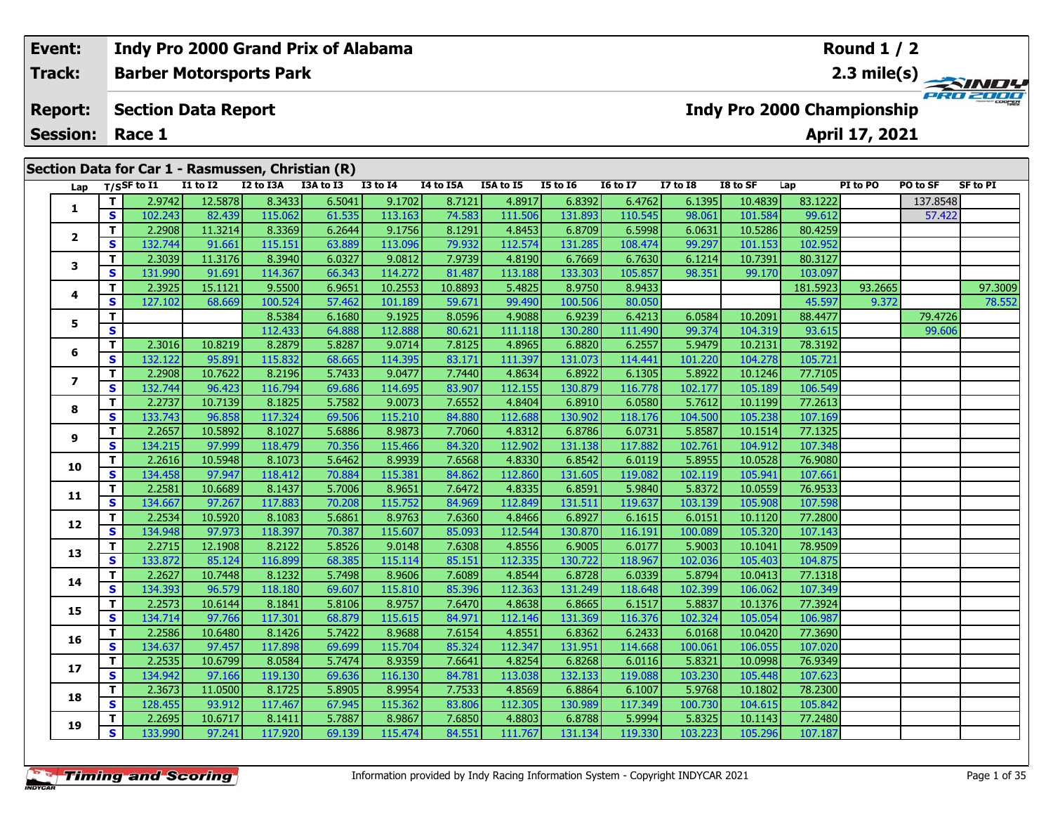| Event:          |    |                             |          | Indy Pro 2000 Grand Prix of Alabama               |           |              |           |           | Round $1/2$     |                 |          |                                   |          |                |          |                           |
|-----------------|----|-----------------------------|----------|---------------------------------------------------|-----------|--------------|-----------|-----------|-----------------|-----------------|----------|-----------------------------------|----------|----------------|----------|---------------------------|
| <b>Track:</b>   |    |                             |          | <b>Barber Motorsports Park</b>                    |           |              |           |           |                 |                 |          |                                   |          |                |          | 2.3 mile(s) $\frac{1}{2}$ |
| <b>Report:</b>  |    | <b>Section Data Report</b>  |          |                                                   |           |              |           |           |                 |                 |          | <b>Indy Pro 2000 Championship</b> |          |                |          | PRO 2000                  |
| <b>Session:</b> |    | Race 1                      |          |                                                   |           |              |           |           |                 |                 |          |                                   |          | April 17, 2021 |          |                           |
|                 |    |                             |          | Section Data for Car 1 - Rasmussen, Christian (R) |           |              |           |           |                 |                 |          |                                   |          |                |          |                           |
| Lap             |    | $T/S$ SF to $\overline{11}$ | I1 to I2 | I2 to I3A                                         | I3A to I3 | $I3$ to $I4$ | I4 to I5A | I5A to I5 | <b>I5 to I6</b> | <b>16 to 17</b> | I7 to I8 | I8 to SF                          | Lap      | PI to PO       | PO to SF | <b>SF to PI</b>           |
|                 |    | 2.9742                      | 12.5878  | 8.3433                                            | 6.5041    | 9.1702       | 8.7121    | 4.8917    | 6.8392          | 6.4762          | 6.1395   | 10.4839                           | 83.1222  |                | 137.8548 |                           |
|                 | S  | 102.243                     | 82.439   | 115.062                                           | 61.535    | 113.163      | 74.583    | 111.506   | 131.893         | 110.545         | 98.061   | 101.584                           | 99.612   |                | 57.422   |                           |
|                 |    | 2.2908                      | 11.3214  | 8.3369                                            | 6.2644    | 9.1756       | 8.1291    | 4.8453    | 6.8709          | 6.5998          | 6.0631   | 10.5286                           | 80.4259  |                |          |                           |
| $\mathbf{2}$    | S  | 132.744                     | 91.661   | 115.151                                           | 63.889    | 113.096      | 79.932    | 112.574   | 131.285         | 108.474         | 99.297   | 101.153                           | 102.952  |                |          |                           |
| 3               | т  | 2.3039                      | 11.3176  | 8.3940                                            | 6.0327    | 9.0812       | 7.9739    | 4.8190    | 6.7669          | 6.7630          | 6.1214   | 10.7391                           | 80.3127  |                |          |                           |
|                 | S  | 131.990                     | 91.691   | 114.367                                           | 66.343    | 114.272      | 81.487    | 113.188   | 133.303         | 105.857         | 98.351   | 99.170                            | 103.097  |                |          |                           |
| 4               |    | 2.3925                      | 15.1121  | 9.5500                                            | 6.9651    | 10.2553      | 10.8893   | 5.4825    | 8.9750          | 8.9433          |          |                                   | 181.5923 | 93.2665        |          | 97.3009                   |
|                 | S  | 127.102                     | 68.669   | 100.524                                           | 57.462    | 101.189      | 59.671    | 99.490    | 100.506         | 80.050          |          |                                   | 45.597   | 9.372          |          | 78.552                    |
| 5               |    |                             |          | 8.5384                                            | 6.1680    | 9.1925       | 8.0596    | 4.9088    | 6.9239          | 6.4213          | 6.0584   | 10.2091                           | 88.4477  |                | 79.4726  |                           |
|                 | S  |                             |          | 112.433                                           | 64.888    | 112.888      | 80.621    | 111.118   | 130.280         | 111.490         | 99.374   | 104.319                           | 93.615   |                | 99.606   |                           |
| 6               | т  | 2.3016                      | 10.8219  | 8.2879                                            | 5.8287    | 9.0714       | 7.8125    | 4.8965    | 6.8820          | 6.2557          | 5.9479   | 10.2131                           | 78.3192  |                |          |                           |
|                 | S. | 132.122                     | 95.891   | 115.832 l                                         | 68.665    | 114.395      | 83.171    | 111.397   | 131.073         |                 | 101.220  | 104.278                           | 105.721  |                |          |                           |

**<sup>T</sup>** 2.2908 10.7622 8.2196 5.7433 9.0477 7.7440 4.8634 6.8922 6.1305 5.8922 10.1246 77.7105 **<sup>S</sup>** 132.744 96.423 116.794 69.686 114.695 83.907 112.155 130.879 116.778 102.177 105.189 106.549

**<sup>T</sup>** 2.2737 10.7139 8.1825 5.7582 9.0073 7.6552 4.8404 6.8910 6.0580 5.7612 10.1199 77.2613 **<sup>S</sup>** 133.743 96.858 117.324 69.506 115.210 84.880 112.688 130.902 118.176 104.500 105.238 107.169

**<sup>T</sup>** 2.2657 10.5892 8.1027 5.6886 8.9873 7.7060 4.8312 6.8786 6.0731 5.8587 10.1514 77.1325 **<sup>S</sup>** 134.215 97.999 118.479 70.356 115.466 84.320 112.902 131.138 117.882 102.761 104.912 107.348

**<sup>T</sup>** 2.2616 10.5948 8.1073 5.6462 8.9939 7.6568 4.8330 6.8542 6.0119 5.8955 10.0528 76.9080 **<sup>S</sup>** 134.458 97.947 118.412 70.884 115.381 84.862 112.860 131.605 119.082 102.119 105.941 107.661

**<sup>T</sup>** 2.2581 10.6689 8.1437 5.7006 8.9651 7.6472 4.8335 6.8591 5.9840 5.8372 10.0559 76.9533 **<sup>S</sup>** 134.667 97.267 117.883 70.208 115.752 84.969 112.849 131.511 119.637 103.139 105.908 107.598

**<sup>T</sup>** 2.2534 10.5920 8.1083 5.6861 8.9763 7.6360 4.8466 6.8927 6.1615 6.0151 10.1120 77.2800 **<sup>S</sup>** 134.948 97.973 118.397 70.387 115.607 85.093 112.544 130.870 116.191 100.089 105.320 107.143

**<sup>T</sup>** 2.2715 12.1908 8.2122 5.8526 9.0148 7.6308 4.8556 6.9005 6.0177 5.9003 10.1041 78.9509 **<sup>S</sup>** 133.872 85.124 116.899 68.385 115.114 85.151 112.335 130.722 118.967 102.036 105.403 104.875

**<sup>T</sup>** 2.2627 10.7448 8.1232 5.7498 8.9606 7.6089 4.8544 6.8728 6.0339 5.8794 10.0413 77.1318 **<sup>S</sup>** 134.393 96.579 118.180 69.607 115.810 85.396 112.363 131.249 118.648 102.399 106.062 107.349

**<sup>T</sup>** 2.2573 10.6144 8.1841 5.8106 8.9757 7.6470 4.8638 6.8665 6.1517 5.8837 10.1376 77.3924 **<sup>S</sup>** 134.714 97.766 117.301 68.879 115.615 84.971 112.146 131.369 116.376 102.324 105.054 106.987

**<sup>T</sup>** 2.2586 10.6480 8.1426 5.7422 8.9688 7.6154 4.8551 6.8362 6.2433 6.0168 10.0420 77.3690 **<sup>S</sup>** 134.637 97.457 117.898 69.699 115.704 85.324 112.347 131.951 114.668 100.061 106.055 107.020

**<sup>T</sup>** 2.2535 10.6799 8.0584 5.7474 8.9359 7.6641 4.8254 6.8268 6.0116 5.8321 10.0998 76.9349 **<sup>S</sup>** 134.942 97.166 119.130 69.636 116.130 84.781 113.038 132.133 119.088 103.230 105.448 107.623

**<sup>T</sup>** 2.3673 11.0500 8.1725 5.8905 8.9954 7.7533 4.8569 6.8864 6.1007 5.9768 10.1802 78.2300 **<sup>S</sup>** 128.455 93.912 117.467 67.945 115.362 83.806 112.305 130.989 117.349 100.730 104.615 105.842

**<sup>T</sup>** 2.2695 10.6717 8.1411 5.7887 8.9867 7.6850 4.8803 6.8788 5.9994 5.8325 10.1143 77.2480 **<sup>S</sup>** 133.990 97.241 117.920 69.139 115.474 84.551 111.767 131.134 119.330 103.223 105.296 107.187

**7**

**Indy Pro 2000 Grand Prix of Alabama**

**8**

**9**

**10**

**11**

**12**

**13**

**14**

**15**

**16**

**17**

**18**

**19**

106.549

**Round 1 / 2**

107.348

107.143

107.349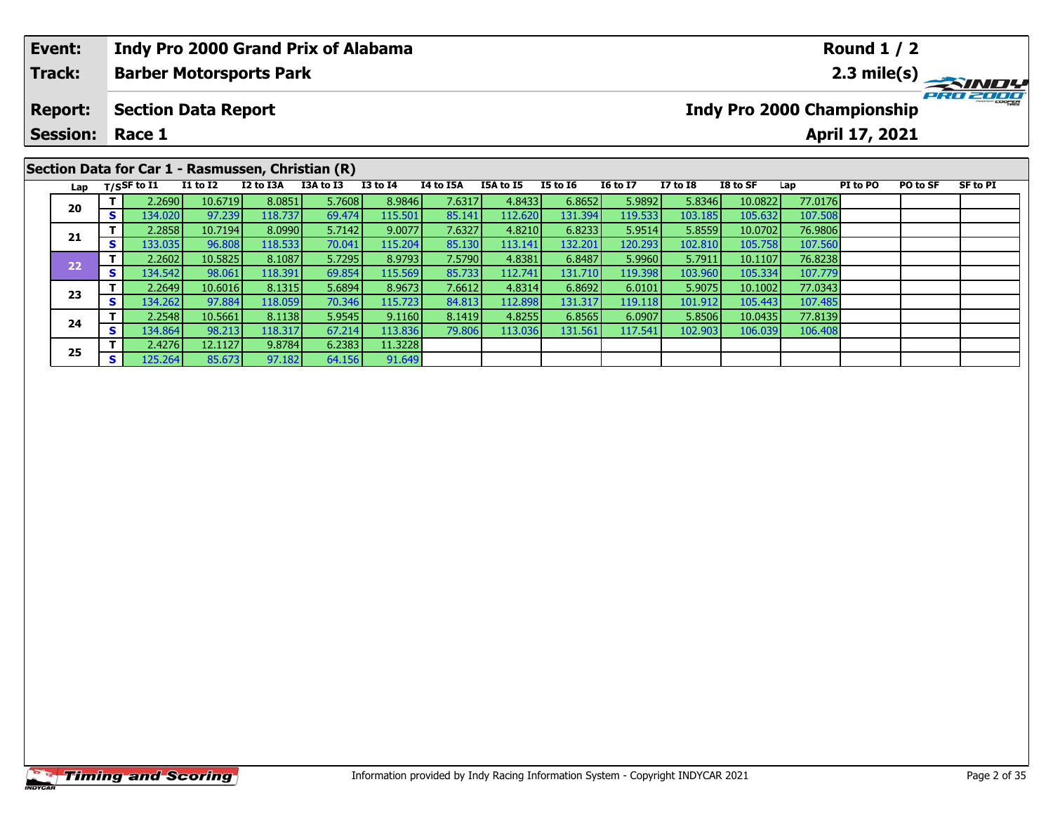| Event:<br>Track:                  |    |                | <b>Indy Pro 2000 Grand Prix of Alabama</b><br><b>Barber Motorsports Park</b> |           |           |                 |           |           |                 |                 |                 |                                   |         | Round $1/2$    |          |             |
|-----------------------------------|----|----------------|------------------------------------------------------------------------------|-----------|-----------|-----------------|-----------|-----------|-----------------|-----------------|-----------------|-----------------------------------|---------|----------------|----------|-------------|
| <b>Report:</b><br><b>Session:</b> |    | Race 1         | <b>Section Data Report</b>                                                   |           |           |                 |           |           |                 |                 |                 | <b>Indy Pro 2000 Championship</b> |         | April 17, 2021 |          | 2.3 mile(s) |
| Lap                               |    | $T/S$ SF to I1 | Section Data for Car 1 - Rasmussen, Christian (R)<br><b>I1 to I2</b>         | I2 to I3A | I3A to I3 | <b>I3 to I4</b> | I4 to I5A | I5A to I5 | <b>I5 to 16</b> | <b>16 to 17</b> | <b>I7 to I8</b> | I8 to SF                          | Lap     | PI to PO       | PO to SF | SF to PI    |
|                                   |    | 2.2690         | 10.6719                                                                      | 8.0851    | 5.7608    | 8.9846          | 7.6317    | 4.8433    | 6.8652          | 5.9892          | 5.8346          | 10.0822                           | 77.0176 |                |          |             |
| 20                                | S. | 134.020        | 97.239                                                                       | 118,737   | 69.474    | 115.501         | 85.141    | 112.620   | 131.394         | 119.533         | 103.185         | 105.632                           | 107.508 |                |          |             |
| 21                                |    | 2.2858         | 10.7194                                                                      | 8.0990    | 5.7142    | 9.0077          | 7.6327    | 4.8210    | 6.8233          | 5.9514          | 5.8559          | 10.0702                           | 76.9806 |                |          |             |
|                                   |    | 133.035        | 96.808                                                                       | 118.533   | 70.041    | 115.204         | 85.130    | 113.141   | 132.201         | 120.293         | 102.810         | 105.758                           | 107.560 |                |          |             |

**<sup>T</sup>** 2.2602 10.5825 8.1087 5.7295 8.9793 7.5790 4.8381 6.8487 5.9960 5.7911 10.1107 76.8238 **<sup>S</sup>** 134.542 98.061 118.391 69.854 115.569 85.733 112.741 131.710 119.398 103.960 105.334 107.779

**<sup>T</sup>** 2.2649 10.6016 8.1315 5.6894 8.9673 7.6612 4.8314 6.8692 6.0101 5.9075 10.1002 77.0343 **<sup>S</sup>** 134.262 97.884 118.059 70.346 115.723 84.813 112.898 131.317 119.118 101.912 105.443 107.485

**<sup>T</sup>** 2.2548 10.5661 8.1138 5.9545 9.1160 8.1419 4.8255 6.8565 6.0907 5.8506 10.0435 77.8139 **<sup>S</sup>** 134.864 98.213 118.317 67.214 113.836 79.806 113.036 131.561 117.541 102.903 106.039 106.408

**22**

**23**

**24**

**25**

**<sup>T</sup>** 2.4276 12.1127 9.8784 6.2383 11.3228 **<sup>S</sup>** 125.264 85.673 97.182 64.156 91.649

107.560<br>76.8238

107.779

107.48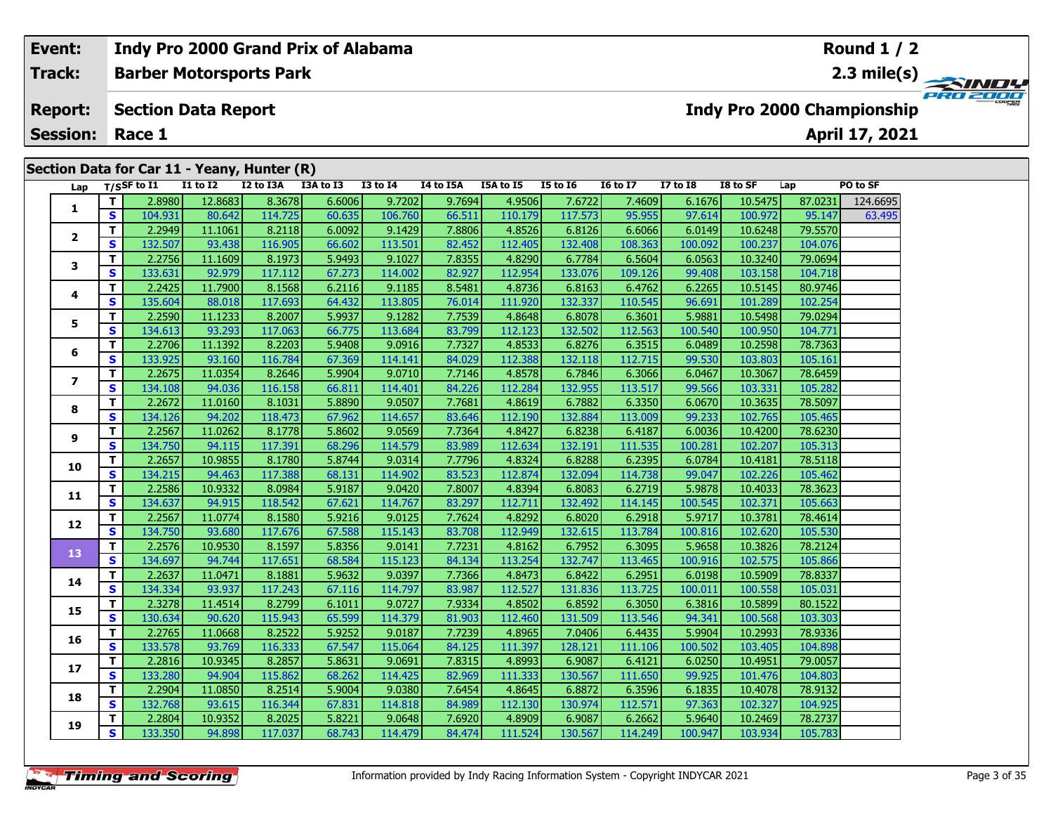#### **Indy Pro 2000 Grand Prix of Alabama Event:Round 1 / 2Barber Motorsports Park Track:2.3 mile(s)** PRO ZOOO **Report: Section Data Report Indy Pro 2000 Championship April 17, 2021 Session: Race 1Section Data for Car 11 - Yeany, Hunter (R) Lap T/SSF to I1 I1 to I2 I2 to I3A I3A to I3 I3 to I4 I4 to I5A I5A to I5 I5 to I6 I6 to I7 I7 to I8 I8 to SF Lap PO to SF <sup>T</sup>** 2.8980 12.8683 8.3678 6.6006 9.7202 9.7694 4.9506 7.6722 7.4609 6.1676 10.5475 87.0231 124.6695 **<sup>S</sup>** 104.931 80.642 114.725 60.635 106.760 66.511 110.179 117.573 95.955 97.614 100.972 95.147 63.495**1 <sup>T</sup>** 2.2949 11.1061 8.2118 6.0092 9.1429 7.8806 4.8526 6.8126 6.6066 6.0149 10.6248 79.5570 **<sup>S</sup>** 132.507 93.438 116.905 66.602 113.501 82.452 112.405 132.408 108.363 100.092 100.237 104.076**2**

# **3 <sup>T</sup>** 2.2756 11.1609 8.1973 5.9493 9.1027 7.8355 4.8290 6.7784 6.5604 6.0563 10.3240 79.0694 **<sup>S</sup>** 133.631 92.979 117.112 67.273 114.002 82.927 112.954 133.076 109.126 99.408 103.158 104.718**4 <sup>T</sup>** 2.2425 11.7900 8.1568 6.2116 9.1185 8.5481 4.8736 6.8163 6.4762 6.2265 10.5145 80.9746 **<sup>S</sup>** 135.604 88.018 117.693 64.432 113.805 76.014 111.920 132.337 110.545 96.691 101.289 102.254**5 <sup>T</sup>** 2.2590 11.1233 8.2007 5.9937 9.1282 7.7539 4.8648 6.8078 6.3601 5.9881 10.5498 79.0294 **<sup>S</sup>** 134.613 93.293 117.063 66.775 113.684 83.799 112.123 132.502 112.563 100.540 100.950 104.771**6 <sup>T</sup>** 2.2706 11.1392 8.2203 5.9408 9.0916 7.7327 4.8533 6.8276 6.3515 6.0489 10.2598 78.7363 **<sup>S</sup>** 133.925 93.160 116.784 67.369 114.141 84.029 112.388 132.118 112.715 99.530 103.803 105.161**7 <sup>T</sup>** 2.2675 11.0354 8.2646 5.9904 9.0710 7.7146 4.8578 6.7846 6.3066 6.0467 10.3067 78.6459 **<sup>S</sup>** 134.108 94.036 116.158 66.811 114.401 84.226 112.284 132.955 113.517 99.566 103.331 105.282**8 <sup>T</sup>** 2.2672 11.0160 8.1031 5.8890 9.0507 7.7681 4.8619 6.7882 6.3350 6.0670 10.3635 78.5097 **<sup>S</sup>** 134.126 94.202 118.473 67.962 114.657 83.646 112.190 132.884 113.009 99.233 102.765 105.465105.465 **9 <sup>T</sup>** 2.2567 11.0262 8.1778 5.8602 9.0569 7.7364 4.8427 6.8238 6.4187 6.0036 10.4200 78.6230 **<sup>S</sup>** 134.750 94.115 117.391 68.296 114.579 83.989 112.634 132.191 111.535 100.281 102.207 105.313**10 <sup>T</sup>** 2.2657 10.9855 8.1780 5.8744 9.0314 7.7796 4.8324 6.8288 6.2395 6.0784 10.4181 78.5118 **<sup>S</sup>** 134.215 94.463 117.388 68.131 114.902 83.523 112.874 132.094 114.738 99.047 102.226 105.462**11 <sup>T</sup>** 2.2586 10.9332 8.0984 5.9187 9.0420 7.8007 4.8394 6.8083 6.2719 5.9878 10.4033 78.3623 **<sup>S</sup>** 134.637 94.915 118.542 67.621 114.767 83.297 112.711 132.492 114.145 100.545 102.371 105.663**12 <sup>T</sup>** 2.2567 11.0774 8.1580 5.9216 9.0125 7.7624 4.8292 6.8020 6.2918 5.9717 10.3781 78.4614 **<sup>S</sup>** 134.750 93.680 117.676 67.588 115.143 83.708 112.949 132.615 113.784 100.816 102.620 105.530105.530 **13 <sup>T</sup>** 2.2576 10.9530 8.1597 5.8356 9.0141 7.7231 4.8162 6.7952 6.3095 5.9658 10.3826 78.2124 **<sup>S</sup>** 134.697 94.744 117.651 68.584 115.123 84.134 113.254 132.747 113.465 100.916 102.575 105.866**14 <sup>T</sup>** 2.2637 11.0471 8.1881 5.9632 9.0397 7.7366 4.8473 6.8422 6.2951 6.0198 10.5909 78.8337 **<sup>S</sup>** 134.334 93.937 117.243 67.116 114.797 83.987 112.527 131.836 113.725 100.011 100.558 105.031105.031 **15 <sup>T</sup>** 2.3278 11.4514 8.2799 6.1011 9.0727 7.9334 4.8502 6.8592 6.3050 6.3816 10.5899 80.1522 **<sup>S</sup>** 130.634 90.620 115.943 65.599 114.379 81.903 112.460 131.509 113.546 94.341 100.568 103.303**16 <sup>T</sup>** 2.2765 11.0668 8.2522 5.9252 9.0187 7.7239 4.8965 7.0406 6.4435 5.9904 10.2993 78.9336 **<sup>S</sup>** 133.578 93.769 116.333 67.547 115.064 84.125 111.397 128.121 111.106 100.502 103.405 104.898**17 <sup>T</sup>** 2.2816 10.9345 8.2857 5.8631 9.0691 7.8315 4.8993 6.9087 6.4121 6.0250 10.4951 79.0057 **<sup>S</sup>** 133.280 94.904 115.862 68.262 114.425 82.969 111.333 130.567 111.650 99.925 101.476 104.803**18 <sup>T</sup>** 2.2904 11.0850 8.2514 5.9004 9.0380 7.6454 4.8645 6.8872 6.3596 6.1835 10.4078 78.9132 **<sup>S</sup>** 132.768 93.615 116.344 67.831 114.818 84.989 112.130 130.974 112.571 97.363 102.327 104.925**19<sup>T</sup>** 2.2804 10.9352 8.2025 5.8221 9.0648 7.6920 4.8909 6.9087 6.2662 5.9640 10.2469 78.2737 **<sup>S</sup>** 133.350 94.898 117.037 68.743 114.479 84.474 111.524 130.567 114.249 100.947 103.934 105.783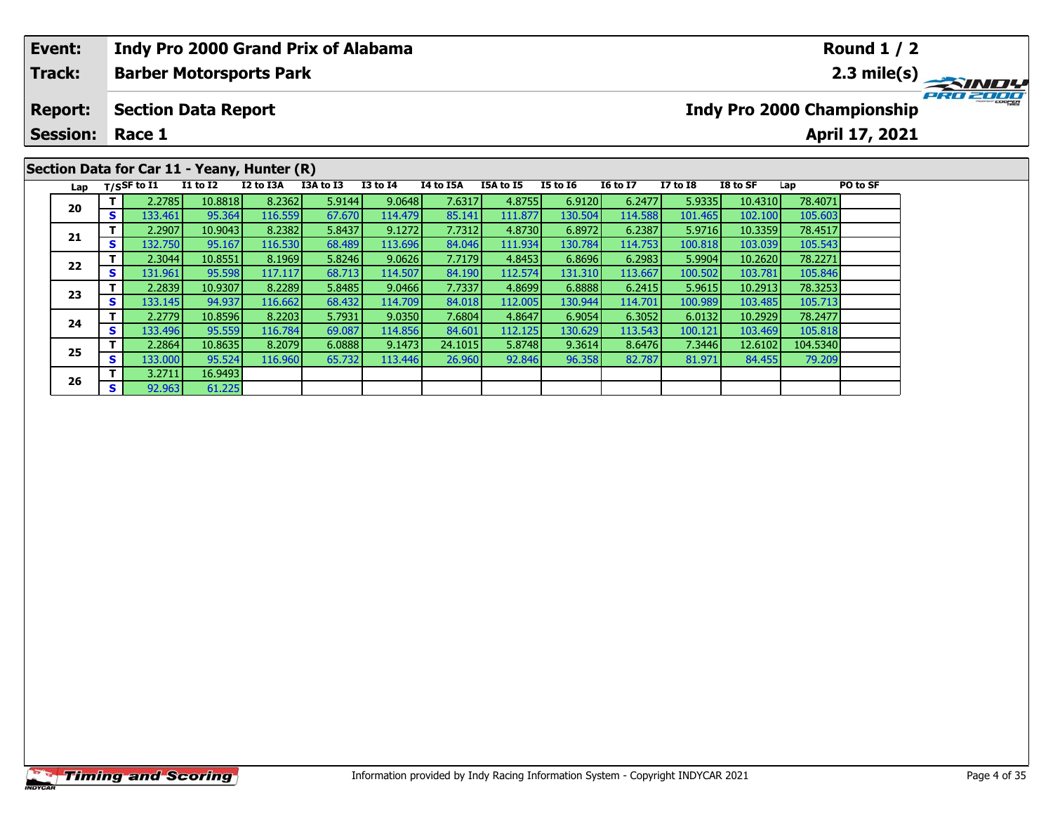| Event:          |    |                                |                            | <b>Indy Pro 2000 Grand Prix of Alabama</b>  |           |                 |           |           |          |                 |                 |          |         | <b>Round 1 / 2</b>         |             |
|-----------------|----|--------------------------------|----------------------------|---------------------------------------------|-----------|-----------------|-----------|-----------|----------|-----------------|-----------------|----------|---------|----------------------------|-------------|
| <b>Track:</b>   |    |                                |                            | <b>Barber Motorsports Park</b>              |           |                 |           |           |          |                 |                 |          |         |                            | 2.3 mile(s) |
| <b>Report:</b>  |    |                                | <b>Section Data Report</b> |                                             |           |                 |           |           |          |                 |                 |          |         | Indy Pro 2000 Championship |             |
| <b>Session:</b> |    | Race 1                         |                            |                                             |           |                 |           |           |          |                 |                 |          |         | April 17, 2021             |             |
|                 |    |                                |                            | Section Data for Car 11 - Yeany, Hunter (R) |           |                 |           |           |          |                 |                 |          |         |                            |             |
|                 |    | Lap $T/SSF$ to $\overline{11}$ | <b>I1 to I2</b>            | I2 to I3A                                   | I3A to I3 | <b>I3 to I4</b> | I4 to I5A | I5A to I5 | I5 to I6 | <b>I6 to I7</b> | <b>I7 to I8</b> | I8 to SF | Lap     | PO to SF                   |             |
|                 |    | 2.2785                         | 10.8818                    | 8.2362                                      | 5.9144    | 9.0648          | 7.6317    | 4.8755    | 6.9120   | 6.2477          | 5.9335          | 10.4310  | 78.4071 |                            |             |
| 20              | S. | 133.461                        | 95.364                     | 116.559                                     | 67.670    | 114.479         | 85.141    | 111.877   | 130.504  | 114.588         | 101.465         | 102.100  | 105.603 |                            |             |
| 21              |    | 2.2907                         | 10.9043                    | 8.2382                                      | 5.8437    | 9.1272          | 7.7312    | 4.8730    | 6.8972   | 6.2387          | 5.9716          | 10.3359  | 78.4517 |                            |             |
|                 | s  | 132.750                        | 95.167                     | 116.530                                     | 68.489    | 113.696         | 84.046    | 111.934   | 130.784  | 114.753         | 100.818         | 103.039  | 105.543 |                            |             |

**<sup>T</sup>** 2.3044 10.8551 8.1969 5.8246 9.0626 7.7179 4.8453 6.8696 6.2983 5.9904 10.2620 78.2271 **<sup>S</sup>** 131.961 95.598 117.117 68.713 114.507 84.190 112.574 131.310 113.667 100.502 103.781 105.846

**<sup>T</sup>** 2.2839 10.9307 8.2289 5.8485 9.0466 7.7337 4.8699 6.8888 6.2415 5.9615 10.2913 78.3253 **<sup>S</sup>** 133.145 94.937 116.662 68.432 114.709 84.018 112.005 130.944 114.701 100.989 103.485 105.713

**<sup>T</sup>** 2.2779 10.8596 8.2203 5.7931 9.0350 7.6804 4.8647 6.9054 6.3052 6.0132 10.2929 78.2477 **<sup>S</sup>** 133.496 95.559 116.784 69.087 114.856 84.601 112.125 130.629 113.543 100.121 103.469 105.818

**<sup>T</sup>** 2.2864 10.8635 8.2079 6.0888 9.1473 24.1015 5.8748 9.3614 8.6476 7.3446 12.6102 104.5340 **<sup>S</sup>** 133.000 95.524 116.960 65.732 113.446 26.960 92.846 96.358 82.787 81.971 84.455 79.209

**22**

**23**

**24**

**25**

**26**

**<sup>T</sup>** 3.2711 16.9493 **<sup>S</sup>** 92.963 61.225

61.225

105.846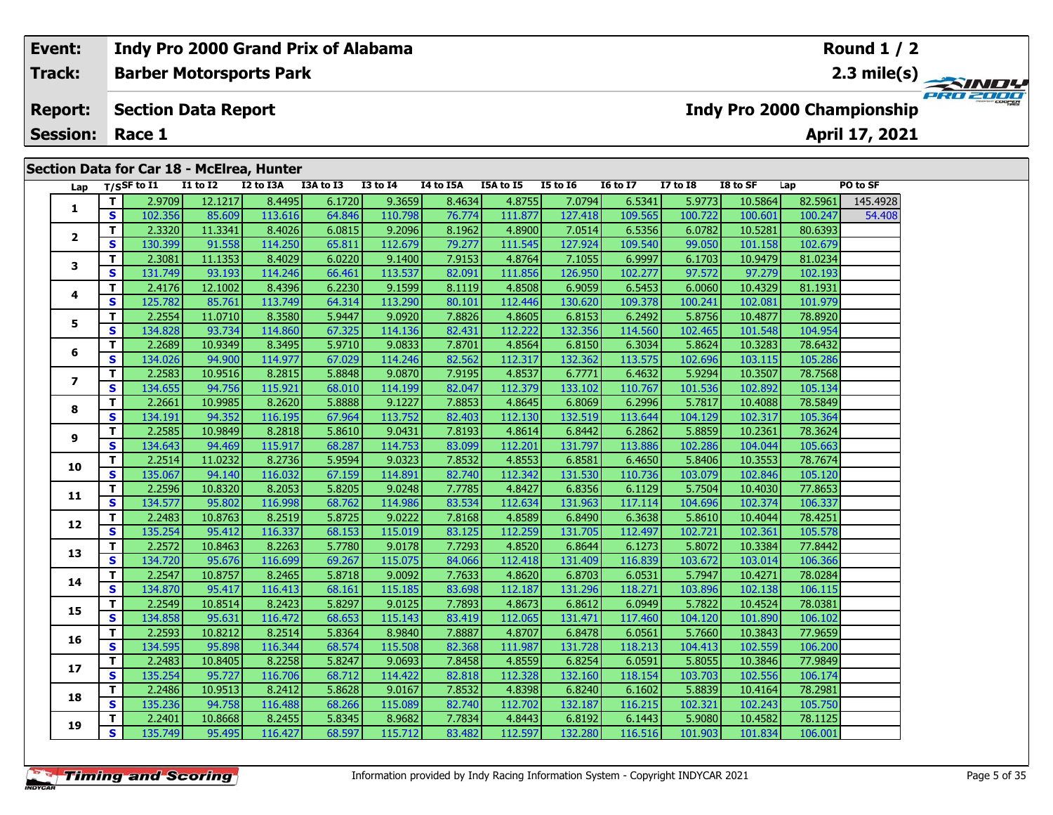#### **Event: Indy Pro 2000 Grand Prix of Alabama Round 1 / 2Barber Motorsports Park Track:2.3 mile(s)** PRO 2000 **Report: Section Data Report Indy Pro 2000 Championship April 17, 2021 Session: Race 1Section Data for Car 18 - McElrea, Hunter Lap T/SSF to I1 I1 to I2 I2 to I3A I3A to I3 I3 to I4 I4 to I5A I5A to I5 I5 to I6 I6 to I7 I7 to I8 I8 to SF Lap PO to SF <sup>T</sup>** 2.9709 12.1217 8.4495 6.1720 9.3659 8.4634 4.8755 7.0794 6.5341 5.9773 10.5864 82.5961 145.4928 **<sup>S</sup>** 102.356 85.609 113.616 64.846 110.798 76.774 111.877 127.418 109.565 100.722 100.601 100.247 54.408**1 <sup>T</sup>** 2.3320 11.3341 8.4026 6.0815 9.2096 8.1962 4.8900 7.0514 6.5356 6.0782 10.5281 80.6393 **<sup>S</sup>** 130.399 91.558 114.250 65.811 112.679 79.277 111.545 127.924 109.540 99.050 101.158 102.679**2**

**<sup>T</sup>** 2.3081 11.1353 8.4029 6.0220 9.1400 7.9153 4.8764 7.1055 6.9997 6.1703 10.9479 81.0234 **<sup>S</sup>** 131.749 93.193 114.246 66.461 113.537 82.091 111.856 126.950 102.277 97.572 97.279 102.193

**<sup>T</sup>** 2.4176 12.1002 8.4396 6.2230 9.1599 8.1119 4.8508 6.9059 6.5453 6.0060 10.4329 81.1931 **<sup>S</sup>** 125.782 85.761 113.749 64.314 113.290 80.101 112.446 130.620 109.378 100.241 102.081 101.979

**<sup>T</sup>** 2.2554 11.0710 8.3580 5.9447 9.0920 7.8826 4.8605 6.8153 6.2492 5.8756 10.4877 78.8920 **<sup>S</sup>** 134.828 93.734 114.860 67.325 114.136 82.431 112.222 132.356 114.560 102.465 101.548 104.954

**<sup>T</sup>** 2.2689 10.9349 8.3495 5.9710 9.0833 7.8701 4.8564 6.8150 6.3034 5.8624 10.3283 78.6432 **<sup>S</sup>** 134.026 94.900 114.977 67.029 114.246 82.562 112.317 132.362 113.575 102.696 103.115 105.286

**<sup>T</sup>** 2.2583 10.9516 8.2815 5.8848 9.0870 7.9195 4.8537 6.7771 6.4632 5.9294 10.3507 78.7568 **<sup>S</sup>** 134.655 94.756 115.921 68.010 114.199 82.047 112.379 133.102 110.767 101.536 102.892 105.134

**<sup>T</sup>** 2.2661 10.9985 8.2620 5.8888 9.1227 7.8853 4.8645 6.8069 6.2996 5.7817 10.4088 78.5849 **<sup>S</sup>** 134.191 94.352 116.195 67.964 113.752 82.403 112.130 132.519 113.644 104.129 102.317 105.364

**<sup>T</sup>** 2.2585 10.9849 8.2818 5.8610 9.0431 7.8193 4.8614 6.8442 6.2862 5.8859 10.2361 78.3624 **<sup>S</sup>** 134.643 94.469 115.917 68.287 114.753 83.099 112.201 131.797 113.886 102.286 104.044 105.663

**<sup>T</sup>** 2.2514 11.0232 8.2736 5.9594 9.0323 7.8532 4.8553 6.8581 6.4650 5.8406 10.3553 78.7674 **<sup>S</sup>** 135.067 94.140 116.032 67.159 114.891 82.740 112.342 131.530 110.736 103.079 102.846 105.120

**<sup>T</sup>** 2.2596 10.8320 8.2053 5.8205 9.0248 7.7785 4.8427 6.8356 6.1129 5.7504 10.4030 77.8653 **<sup>S</sup>** 134.577 95.802 116.998 68.762 114.986 83.534 112.634 131.963 117.114 104.696 102.374 106.337

**<sup>T</sup>** 2.2483 10.8763 8.2519 5.8725 9.0222 7.8168 4.8589 6.8490 6.3638 5.8610 10.4044 78.4251 **<sup>S</sup>** 135.254 95.412 116.337 68.153 115.019 83.125 112.259 131.705 112.497 102.721 102.361 105.578

**<sup>T</sup>** 2.2572 10.8463 8.2263 5.7780 9.0178 7.7293 4.8520 6.8644 6.1273 5.8072 10.3384 77.8442 **<sup>S</sup>** 134.720 95.676 116.699 69.267 115.075 84.066 112.418 131.409 116.839 103.672 103.014 106.366

**<sup>T</sup>** 2.2547 10.8757 8.2465 5.8718 9.0092 7.7633 4.8620 6.8703 6.0531 5.7947 10.4271 78.0284 **<sup>S</sup>** 134.870 95.417 116.413 68.161 115.185 83.698 112.187 131.296 118.271 103.896 102.138 106.115

**<sup>T</sup>** 2.2549 10.8514 8.2423 5.8297 9.0125 7.7893 4.8673 6.8612 6.0949 5.7822 10.4524 78.0381 **<sup>S</sup>** 134.858 95.631 116.472 68.653 115.143 83.419 112.065 131.471 117.460 104.120 101.890 106.102

**<sup>T</sup>** 2.2593 10.8212 8.2514 5.8364 8.9840 7.8887 4.8707 6.8478 6.0561 5.7660 10.3843 77.9659 **<sup>S</sup>** 134.595 95.898 116.344 68.574 115.508 82.368 111.987 131.728 118.213 104.413 102.559 106.200

**<sup>T</sup>** 2.2483 10.8405 8.2258 5.8247 9.0693 7.8458 4.8559 6.8254 6.0591 5.8055 10.3846 77.9849 **<sup>S</sup>** 135.254 95.727 116.706 68.712 114.422 82.818 112.328 132.160 118.154 103.703 102.556 106.174

**<sup>T</sup>** 2.2486 10.9513 8.2412 5.8628 9.0167 7.8532 4.8398 6.8240 6.1602 5.8839 10.4164 78.2981 **<sup>S</sup>** 135.236 94.758 116.488 68.266 115.089 82.740 112.702 132.187 116.215 102.321 102.243 105.750

**<sup>T</sup>** 2.2401 10.8668 8.2455 5.8345 8.9682 7.7834 4.8443 6.8192 6.1443 5.9080 10.4582 78.1125 **<sup>S</sup>** 135.749 95.495 116.427 68.597 115.712 83.482 112.597 132.280 116.516 101.903 101.834 106.001

**3**

**4**

**5**

**6**

**7**

**8**

**9**

**10**

**11**

**12**

**13**

**14**

**15**

**16**

**17**

**18**

**19**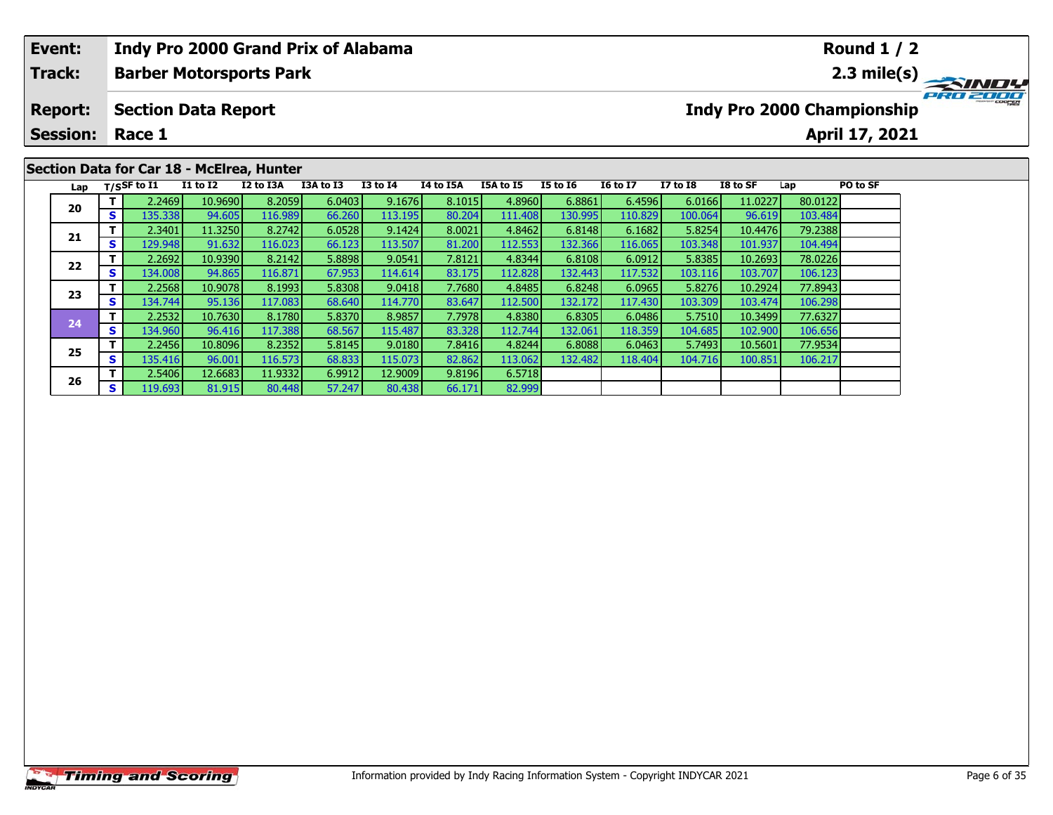| Event:          |     |                  |                                           |           | <b>Indy Pro 2000 Grand Prix of Alabama</b> |                 |           |           |          |                 |                 |          |         | <b>Round 1 / 2</b>         |          |
|-----------------|-----|------------------|-------------------------------------------|-----------|--------------------------------------------|-----------------|-----------|-----------|----------|-----------------|-----------------|----------|---------|----------------------------|----------|
| <b>Track:</b>   |     |                  | <b>Barber Motorsports Park</b>            |           |                                            |                 |           |           |          |                 |                 |          |         |                            |          |
| <b>Report:</b>  |     |                  | <b>Section Data Report</b>                |           |                                            |                 |           |           |          |                 |                 |          |         | Indy Pro 2000 Championship | PRO 2000 |
| <b>Session:</b> |     | Race 1           |                                           |           |                                            |                 |           |           |          |                 |                 |          |         | April 17, 2021             |          |
|                 |     |                  | Section Data for Car 18 - McElrea, Hunter |           |                                            |                 |           |           |          |                 |                 |          |         |                            |          |
| Lap             |     | $T/S$ SF to I1   | <b>I1 to I2</b>                           | I2 to I3A | I3A to I3                                  | <b>I3 to I4</b> | I4 to I5A | I5A to I5 | I5 to 16 | <b>16 to 17</b> | <b>I7 to I8</b> | I8 to SF | Lap     | PO to SF                   |          |
| 20              |     | 2.2469           | 10.9690                                   | 8.2059    | 6.0403                                     | 9.1676          | 8.1015    | 4.8960    | 6.8861   | 6.4596          | 6.0166          | 11.0227  | 80.0122 |                            |          |
|                 | s l | 135.338          | 94.605                                    | 116.989   | 66.260                                     | 113.195         | 80.204    | 111.408   | 130.995  | 110.829         | 100.064         | 96.619   | 103.484 |                            |          |
| 21              |     | 2.3401           | 11.3250                                   | 8.2742    | 6.0528                                     | 9.1424          | 8.0021    | 4.8462    | 6.8148   | 6.1682          | 5.8254          | 10.4476  | 79.2388 |                            |          |
|                 |     | 129.948 <b>1</b> | 91.632                                    | 116.023   | 66.123                                     | 113.507         | 81.200    | 112.553   | 132.366  | 116.065         | 103.348         | 101.937  | 104.494 |                            |          |

82.999

**<sup>T</sup>** 2.2692 10.9390 8.2142 5.8898 9.0541 7.8121 4.8344 6.8108 6.0912 5.8385 10.2693 78.0226 **<sup>S</sup>** 134.008 94.865 116.871 67.953 114.614 83.175 112.828 132.443 117.532 103.116 103.707 106.123

**<sup>T</sup>** 2.2568 10.9078 8.1993 5.8308 9.0418 7.7680 4.8485 6.8248 6.0965 5.8276 10.2924 77.8943 **<sup>S</sup>** 134.744 95.136 117.083 68.640 114.770 83.647 112.500 132.172 117.430 103.309 103.474 106.298

**<sup>T</sup>** 2.2532 10.7630 8.1780 5.8370 8.9857 7.7978 4.8380 6.8305 6.0486 5.7510 10.3499 77.6327 **<sup>S</sup>** 134.960 96.416 117.388 68.567 115.487 83.328 112.744 132.061 118.359 104.685 102.900 106.656

**<sup>T</sup>** 2.2456 10.8096 8.2352 5.8145 9.0180 7.8416 4.8244 6.8088 6.0463 5.7493 10.5601 77.9534 **<sup>S</sup>** 135.416 96.001 116.573 68.833 115.073 82.862 113.062 132.482 118.404 104.716 100.851 106.217

**<sup>T</sup>** 2.5406 12.6683 11.9332 6.9912 12.9009 9.8196 6.5718 **<sup>S</sup>** 119.693 81.915 80.448 57.247 80.438 66.171 82.999

**22**

**23**

**24**

**25**

**26**

104.494

106.123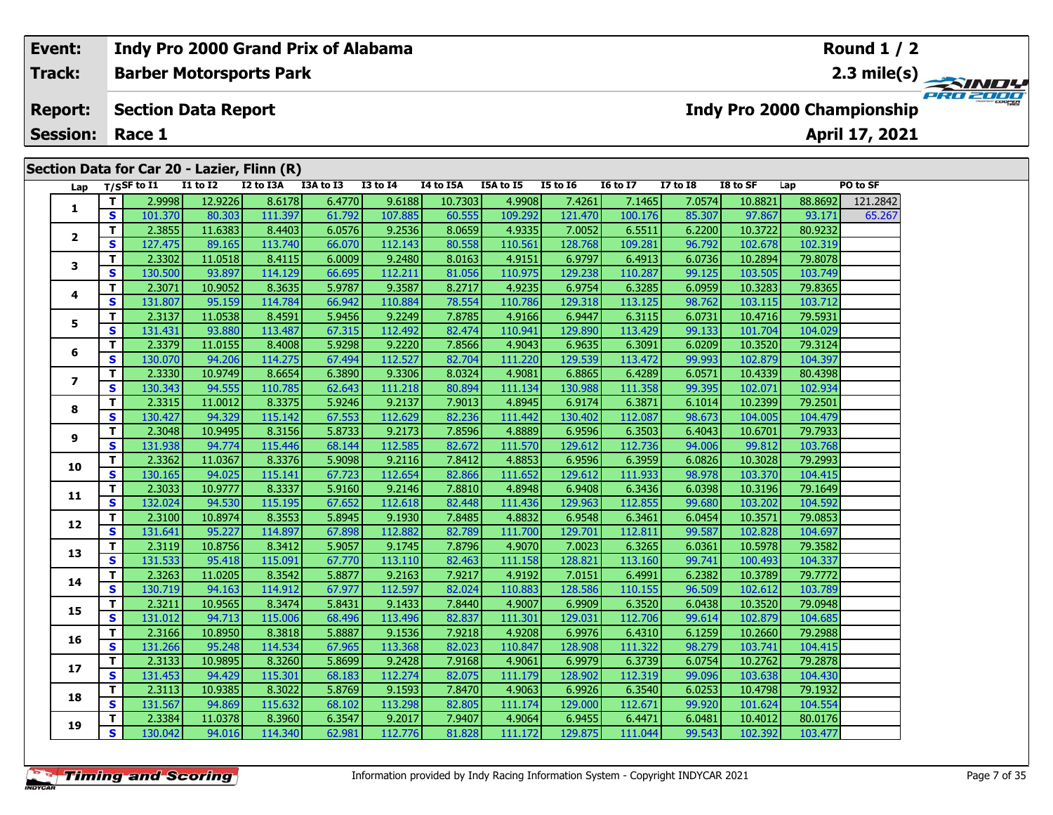## **Indy Pro 2000 Grand Prix of Alabama Event:Round 1 / 2Barber Motorsports Park Track:2.3 mile(s)** PRO 2000 **Report: Section Data Report Indy Pro 2000 Championship April 17, 2021 Session: Race 1Section Data for Car 20 - Lazier, Flinn (R) Lap T/SSF to I1 I1 to I2 I2 to I3A I3A to I3 I3 to I4 I4 to I5A I5A to I5 I5 to I6 I6 to I7 I7 to I8 I8 to SF Lap PO to SF <sup>T</sup>** 2.9998 12.9226 8.6178 6.4770 9.6188 10.7303 4.9908 7.4261 7.1465 7.0574 10.8821 88.8692 121.2842 **<sup>S</sup>** 101.370 80.303 111.397 61.792 107.885 60.555 109.292 121.470 100.176 85.307 97.867 93.171 65.267**1 <sup>T</sup>** 2.3855 11.6383 8.4403 6.0576 9.2536 8.0659 4.9335 7.0052 6.5511 6.2200 10.3722 80.9232 **<sup>S</sup>** 127.475 89.165 113.740 66.070 112.143 80.558 110.561 128.768 109.281 96.792 102.678 102.319**2 <sup>T</sup>** 2.3302 11.0518 8.4115 6.0009 9.2480 8.0163 4.9151 6.9797 6.4913 6.0736 10.2894 79.8078 **<sup>S</sup>** 130.500 93.897 114.129 66.695 112.211 81.056 110.975 129.238 110.287 99.125 103.505 103.749**3**

**<sup>T</sup>** 2.3071 10.9052 8.3635 5.9787 9.3587 8.2717 4.9235 6.9754 6.3285 6.0959 10.3283 79.8365 **<sup>S</sup>** 131.807 95.159 114.784 66.942 110.884 78.554 110.786 129.318 113.125 98.762 103.115 103.712

**<sup>T</sup>** 2.3137 11.0538 8.4591 5.9456 9.2249 7.8785 4.9166 6.9447 6.3115 6.0731 10.4716 79.5931 **<sup>S</sup>** 131.431 93.880 113.487 67.315 112.492 82.474 110.941 129.890 113.429 99.133 101.704 104.029

**<sup>T</sup>** 2.3379 11.0155 8.4008 5.9298 9.2220 7.8566 4.9043 6.9635 6.3091 6.0209 10.3520 79.3124 **<sup>S</sup>** 130.070 94.206 114.275 67.494 112.527 82.704 111.220 129.539 113.472 99.993 102.879 104.397

**<sup>T</sup>** 2.3330 10.9749 8.6654 6.3890 9.3306 8.0324 4.9081 6.8865 6.4289 6.0571 10.4339 80.4398 **<sup>S</sup>** 130.343 94.555 110.785 62.643 111.218 80.894 111.134 130.988 111.358 99.395 102.071 102.934

**<sup>T</sup>** 2.3315 11.0012 8.3375 5.9246 9.2137 7.9013 4.8945 6.9174 6.3871 6.1014 10.2399 79.2501 **<sup>S</sup>** 130.427 94.329 115.142 67.553 112.629 82.236 111.442 130.402 112.087 98.673 104.005 104.479

**<sup>T</sup>** 2.3048 10.9495 8.3156 5.8733 9.2173 7.8596 4.8889 6.9596 6.3503 6.4043 10.6701 79.7933 **<sup>S</sup>** 131.938 94.774 115.446 68.144 112.585 82.672 111.570 129.612 112.736 94.006 99.812 103.768

**<sup>T</sup>** 2.3362 11.0367 8.3376 5.9098 9.2116 7.8412 4.8853 6.9596 6.3959 6.0826 10.3028 79.2993 **<sup>S</sup>** 130.165 94.025 115.141 67.723 112.654 82.866 111.652 129.612 111.933 98.978 103.370 104.415

**<sup>T</sup>** 2.3033 10.9777 8.3337 5.9160 9.2146 7.8810 4.8948 6.9408 6.3436 6.0398 10.3196 79.1649 **<sup>S</sup>** 132.024 94.530 115.195 67.652 112.618 82.448 111.436 129.963 112.855 99.680 103.202 104.592

**<sup>T</sup>** 2.3100 10.8974 8.3553 5.8945 9.1930 7.8485 4.8832 6.9548 6.3461 6.0454 10.3571 79.0853 **<sup>S</sup>** 131.641 95.227 114.897 67.898 112.882 82.789 111.700 129.701 112.811 99.587 102.828 104.697

**<sup>T</sup>** 2.3119 10.8756 8.3412 5.9057 9.1745 7.8796 4.9070 7.0023 6.3265 6.0361 10.5978 79.3582 **<sup>S</sup>** 131.533 95.418 115.091 67.770 113.110 82.463 111.158 128.821 113.160 99.741 100.493 104.337

**<sup>T</sup>** 2.3263 11.0205 8.3542 5.8877 9.2163 7.9217 4.9192 7.0151 6.4991 6.2382 10.3789 79.7772 **<sup>S</sup>** 130.719 94.163 114.912 67.977 112.597 82.024 110.883 128.586 110.155 96.509 102.612 103.789

**<sup>T</sup>** 2.3211 10.9565 8.3474 5.8431 9.1433 7.8440 4.9007 6.9909 6.3520 6.0438 10.3520 79.0948 **<sup>S</sup>** 131.012 94.713 115.006 68.496 113.496 82.837 111.301 129.031 112.706 99.614 102.879 104.685

**<sup>T</sup>** 2.3384 11.0378 8.3960 6.3547 9.2017 7.9407 4.9064 6.9455 6.4471 6.0481 10.4012 80.0176 **<sup>S</sup>** 130.042 94.016 114.340 62.981 112.776 81.828 111.172 129.875 111.044 99.543 102.392 103.477

|  | 2.3166 l        | LO.8950 I | 8.3818I | ا8887.ز         | 9.15361          | ا9218.            | 4.92081 | 6.99761  | 6.43101  | 6.12591 | 10.26601 | 79.2988 |
|--|-----------------|-----------|---------|-----------------|------------------|-------------------|---------|----------|----------|---------|----------|---------|
|  | 31.266          | 95.248    | 14.534  | 67.965          | 13.368           | 82.023            | 110.847 | 128.9081 | 111.3221 | 98.279  | 103.741  | 104.415 |
|  | 2.31331         | 10.9895   | 8.3260  | 5.8699 <b>l</b> | 9.2428           | ا9168.'           | 4.9061  | 6.99791  | 6.3739   | 6.0754  | 10.2762  | 79.2878 |
|  | 31.453          | 94.429    | 15.301  | 68.183          | 112.274 <b>I</b> | 82.075            | 111.179 | 128.902  | 112.319  | 99.096  | 103.638  | 104.430 |
|  | 2.3113 <b>I</b> | 10.9385   | 8.3022  | 5.8769 <b>l</b> | 9.1593           | $^{\prime}$ .8470 | 4.9063  | 6.9926   | 6.3540   | 6.0253  | 10.4798  | 79.1932 |
|  | 4.567           | 94.869    | 15.632  | 68.1021         | .13.2981         | 82.805            |         | 129.000  | 112.671  | 99.920  | 101.624  | 104.554 |

**4**

**5**

**6**

**7**

**8**

**9**

**10**

**11**

**12**

**13**

**14**

**15**

**16**

**17**

**18**

**19**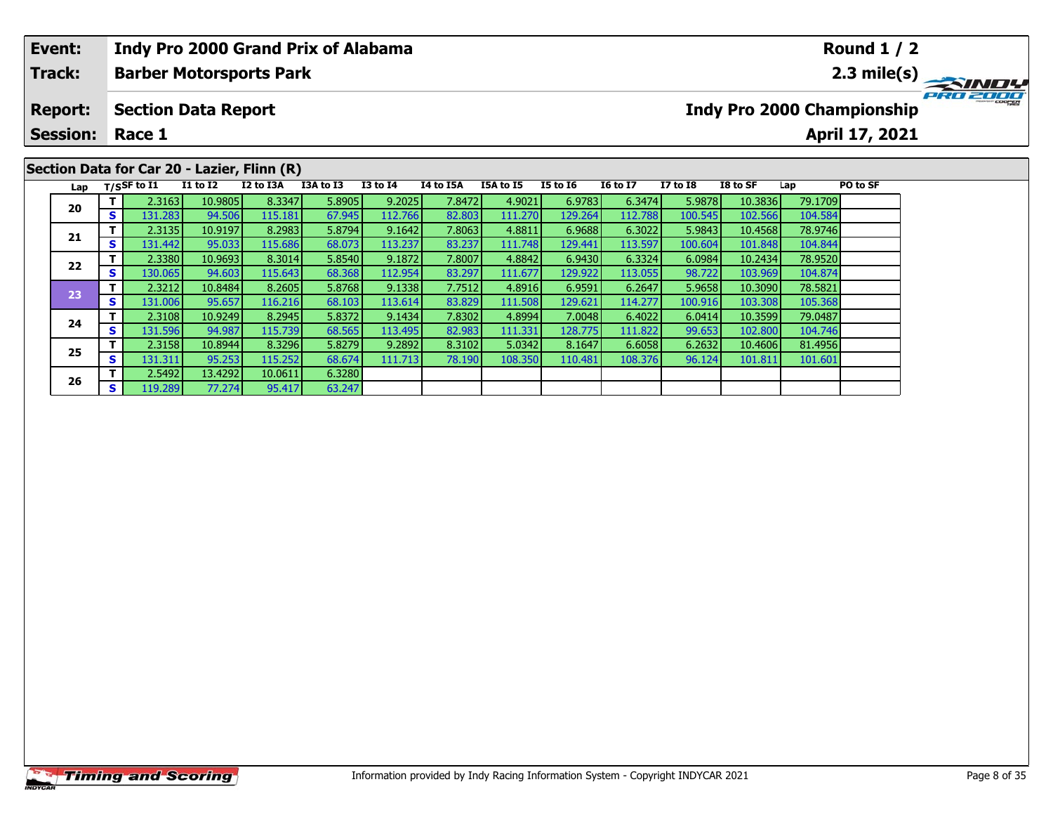| Event:          |   |                                |                 | <b>Indy Pro 2000 Grand Prix of Alabama</b>  |           |                 |                  |           |                 |                 |          |          |         | <b>Round 1 / 2</b>         |          |
|-----------------|---|--------------------------------|-----------------|---------------------------------------------|-----------|-----------------|------------------|-----------|-----------------|-----------------|----------|----------|---------|----------------------------|----------|
| <b>Track:</b>   |   |                                |                 | <b>Barber Motorsports Park</b>              |           |                 |                  |           |                 |                 |          |          |         |                            |          |
| <b>Report:</b>  |   | <b>Section Data Report</b>     |                 |                                             |           |                 |                  |           |                 |                 |          |          |         | Indy Pro 2000 Championship | PRO 2000 |
| <b>Session:</b> |   | Race 1                         |                 |                                             |           |                 |                  |           |                 |                 |          |          |         | April 17, 2021             |          |
|                 |   |                                |                 |                                             |           |                 |                  |           |                 |                 |          |          |         |                            |          |
|                 |   |                                |                 | Section Data for Car 20 - Lazier, Flinn (R) |           |                 |                  |           |                 |                 |          |          |         |                            |          |
|                 |   | Lap $T/SSF$ to $\overline{11}$ | <b>I1 to I2</b> | I2 to I3A                                   | I3A to I3 | <b>I3 to I4</b> | <b>I4 to I5A</b> | I5A to I5 | <b>I5 to I6</b> | <b>16 to 17</b> | I7 to I8 | I8 to SF | Lap     | PO to SF                   |          |
|                 |   | 2.3163                         | 10.9805         | 8.3347                                      | 5.8905    | 9.2025          | 7.8472           | 4.9021    | 6.9783          | 6.3474          | 5.9878   | 10.3836  | 79.1709 |                            |          |
| 20              |   | 131.283                        | 94.506          | 115.181                                     | 67.945    | 112.766         | 82.803           | 111.270   | 129.264         | 112.788         | 100.545  | 102.566  | 104.584 |                            |          |
|                 |   | 2.3135                         | 10.9197         | 8.2983                                      | 5.8794    | 9.1642          | 7.8063           | 4.8811    | 6.9688          | 6.3022          | 5.9843   | 10.4568  | 78.9746 |                            |          |
| 21              | s | 131.442                        | 95.033          | 115.686                                     | 68.073    | 113.237         | 83.237           | 111.748   | 129.441         | 113.597         | 100.604  | 101.848  | 104.844 |                            |          |

**<sup>T</sup>** 2.3380 10.9693 8.3014 5.8540 9.1872 7.8007 4.8842 6.9430 6.3324 6.0984 10.2434 78.9520 **<sup>S</sup>** 130.065 94.603 115.643 68.368 112.954 83.297 111.677 129.922 113.055 98.722 103.969 104.874

**<sup>T</sup>** 2.3212 10.8484 8.2605 5.8768 9.1338 7.7512 4.8916 6.9591 6.2647 5.9658 10.3090 78.5821 **<sup>S</sup>** 131.006 95.657 116.216 68.103 113.614 83.829 111.508 129.621 114.277 100.916 103.308 105.368

**<sup>T</sup>** 2.3108 10.9249 8.2945 5.8372 9.1434 7.8302 4.8994 7.0048 6.4022 6.0414 10.3599 79.0487 **<sup>S</sup>** 131.596 94.987 115.739 68.565 113.495 82.983 111.331 128.775 111.822 99.653 102.800 104.746

**<sup>T</sup>** 2.3158 10.8944 8.3296 5.8279 9.2892 8.3102 5.0342 8.1647 6.6058 6.2632 10.4606 81.4956 **<sup>S</sup>** 131.311 95.253 115.252 68.674 111.713 78.190 108.350 110.481 108.376 96.124 101.811 101.601

63.247

**22**

**23**

**24**

**25**

**26**

**<sup>T</sup>** 2.5492 13.4292 10.0611 6.3280 **<sup>S</sup>** 119.289 77.274 95.417 63.247

104.874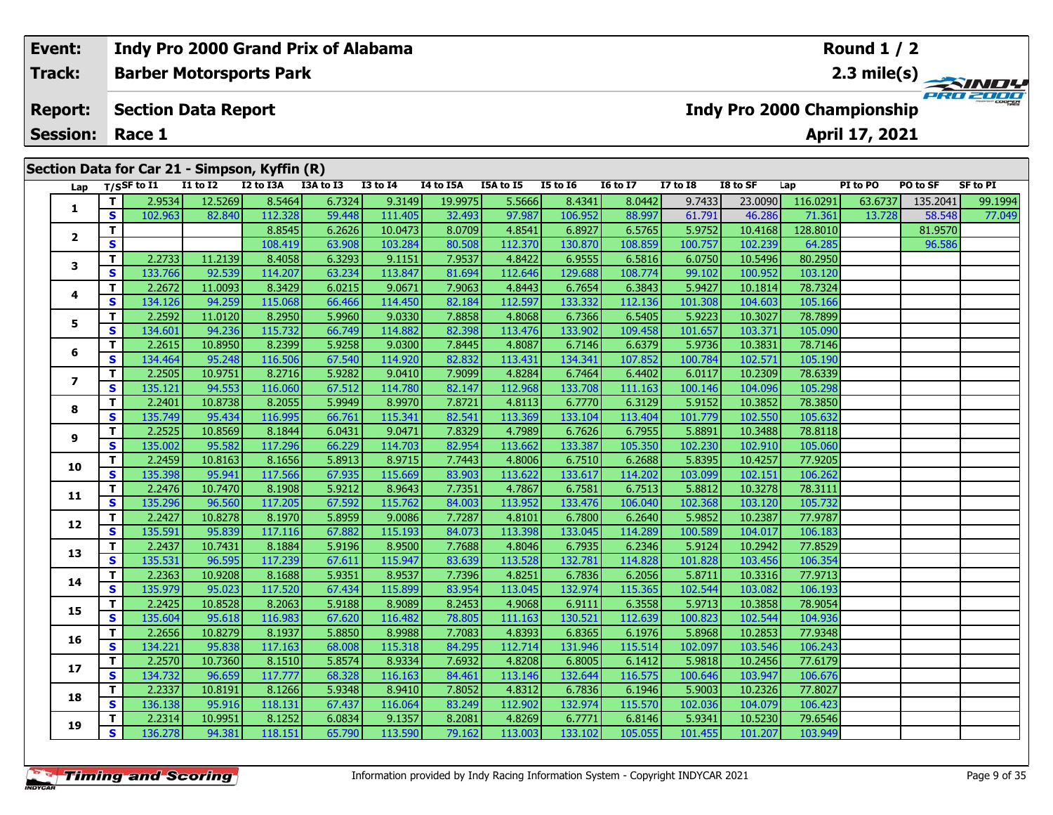| Event:                    |    | Indy Pro 2000 Grand Prix of Alabama |                 |                                               |           |                 |           |           |                 |                 |              |          |                            | <b>Round 1 / 2</b> |          |          |
|---------------------------|----|-------------------------------------|-----------------|-----------------------------------------------|-----------|-----------------|-----------|-----------|-----------------|-----------------|--------------|----------|----------------------------|--------------------|----------|----------|
| <b>Track:</b>             |    | <b>Barber Motorsports Park</b>      |                 |                                               |           |                 |           |           |                 |                 |              |          |                            |                    |          |          |
| <b>Report:</b>            |    | <b>Section Data Report</b>          |                 |                                               |           |                 |           |           |                 |                 |              |          | Indy Pro 2000 Championship |                    |          | PRO 2000 |
| <b>Session:</b><br>Race 1 |    |                                     |                 |                                               |           |                 |           |           |                 |                 |              |          | April 17, 2021             |                    |          |          |
|                           |    |                                     |                 |                                               |           |                 |           |           |                 |                 |              |          |                            |                    |          |          |
|                           |    |                                     |                 |                                               |           |                 |           |           |                 |                 |              |          |                            |                    |          |          |
|                           |    |                                     |                 | Section Data for Car 21 - Simpson, Kyffin (R) |           |                 |           |           |                 |                 |              |          |                            |                    |          |          |
| Lap                       |    | T/SSF to I1                         | <b>I1 to I2</b> | I2 to I3A                                     | I3A to I3 | <b>I3 to I4</b> | I4 to I5A | I5A to I5 | <b>I5 to 16</b> | <b>16 to 17</b> | $I7$ to $I8$ | I8 to SF | Lap                        | PI to PO           | PO to SF | SF to PI |
|                           |    | 2.9534                              | 12.5269         | 8.5464                                        | 6.7324    | 9.3149          | 19.9975   | 5.5666    | 8.4341          | 8.0442          | 9.7433       | 23.0090  | 116.0291                   | 63.6737            | 135.2041 | 99.1994  |
|                           | S. | 102.963                             | 82.840          | 112.328                                       | 59.448    | 111.405         | 32.493    | 97.987    | 106.952         | 88.997          | 61.791       | 46.286   | 71.361                     | 13.728             | 58.548   | 77.049   |
|                           |    |                                     |                 | 8.8545                                        | 6.2626    | 10.0473         | 8.0709    | 4.8541    | 6.8927          | 6.5765          | 5.9752       | 10.4168  | 128.8010                   |                    | 81.9570  |          |
| $\overline{2}$            | S  |                                     |                 | 108.419                                       | 63.908    | 103.284         | 80.508    | 112.370   | 130.870         | 108.859         | 100.757      | 102.239  | 64.285                     |                    | 96.586   |          |
| 3                         |    | 2.2733                              | 11.2139         | 8.4058                                        | 6.3293    | 9.1151          | 7.9537    | 4.8422    | 6.9555          | 6.5816          | 6.0750       | 10.5496  | 80.2950                    |                    |          |          |

|  |        |       | Section Data for Car 21 - Simpson, Kyffin (R) |  |
|--|--------|-------|-----------------------------------------------|--|
|  | ------ | ----- |                                               |  |

| Lap                      |                         | $T/S$ SF to I1 | <b>I1 to I2</b> | I2 to I3A | I3A to I3 | I3 to I4 | I4 to I5A | I5A to I5 | <b>I5 to 16</b> | <b>16 to 17</b> | <b>I7 to I8</b> | I8 to SF | Lap      | PI to PO | PO to SF | <b>SF to PI</b> |
|--------------------------|-------------------------|----------------|-----------------|-----------|-----------|----------|-----------|-----------|-----------------|-----------------|-----------------|----------|----------|----------|----------|-----------------|
| 1                        | Τ.                      | 2.9534         | 12.5269         | 8.5464    | 6.7324    | 9.3149   | 19.9975   | 5.5666    | 8.4341          | 8.0442          | 9.7433          | 23.0090  | 116.0291 | 63.6737  | 135.2041 | 99.1994         |
|                          | S                       | 102.963        | 82.840          | 112.328   | 59.448    | 111.405  | 32.493    | 97.987    | 106.952         | 88.997          | 61.791          | 46.286   | 71.361   | 13.728   | 58.548   | 77.049          |
| 2                        | T.                      |                |                 | 8.8545    | 6.2626    | 10.0473  | 8.0709    | 4.8541    | 6.8927          | 6.5765          | 5.9752          | 10.4168  | 128.8010 |          | 81.9570  |                 |
|                          | $\overline{\mathbf{s}}$ |                |                 | 108.419   | 63.908    | 103.284  | 80.508    | 112.370   | 130.870         | 108.859         | 100.757         | 102.239  | 64.285   |          | 96.586   |                 |
| 3                        | T.                      | 2.2733         | 11.2139         | 8.4058    | 6.3293    | 9.1151   | 7.9537    | 4.8422    | 6.9555          | 6.5816          | 6.0750          | 10.5496  | 80.2950  |          |          |                 |
|                          | S                       | 133.766        | 92.539          | 114.207   | 63.234    | 113.847  | 81.694    | 112.646   | 129.688         | 108.774         | 99.102          | 100.952  | 103.120  |          |          |                 |
| 4                        | T.                      | 2.2672         | 11.0093         | 8.3429    | 6.0215    | 9.0671   | 7.9063    | 4.8443    | 6.7654          | 6.3843          | 5.9427          | 10.1814  | 78.7324  |          |          |                 |
|                          | S                       | 134.126        | 94.259          | 115.068   | 66.466    | 114.450  | 82.184    | 112.597   | 133.332         | 112.136         | 101.308         | 104.603  | 105.166  |          |          |                 |
| 5                        | Т.                      | 2.2592         | 11.0120         | 8.2950    | 5.9960    | 9.0330   | 7.8858    | 4.8068    | 6.7366          | 6.5405          | 5.9223          | 10.3027  | 78.7899  |          |          |                 |
|                          | S                       | 134.601        | 94.236          | 115.732   | 66.749    | 114.882  | 82.398    | 113.476   | 133.902         | 109.458         | 101.657         | 103.371  | 105.090  |          |          |                 |
| 6                        | Τ.                      | 2.2615         | 10.8950         | 8.2399    | 5.9258    | 9.0300   | 7.8445    | 4.8087    | 6.7146          | 6.6379          | 5.9736          | 10.3831  | 78.7146  |          |          |                 |
|                          | S                       | 134.464        | 95.248          | 116.506   | 67.540    | 114.920  | 82.832    | 113.431   | 134.341         | 107.852         | 100.784         | 102.571  | 105.190  |          |          |                 |
| $\overline{\phantom{a}}$ | T.                      | 2.2505         | 10.9751         | 8.2716    | 5.9282    | 9.0410   | 7.9099    | 4.8284    | 6.7464          | 6.4402          | 6.0117          | 10.2309  | 78.6339  |          |          |                 |
|                          | S                       | 135.121        | 94.553          | 116.060   | 67.512    | 114.780  | 82.147    | 112.968   | 133.708         | 111.163         | 100.146         | 104.096  | 105.298  |          |          |                 |
| 8                        | T.                      | 2.2401         | 10.8738         | 8.2055    | 5.9949    | 8.9970   | 7.8721    | 4.8113    | 6.7770          | 6.3129          | 5.9152          | 10.3852  | 78.3850  |          |          |                 |
|                          | S                       | 135.749        | 95.434          | 116.995   | 66.761    | 115.341  | 82.541    | 113.369   | 133.104         | 113.404         | 101.779         | 102.550  | 105.632  |          |          |                 |
| 9                        | T.                      | 2.2525         | 10.8569         | 8.1844    | 6.0431    | 9.0471   | 7.8329    | 4.7989    | 6.7626          | 6.7955          | 5.8891          | 10.3488  | 78.8118  |          |          |                 |
|                          | S                       | 135.002        | 95.582          | 117.296   | 66.229    | 114.703  | 82.954    | 113.662   | 133.387         | 105.350         | 102.230         | 102.910  | 105.060  |          |          |                 |
| 10                       | Т.                      | 2.2459         | 10.8163         | 8.1656    | 5.8913    | 8.9715   | 7.7443    | 4.8006    | 6.7510          | 6.2688          | 5.8395          | 10.4257  | 77.9205  |          |          |                 |
|                          | S                       | 135.398        | 95.941          | 117.566   | 67.935    | 115.669  | 83.903    | 113.622   | 133.617         | 114.202         | 103.099         | 102.151  | 106.262  |          |          |                 |
| 11                       | т                       | 2.2476         | 10.7470         | 8.1908    | 5.9212    | 8.9643   | 7.7351    | 4.7867    | 6.7581          | 6.7513          | 5.8812          | 10.3278  | 78.3111  |          |          |                 |
|                          | S                       | 135.296        | 96.560          | 117.205   | 67.592    | 115.762  | 84.003    | 113.952   | 133.476         | 106.040         | 102.368         | 103.120  | 105.732  |          |          |                 |
| 12                       | T.                      | 2.2427         | 10.8278         | 8.1970    | 5.8959    | 9.0086   | 7.7287    | 4.8101    | 6.7800          | 6.2640          | 5.9852          | 10.2387  | 77.9787  |          |          |                 |
|                          | S                       | 135.591        | 95.839          | 117.116   | 67.882    | 115.193  | 84.073    | 113.398   | 133.045         | 114.289         | 100.589         | 104.017  | 106.183  |          |          |                 |
| 13                       | T.                      | 2.2437         | 10.7431         | 8.1884    | 5.9196    | 8.9500   | 7.7688    | 4.8046    | 6.7935          | 6.2346          | 5.9124          | 10.2942  | 77.8529  |          |          |                 |
|                          | S                       | 135.531        | 96.595          | 117.239   | 67.611    | 115.947  | 83.639    | 113.528   | 132.781         | 114.828         | 101.828         | 103.456  | 106.354  |          |          |                 |
| 14                       | T.                      | 2.2363         | 10.9208         | 8.1688    | 5.9351    | 8.9537   | 7.7396    | 4.8251    | 6.7836          | 6.2056          | 5.8711          | 10.3316  | 77.9713  |          |          |                 |
|                          | S                       | 135.979        | 95.023          | 117.520   | 67.434    | 115.899  | 83.954    | 113.045   | 132.974         | 115.365         | 102.544         | 103.082  | 106.193  |          |          |                 |
| 15                       | T.                      | 2.2425         | 10.8528         | 8.2063    | 5.9188    | 8.9089   | 8.2453    | 4.9068    | 6.9111          | 6.3558          | 5.9713          | 10.3858  | 78.9054  |          |          |                 |
|                          | S                       | 135.604        | 95.618          | 116.983   | 67.620    | 116.482  | 78.805    | 111.163   | 130.521         | 112.639         | 100.823         | 102.544  | 104.936  |          |          |                 |
| 16                       | T.                      | 2.2656         | 10.8279         | 8.1937    | 5.8850    | 8.9988   | 7.7083    | 4.8393    | 6.8365          | 6.1976          | 5.8968          | 10.2853  | 77.9348  |          |          |                 |
|                          | S                       | 134.221        | 95.838          | 117.163   | 68.008    | 115.318  | 84.295    | 112.714   | 131.946         | 115.514         | 102.097         | 103.546  | 106.243  |          |          |                 |
| 17                       | T.                      | 2.2570         | 10.7360         | 8.1510    | 5.8574    | 8.9334   | 7.6932    | 4.8208    | 6.8005          | 6.1412          | 5.9818          | 10.2456  | 77.6179  |          |          |                 |
|                          | S                       | 134.732        | 96.659          | 117.777   | 68.328    | 116.163  | 84.461    | 113.146   | 132.644         | 116.575         | 100.646         | 103.947  | 106.676  |          |          |                 |
| 18                       | T.                      | 2.2337         | 10.8191         | 8.1266    | 5.9348    | 8.9410   | 7.8052    | 4.8312    | 6.7836          | 6.1946          | 5.9003          | 10.2326  | 77.8027  |          |          |                 |
|                          | S                       | 136.138        | 95.916          | 118.131   | 67.437    | 116.064  | 83.249    | 112.902   | 132.974         | 115.570         | 102.036         | 104.079  | 106.423  |          |          |                 |
| 19                       | Т.                      | 2.2314         | 10.9951         | 8.1252    | 6.0834    | 9.1357   | 8.2081    | 4.8269    | 6.7771          | 6.8146          | 5.9341          | 10.5230  | 79.6546  |          |          |                 |
|                          | S.                      | 136.278        | 94.381          | 118.151   | 65.790    | 113.590  | 79.162    | 113.003   | 133.102         | 105.055         | 101.455         | 101.207  | 103.949  |          |          |                 |
|                          |                         |                |                 |           |           |          |           |           |                 |                 |                 |          |          |          |          |                 |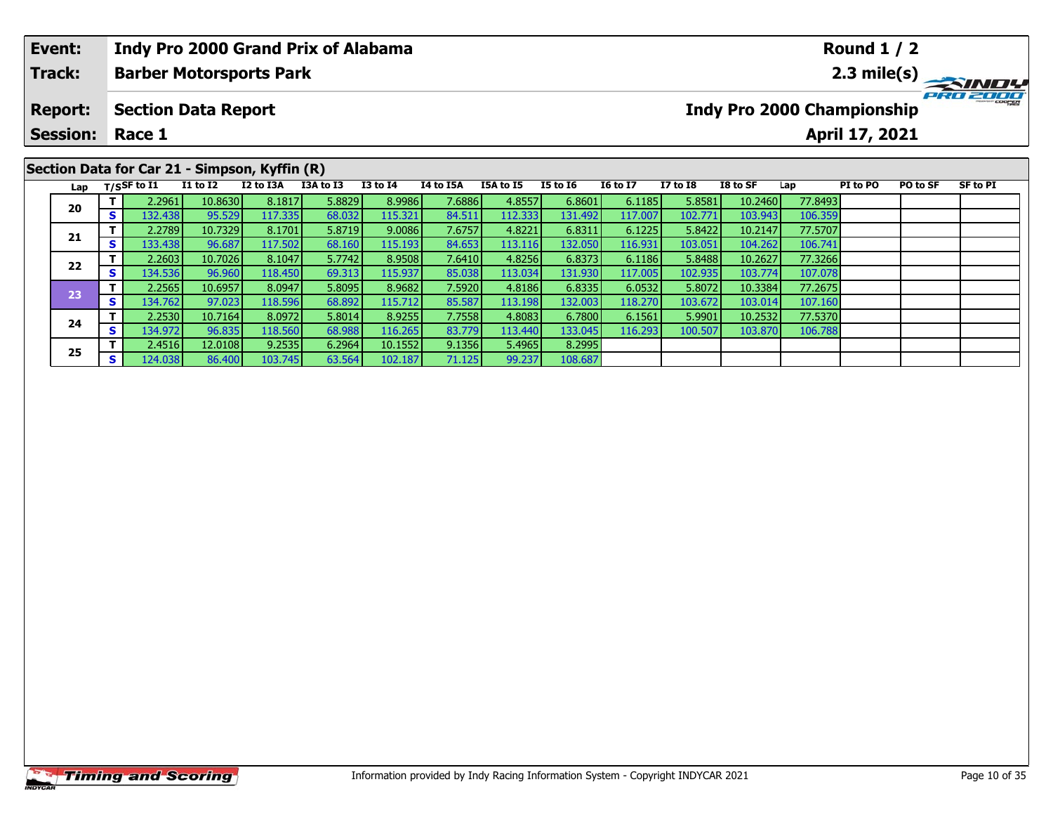| Event:          |              |                   | Indy Pro 2000 Grand Prix of Alabama           |           |           |                 |           |           |                 |                 |                 |                            |         | <b>Round 1 / 2</b> |          |                 |
|-----------------|--------------|-------------------|-----------------------------------------------|-----------|-----------|-----------------|-----------|-----------|-----------------|-----------------|-----------------|----------------------------|---------|--------------------|----------|-----------------|
| <b>Track:</b>   |              |                   | <b>Barber Motorsports Park</b>                |           |           |                 |           |           |                 |                 |                 |                            |         |                    |          |                 |
| <b>Report:</b>  |              |                   | <b>Section Data Report</b>                    |           |           |                 |           |           |                 |                 |                 | Indy Pro 2000 Championship |         |                    |          | PRO 2000        |
| <b>Session:</b> |              | Race 1            |                                               |           |           |                 |           |           |                 |                 |                 |                            |         | April 17, 2021     |          |                 |
|                 |              |                   | Section Data for Car 21 - Simpson, Kyffin (R) |           |           |                 |           |           |                 |                 |                 |                            |         |                    |          |                 |
|                 |              | Lap $T/SSF$ to I1 | <b>I1 to I2</b>                               | I2 to I3A | I3A to I3 | <b>I3 to I4</b> | I4 to I5A | I5A to I5 | <b>I5 to I6</b> | <b>16 to 17</b> | <b>I7 to I8</b> | I8 to SF                   | Lap     | PI to PO           | PO to SF | <b>SF to PI</b> |
| 20              |              | 2.2961            | 10.8630                                       | 8.1817    | 5.8829    | 8.9986          | 7.6886    | 4.8557    | 6.8601          | 6.1185          | 5.8581          | 10.2460                    | 77.8493 |                    |          |                 |
|                 | $\mathbf{s}$ | 132.438           | 95.529                                        | 117.335   | 68.032    | 115.321         | 84.511    | 112.333   | 131.492         | 117.007         | 102.771         | 103.943                    | 106.359 |                    |          |                 |
|                 |              | 2.2789            | 10.7329                                       | 8.1701    | 5.8719    | 9.0086          | 7.6757    | 4.8221    | 6.8311          | 6.1225          | 5.8422          | 10.2147                    | 77.5707 |                    |          |                 |
| 21              |              | 133.438           | 96.687                                        | 117.502   | 68.160    | 115.193         | 84.653    | 113.116   | 132.050         | 116.931         | 103.051         | 104.262                    | 106.741 |                    |          |                 |

**<sup>T</sup>** 2.2603 10.7026 8.1047 5.7742 8.9508 7.6410 4.8256 6.8373 6.1186 5.8488 10.2627 77.3266 **<sup>S</sup>** 134.536 96.960 118.450 69.313 115.937 85.038 113.034 131.930 117.005 102.935 103.774 107.078

**<sup>T</sup>** 2.2565 10.6957 8.0947 5.8095 8.9682 7.5920 4.8186 6.8335 6.0532 5.8072 10.3384 77.2675 **<sup>S</sup>** 134.762 97.023 118.596 68.892 115.712 85.587 113.198 132.003 118.270 103.672 103.014 107.160

**<sup>T</sup>** 2.2530 10.7164 8.0972 5.8014 8.9255 7.7558 4.8083 6.7800 6.1561 5.9901 10.2532 77.5370 **<sup>S</sup>** 134.972 96.835 118.560 68.988 116.265 83.779 113.440 133.045 116.293 100.507 103.870 106.788

**<sup>T</sup>** 2.4516 12.0108 9.2535 6.2964 10.1552 9.1356 5.4965 8.2995 **<sup>S</sup>** 124.038 86.400 103.745 63.564 102.187 71.125 99.237 108.687

**22**

**23**

**24**

**25**

106.741

107.07

107.160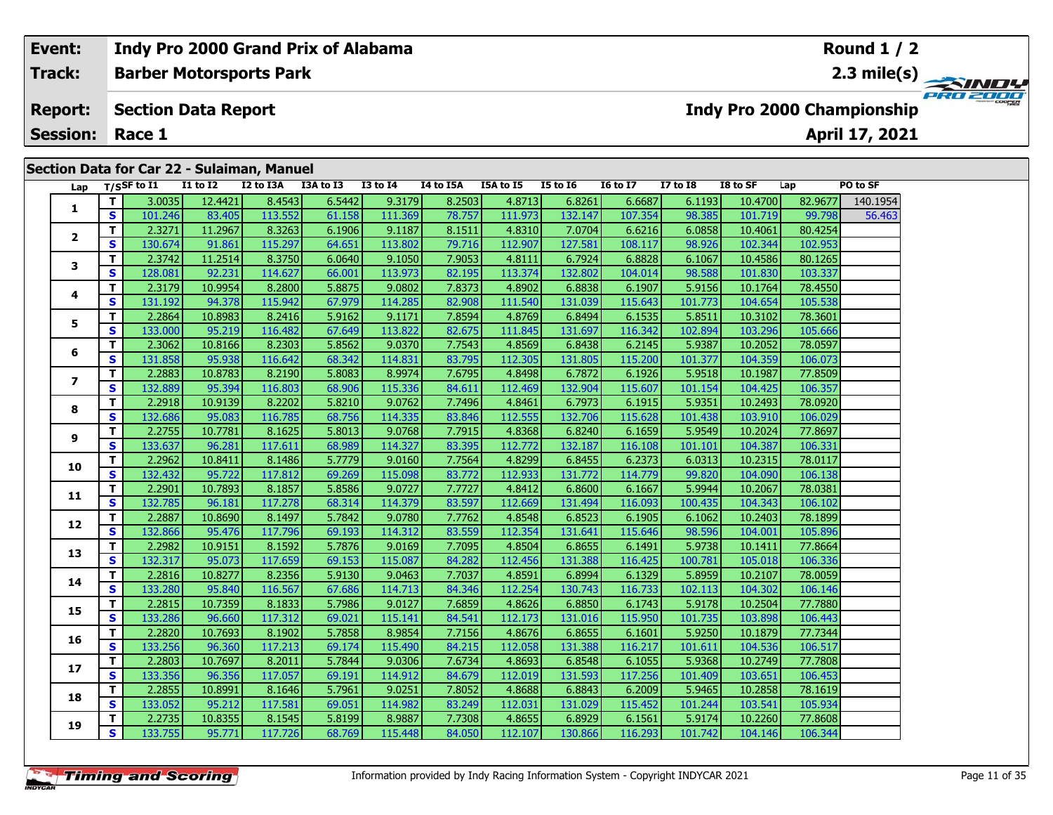| Event:                  |     |                            |                 | Indy Pro 2000 Grand Prix of Alabama        |           |                 |                  |           |                 |                 |              |          |         | Round $1/2$                       |                 |
|-------------------------|-----|----------------------------|-----------------|--------------------------------------------|-----------|-----------------|------------------|-----------|-----------------|-----------------|--------------|----------|---------|-----------------------------------|-----------------|
| <b>Track:</b>           |     |                            |                 | <b>Barber Motorsports Park</b>             |           |                 |                  |           |                 |                 |              |          |         |                                   |                 |
| <b>Report:</b>          |     | <b>Section Data Report</b> |                 |                                            |           |                 |                  |           |                 |                 |              |          |         | <b>Indy Pro 2000 Championship</b> | <b>PRO 2000</b> |
| <b>Session:</b>         |     | Race 1                     |                 |                                            |           |                 |                  |           |                 |                 |              |          |         | April 17, 2021                    |                 |
|                         |     |                            |                 | Section Data for Car 22 - Sulaiman, Manuel |           |                 |                  |           |                 |                 |              |          |         |                                   |                 |
|                         |     | Lap $T/S$ SF to I1         | <b>I1 to I2</b> | I2 to I3A                                  | I3A to I3 | <b>I3 to I4</b> | <b>I4 to I5A</b> | I5A to I5 | <b>I5 to I6</b> | <b>16 to 17</b> | $I7$ to $I8$ | I8 to SF | Lap     | <b>PO to SF</b>                   |                 |
|                         |     | 3.0035                     | 12.4421         | 8.4543                                     | 6.5442    | 9.3179          | 8.2503           | 4.8713    | 6.8261          | 6.6687          | 6.1193       | 10.4700  | 82.9677 | 140.1954                          |                 |
|                         | s ' | 101.246                    | 83.405          | 113.552                                    | 61.158    | 111.369         | 78.757           | 111.973   | 132.147         | 107.354         | 98.385       | 101.719  | 99.798  | 56.463                            |                 |
|                         |     | 2.3271                     | 11.2967         | 8.3263                                     | 6.1906    | 9.1187          | 8.1511           | 4.8310    | 7.0704          | 6.6216          | 6.0858       | 10.4061  | 80.4254 |                                   |                 |
| $\overline{\mathbf{2}}$ | S.  | 130.674                    | 91.861          | 115.297                                    | 64.651    | 113.802         | 79.716           | 112.907   | 127.581         | 108.117         | 98.926       | 102.344  | 102.953 |                                   |                 |

**<sup>T</sup>** 2.3742 11.2514 8.3750 6.0640 9.1050 7.9053 4.8111 6.7924 6.8828 6.1067 10.4586 80.1265 **<sup>S</sup>** 128.081 92.231 114.627 66.001 113.973 82.195 113.374 132.802 104.014 98.588 101.830 103.337

**<sup>T</sup>** 2.3179 10.9954 8.2800 5.8875 9.0802 7.8373 4.8902 6.8838 6.1907 5.9156 10.1764 78.4550 **<sup>S</sup>** 131.192 94.378 115.942 67.979 114.285 82.908 111.540 131.039 115.643 101.773 104.654 105.538

**<sup>T</sup>** 2.2864 10.8983 8.2416 5.9162 9.1171 7.8594 4.8769 6.8494 6.1535 5.8511 10.3102 78.3601 **<sup>S</sup>** 133.000 95.219 116.482 67.649 113.822 82.675 111.845 131.697 116.342 102.894 103.296 105.666

**<sup>T</sup>** 2.3062 10.8166 8.2303 5.8562 9.0370 7.7543 4.8569 6.8438 6.2145 5.9387 10.2052 78.0597 **<sup>S</sup>** 131.858 95.938 116.642 68.342 114.831 83.795 112.305 131.805 115.200 101.377 104.359 106.073

**<sup>T</sup>** 2.2883 10.8783 8.2190 5.8083 8.9974 7.6795 4.8498 6.7872 6.1926 5.9518 10.1987 77.8509 **<sup>S</sup>** 132.889 95.394 116.803 68.906 115.336 84.611 112.469 132.904 115.607 101.154 104.425 106.357

**<sup>T</sup>** 2.2918 10.9139 8.2202 5.8210 9.0762 7.7496 4.8461 6.7973 6.1915 5.9351 10.2493 78.0920 **<sup>S</sup>** 132.686 95.083 116.785 68.756 114.335 83.846 112.555 132.706 115.628 101.438 103.910 106.029

**<sup>T</sup>** 2.2755 10.7781 8.1625 5.8013 9.0768 7.7915 4.8368 6.8240 6.1659 5.9549 10.2024 77.8697 **<sup>S</sup>** 133.637 96.281 117.611 68.989 114.327 83.395 112.772 132.187 116.108 101.101 104.387 106.331

**<sup>T</sup>** 2.2962 10.8411 8.1486 5.7779 9.0160 7.7564 4.8299 6.8455 6.2373 6.0313 10.2315 78.0117 **<sup>S</sup>** 132.432 95.722 117.812 69.269 115.098 83.772 112.933 131.772 114.779 99.820 104.090 106.138

**<sup>T</sup>** 2.2901 10.7893 8.1857 5.8586 9.0727 7.7727 4.8412 6.8600 6.1667 5.9944 10.2067 78.0381 **<sup>S</sup>** 132.785 96.181 117.278 68.314 114.379 83.597 112.669 131.494 116.093 100.435 104.343 106.102

**<sup>T</sup>** 2.2887 10.8690 8.1497 5.7842 9.0780 7.7762 4.8548 6.8523 6.1905 6.1062 10.2403 78.1899 **<sup>S</sup>** 132.866 95.476 117.796 69.193 114.312 83.559 112.354 131.641 115.646 98.596 104.001 105.896

**<sup>T</sup>** 2.2982 10.9151 8.1592 5.7876 9.0169 7.7095 4.8504 6.8655 6.1491 5.9738 10.1411 77.8664 **<sup>S</sup>** 132.317 95.073 117.659 69.153 115.087 84.282 112.456 131.388 116.425 100.781 105.018 106.336

**<sup>T</sup>** 2.2816 10.8277 8.2356 5.9130 9.0463 7.7037 4.8591 6.8994 6.1329 5.8959 10.2107 78.0059 **<sup>S</sup>** 133.280 95.840 116.567 67.686 114.713 84.346 112.254 130.743 116.733 102.113 104.302 106.146

**<sup>T</sup>** 2.2815 10.7359 8.1833 5.7986 9.0127 7.6859 4.8626 6.8850 6.1743 5.9178 10.2504 77.7880 **<sup>S</sup>** 133.286 96.660 117.312 69.021 115.141 84.541 112.173 131.016 115.950 101.735 103.898 106.443

**<sup>T</sup>** 2.2820 10.7693 8.1902 5.7858 8.9854 7.7156 4.8676 6.8655 6.1601 5.9250 10.1879 77.7344 **<sup>S</sup>** 133.256 96.360 117.213 69.174 115.490 84.215 112.058 131.388 116.217 101.611 104.536 106.517

**<sup>T</sup>** 2.2803 10.7697 8.2011 5.7844 9.0306 7.6734 4.8693 6.8548 6.1055 5.9368 10.2749 77.7808 **<sup>S</sup>** 133.356 96.356 117.057 69.191 114.912 84.679 112.019 131.593 117.256 101.409 103.651 106.453

**<sup>T</sup>** 2.2855 10.8991 8.1646 5.7961 9.0251 7.8052 4.8688 6.8843 6.2009 5.9465 10.2858 78.1619 **<sup>S</sup>** 133.052 95.212 117.581 69.051 114.982 83.249 112.031 131.029 115.452 101.244 103.541 105.934

**<sup>T</sup>** 2.2735 10.8355 8.1545 5.8199 8.9887 7.7308 4.8655 6.8929 6.1561 5.9174 10.2260 77.8608 **<sup>S</sup>** 133.755 95.771 117.726 68.769 115.448 84.050 112.107 130.866 116.293 101.742 104.146 106.344

**3**

**4**

**5**

**6**

**7**

**8**

**9**

**10**

**11**

**12**

**13**

**14**

**15**

**16**

**17**

**18**

**19**

105.53

106.357

106.331

106.146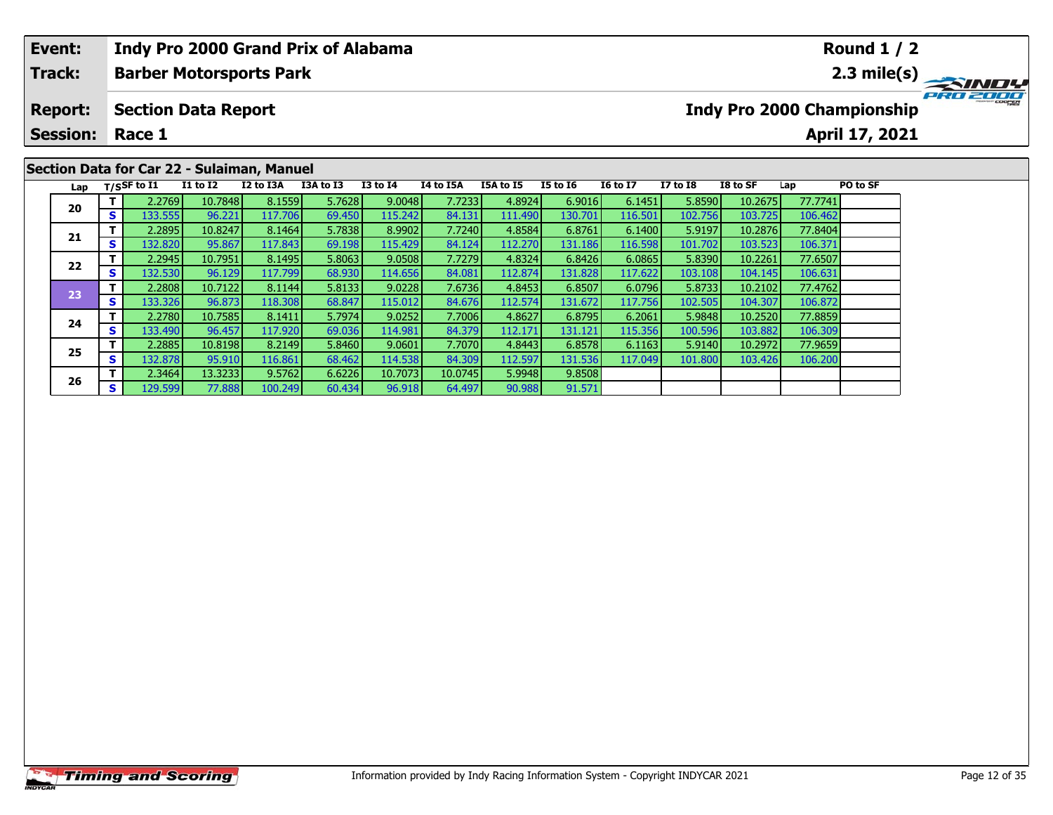| Event:                 |     |             | Indy Pro 2000 Grand Prix of Alabama        |           |           |                 |           |           |                 |                 |              |          |         | <b>Round 1 / 2</b>         |             |
|------------------------|-----|-------------|--------------------------------------------|-----------|-----------|-----------------|-----------|-----------|-----------------|-----------------|--------------|----------|---------|----------------------------|-------------|
| <b>Track:</b>          |     |             | <b>Barber Motorsports Park</b>             |           |           |                 |           |           |                 |                 |              |          |         |                            | 2.3 mile(s) |
| <b>Report:</b>         |     |             | <b>Section Data Report</b>                 |           |           |                 |           |           |                 |                 |              |          |         | Indy Pro 2000 Championship |             |
| <b>Session: Race 1</b> |     |             |                                            |           |           |                 |           |           |                 |                 |              |          |         | April 17, 2021             |             |
|                        |     |             |                                            |           |           |                 |           |           |                 |                 |              |          |         |                            |             |
|                        |     |             | Section Data for Car 22 - Sulaiman, Manuel |           |           |                 |           |           |                 |                 |              |          |         |                            |             |
| Lap                    |     | T/SSF to I1 | <b>I1 to I2</b>                            | I2 to I3A | I3A to I3 | <b>I3 to I4</b> | I4 to I5A | I5A to I5 | <b>I5 to 16</b> | <b>I6 to I7</b> | $I7$ to $I8$ | I8 to SF | Lap     | PO to SF                   |             |
| 20                     |     | 2.2769      | 10.7848                                    | 8.1559    | 5.7628    | 9.0048          | 7.7233    | 4.8924    | 6.9016          | 6.1451          | 5.8590       | 10.2675  | 77.7741 |                            |             |
|                        | s l | 133.555     | 96.221                                     | 117.706   | 69.450    | 115.242         | 84.131    | 111.490   | 130.701         | 116.501         | 102.756      | 103.725  | 106.462 |                            |             |
|                        |     | 2.2895      | 10.8247                                    | 8.1464    | 5.7838    | 8.9902          | 7.7240    | 4.8584    | 6.8761          | 6.1400          | 5.9197       | 10.2876  | 77.8404 |                            |             |
| 21                     | S.  | 132.8201    | 95.867                                     | 117.843   | 69.198    | 115.429         | 84.124    | 112.270   | 131.186         | 116.598         | 101.702      | 103.523  | 106.371 |                            |             |

91.571

**<sup>T</sup>** 2.2945 10.7951 8.1495 5.8063 9.0508 7.7279 4.8324 6.8426 6.0865 5.8390 10.2261 77.6507 **<sup>S</sup>** 132.530 96.129 117.799 68.930 114.656 84.081 112.874 131.828 117.622 103.108 104.145 106.631

**<sup>T</sup>** 2.2808 10.7122 8.1144 5.8133 9.0228 7.6736 4.8453 6.8507 6.0796 5.8733 10.2102 77.4762 **<sup>S</sup>** 133.326 96.873 118.308 68.847 115.012 84.676 112.574 131.672 117.756 102.505 104.307 106.872

**<sup>T</sup>** 2.2780 10.7585 8.1411 5.7974 9.0252 7.7006 4.8627 6.8795 6.2061 5.9848 10.2520 77.8859 **<sup>S</sup>** 133.490 96.457 117.920 69.036 114.981 84.379 112.171 131.121 115.356 100.596 103.882 106.309

**<sup>T</sup>** 2.2885 10.8198 8.2149 5.8460 9.0601 7.7070 4.8443 6.8578 6.1163 5.9140 10.2972 77.9659 **<sup>S</sup>** 132.878 95.910 116.861 68.462 114.538 84.309 112.597 131.536 117.049 101.800 103.426 106.200

**<sup>T</sup>** 2.3464 13.3233 9.5762 6.6226 10.7073 10.0745 5.9948 9.8508 **<sup>S</sup>** 129.599 77.888 100.249 60.434 96.918 64.497 90.988 91.571

# **Timing and Scoring**

**22**

**23**

**24**

**25**

**26**

106.371

106.631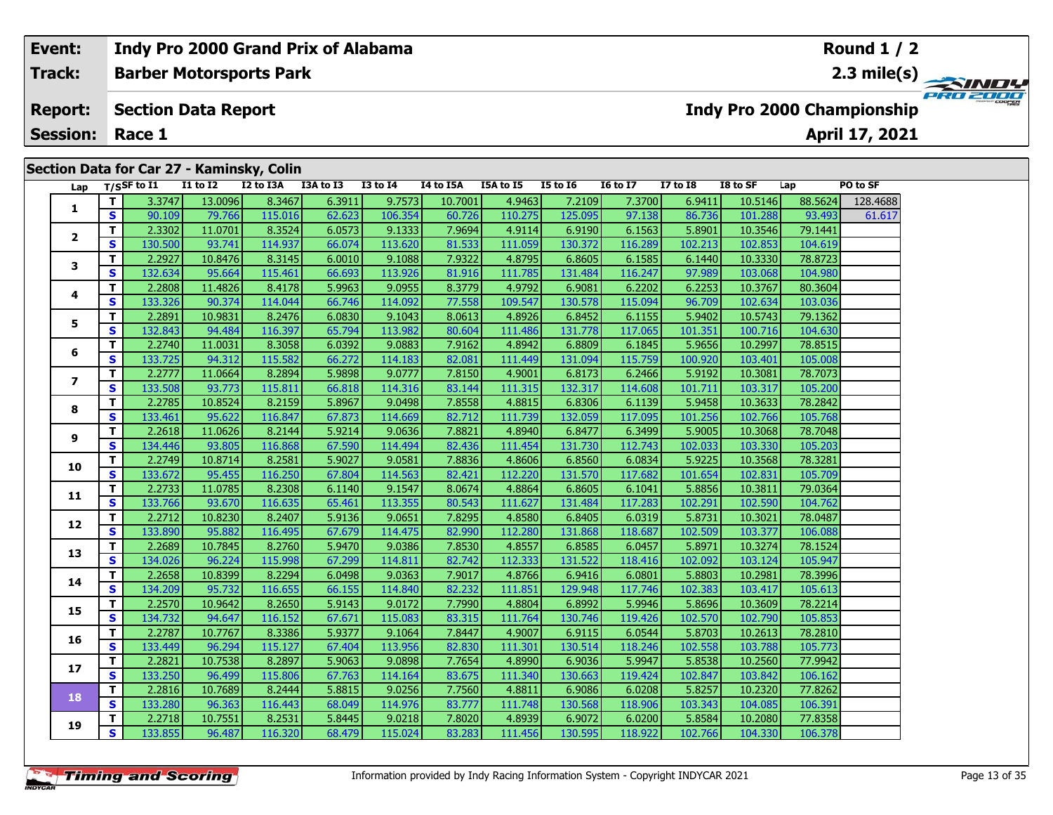#### **Event:Round 1 / 2 Indy Pro 2000 Grand Prix of Alabama Track:Barber Motorsports Park 2.3 mile(s)** PRO 200 **Report: Section Data Report Indy Pro 2000 Championship April 17, 2021 Session: Race 1 Section Data for Car 27 - Kaminsky, Colin Lap T/SSF to I1 I1 to I2 I2 to I3A I3A to I3 I3 to I4 I4 to I5A I5A to I5 I5 to I6 I6 to I7 I7 to I8 I8 to SF Lap PO to SF**   $\Box$ **T** 3.3747 13.0096 8.3467 6.3911 9.7573 10.7001 4.9463 7.2109 7.3700 6.9411 10.5146 88.5624 128.4688 **1 <sup>T</sup>** 2.3302 11.0701 8.3524 6.0573 9.1333 7.9694 4.9114 6.9190 6.1563 5.8901 10.3546 79.1441 **<sup>S</sup>** 130.500 93.741 114.937 66.074 113.620 81.533 111.059 130.372 116.289 102.213 102.853 104.619**2**

| S<br>90.109<br>79.766<br>115.016<br>62.623<br>106.354<br>60.726<br>110.275<br>125.095<br>97.138<br>101.288<br>93.493<br>86.736<br>T.<br>2.3302<br>8.3524<br>7.9694<br>6.9190<br>11.0701<br>6.0573<br>9.1333<br>4.9114<br>6.1563<br>5.8901<br>10.3546<br>79.1441<br>$\overline{\mathbf{2}}$<br>$\mathbf{s}$<br>130.500<br>114.937<br>113.620<br>81.533<br>111.059<br>130.372<br>116.289<br>102.213<br>93.741<br>66.074<br>102.853<br>104.619<br>T<br>2.2927<br>8.3145<br>7.9322<br>4.8795<br>6.8605<br>78.8723<br>10.8476<br>6.0010<br>9.1088<br>6.1585<br>6.1440<br>10.3330<br>3<br>$\mathbf{s}$<br>132.634<br>95.664<br>115.461<br>66.693<br>113.926<br>81.916<br>111.785<br>116.247<br>97.989<br>103.068<br>104.980<br>131.484<br>т<br>2.2808<br>8.4178<br>8.3779<br>5.9963<br>9.0955<br>4.9792<br>6.9081<br>6.2202<br>6.2253<br>10.3767<br>80.3604<br>11.4826<br>4<br>s<br>133.326<br>114.044<br>77.558<br>130.578<br>96.709<br>90.374<br>66.746<br>114.092<br>109.547<br>115.094<br>102.634<br>103.036<br>2.2891<br>Т<br>8.2476<br>8.0613<br>4.8926<br>6.8452<br>5.9402<br>10.5743<br>79.1362<br>10.9831<br>6.0830<br>9.1043<br>6.1155<br>5<br>$\mathbf{s}$<br>132.843<br>94.484<br>116.397<br>65.794<br>113.982<br>80.604<br>111.486<br>131.778<br>117.065<br>101.351<br>100.716<br>104.630<br>T<br>2.2740<br>8.3058<br>6.8809<br>6.0392<br>9.0883<br>7.9162<br>4.8942<br>6.1845<br>5.9656<br>10.2997<br>78.8515<br>11.0031<br>6<br>s<br>133.725<br>115.582<br>111.449<br>94.312<br>66.272<br>114.183<br>82.081<br>131.094<br>115.759<br>100.920<br>103.401<br>105.008<br>T.<br>2.2777<br>8.2894<br>7.8150<br>6.8173<br>5.9192<br>78.7073<br>11.0664<br>5.9898<br>9.0777<br>4.9001<br>6.2466<br>10.3081<br>$\overline{ }$<br>S<br>133.508<br>93.773<br>115.811<br>114.316<br>83.144<br>111.315<br>132.317<br>101.711<br>105.200<br>66.818<br>114.608<br>103.317<br>T<br>2.2785<br>10.8524<br>8.2159<br>5.8967<br>9.0498<br>7.8558<br>4.8815<br>6.8306<br>6.1139<br>5.9458<br>10.3633<br>78.2842<br>8<br>$\mathbf{s}$<br>132.059<br>133.461<br>95.622<br>116.847<br>67.873<br>114.669<br>82.712<br>111.739<br>117.095<br>101.256<br>102.766<br>105.768<br>т<br>2.2618<br>7.8821<br>11.0626<br>8.2144<br>5.9214<br>9.0636<br>4.8940<br>6.8477<br>6.3499<br>5.9005<br>10.3068<br>78.7048<br>9<br>S<br>116.868<br>134.446<br>93.805<br>67.590<br>114.494<br>82.436<br>111.454<br>131.730<br>112.743<br>102.033<br>103.330<br>105.203<br>т<br>2.2749<br>8.2581<br>7.8836<br>6.8560<br>10.8714<br>5.9027<br>9.0581<br>4.8606<br>6.0834<br>5.9225<br>10.3568<br>78.3281<br>10<br>S<br>133.672<br>116.250<br>112.220<br>131.570<br>105.709<br>95.455<br>67.804<br>114.563<br>82.421<br>117.682<br>101.654<br>102.831<br>T.<br>2.2733<br>8.2308<br>9.1547<br>8.0674<br>6.8605<br>11.0785<br>6.1140<br>4.8864<br>6.1041<br>5.8856<br>10.3811<br>79.0364<br>11<br>S<br>133.766<br>116.635<br>113.355<br>80.543<br>93.670<br>65.461<br>111.627<br>131.484<br>117.283<br>102.291<br>102.590<br>104.762<br>T.<br>2.2712<br>10.8230<br>8.2407<br>5.9136<br>7.8295<br>4.8580<br>6.8405<br>6.0319<br>5.8731<br>9.0651<br>10.3021<br>78.0487<br>12<br>S<br>133.890<br>82.990<br>95.882<br>116.495<br>67.679<br>114.475<br>112.280<br>131.868<br>118.687<br>102.509<br>103.377<br>106.088<br>T.<br>2.2689<br>7.8530<br>10.7845<br>8.2760<br>5.9470<br>4.8557<br>6.8585<br>6.0457<br>5.8971<br>10.3274<br>78.1524<br>9.0386<br>13<br>S<br>134.026<br>131.522<br>96.224<br>115.998<br>67.299<br>114.811<br>82.742<br>112.333<br>102.092<br>103.124<br>105.947<br>118.416<br>T.<br>2.2658<br>10.8399<br>8.2294<br>7.9017<br>4.8766<br>6.9416<br>78.3996<br>6.0498<br>9.0363<br>6.0801<br>5.8803<br>10.2981<br>14<br>S<br>134.209<br>95.732<br>116.655<br>66.155<br>82.232<br>111.851<br>129.948<br>117.746<br>103.417<br>105.613<br>114.840<br>102.383<br>т<br>2.2570<br>7.7990<br>6.8992<br>78.2214<br>10.9642<br>8.2650<br>5.9143<br>9.0172<br>4.8804<br>5.9946<br>5.8696<br>10.3609<br>15<br>S<br>134.732<br>94.647<br>116.152<br>67.671<br>115.083<br>83.315<br>111.764<br>130.746<br>119.426<br>102.570<br>102.790<br>105.853<br>T<br>2.2787<br>8.3386<br>5.9377<br>7.8447<br>6.9115<br>78.2810<br>10.7767<br>9.1064<br>4.9007<br>6.0544<br>5.8703<br>10.2613<br>16<br>$\mathbf{s}$<br>133.449<br>115.127<br>113.956<br>111.301<br>130.514<br>102.558<br>105.773<br>96.294<br>67.404<br>82.830<br>118.246<br>103.788<br>T.<br>2.2821<br>7.7654<br>77.9942<br>10.7538<br>8.2897<br>5.9063<br>9.0898<br>4.8990<br>6.9036<br>5.9947<br>5.8538<br>10.2560<br>17 <sub>2</sub><br>$\mathbf{s}$<br>133.250<br>96.499<br>115.806<br>67.763<br>114.164<br>83.675<br>111.340<br>130.663<br>119.424<br>102.847<br>103.842<br>106.162<br>T<br>2.2816<br>5.8815<br>7.7560<br>6.9086<br>77.8262<br>10.7689<br>8.2444<br>9.0256<br>4.8811<br>6.0208<br>5.8257<br>10.2320<br>18<br>$\mathbf{s}$<br>133.280<br>130.568<br>96.363<br>116.443<br>68.049<br>114.976<br>83.777<br>111.748<br>118.906<br>103.343<br>104.085<br>106.391<br>т<br>2.2718<br>10.7551<br>8.2531<br>5.8445<br>9.0218<br>7.8020<br>4.8939<br>6.9072<br>6.0200<br>5.8584<br>10.2080<br>77.8358<br>19<br>S<br>133.855<br>130.595<br>96.487<br>116.320<br>68.479<br>115.024<br>83.283<br>111.456<br>118.922<br>102.766<br>104.330<br>106.378 | 1 | ודוכ.כ | סבּחַטיכד | 0.ט <del>ו</del> יכ | 0.3311 | 3.7373 | 10.7001 | כטדי.ד | 7.2109 | 7.3700 | 0.7411 | 10.3140 | דשטכ.סס | 120.7000 |
|----------------------------------------------------------------------------------------------------------------------------------------------------------------------------------------------------------------------------------------------------------------------------------------------------------------------------------------------------------------------------------------------------------------------------------------------------------------------------------------------------------------------------------------------------------------------------------------------------------------------------------------------------------------------------------------------------------------------------------------------------------------------------------------------------------------------------------------------------------------------------------------------------------------------------------------------------------------------------------------------------------------------------------------------------------------------------------------------------------------------------------------------------------------------------------------------------------------------------------------------------------------------------------------------------------------------------------------------------------------------------------------------------------------------------------------------------------------------------------------------------------------------------------------------------------------------------------------------------------------------------------------------------------------------------------------------------------------------------------------------------------------------------------------------------------------------------------------------------------------------------------------------------------------------------------------------------------------------------------------------------------------------------------------------------------------------------------------------------------------------------------------------------------------------------------------------------------------------------------------------------------------------------------------------------------------------------------------------------------------------------------------------------------------------------------------------------------------------------------------------------------------------------------------------------------------------------------------------------------------------------------------------------------------------------------------------------------------------------------------------------------------------------------------------------------------------------------------------------------------------------------------------------------------------------------------------------------------------------------------------------------------------------------------------------------------------------------------------------------------------------------------------------------------------------------------------------------------------------------------------------------------------------------------------------------------------------------------------------------------------------------------------------------------------------------------------------------------------------------------------------------------------------------------------------------------------------------------------------------------------------------------------------------------------------------------------------------------------------------------------------------------------------------------------------------------------------------------------------------------------------------------------------------------------------------------------------------------------------------------------------------------------------------------------------------------------------------------------------------------------------------------------------------------------------------------------------------------------------------------------------------------------------------------------------------------------------------------------------------------------------------------------------------------------------------------------------------------------------------------------------------------------------------------------------------------------------------------------------------------------------------------------------------------------------------------------------------------------------------------------------------------------------------------------------------------------------------------------------------------------------------------------------------------------------------------------------------------------------------------------------------------------------------------------------------------------------------------------------------------------------------------------------------------------------------------------------------------------------------------------------------------------------------|---|--------|-----------|---------------------|--------|--------|---------|--------|--------|--------|--------|---------|---------|----------|
|                                                                                                                                                                                                                                                                                                                                                                                                                                                                                                                                                                                                                                                                                                                                                                                                                                                                                                                                                                                                                                                                                                                                                                                                                                                                                                                                                                                                                                                                                                                                                                                                                                                                                                                                                                                                                                                                                                                                                                                                                                                                                                                                                                                                                                                                                                                                                                                                                                                                                                                                                                                                                                                                                                                                                                                                                                                                                                                                                                                                                                                                                                                                                                                                                                                                                                                                                                                                                                                                                                                                                                                                                                                                                                                                                                                                                                                                                                                                                                                                                                                                                                                                                                                                                                                                                                                                                                                                                                                                                                                                                                                                                                                                                                                                                                                                                                                                                                                                                                                                                                                                                                                                                                                                                                                                                  |   |        |           |                     |        |        |         |        |        |        |        |         |         | 61.617   |
|                                                                                                                                                                                                                                                                                                                                                                                                                                                                                                                                                                                                                                                                                                                                                                                                                                                                                                                                                                                                                                                                                                                                                                                                                                                                                                                                                                                                                                                                                                                                                                                                                                                                                                                                                                                                                                                                                                                                                                                                                                                                                                                                                                                                                                                                                                                                                                                                                                                                                                                                                                                                                                                                                                                                                                                                                                                                                                                                                                                                                                                                                                                                                                                                                                                                                                                                                                                                                                                                                                                                                                                                                                                                                                                                                                                                                                                                                                                                                                                                                                                                                                                                                                                                                                                                                                                                                                                                                                                                                                                                                                                                                                                                                                                                                                                                                                                                                                                                                                                                                                                                                                                                                                                                                                                                                  |   |        |           |                     |        |        |         |        |        |        |        |         |         |          |
|                                                                                                                                                                                                                                                                                                                                                                                                                                                                                                                                                                                                                                                                                                                                                                                                                                                                                                                                                                                                                                                                                                                                                                                                                                                                                                                                                                                                                                                                                                                                                                                                                                                                                                                                                                                                                                                                                                                                                                                                                                                                                                                                                                                                                                                                                                                                                                                                                                                                                                                                                                                                                                                                                                                                                                                                                                                                                                                                                                                                                                                                                                                                                                                                                                                                                                                                                                                                                                                                                                                                                                                                                                                                                                                                                                                                                                                                                                                                                                                                                                                                                                                                                                                                                                                                                                                                                                                                                                                                                                                                                                                                                                                                                                                                                                                                                                                                                                                                                                                                                                                                                                                                                                                                                                                                                  |   |        |           |                     |        |        |         |        |        |        |        |         |         |          |
|                                                                                                                                                                                                                                                                                                                                                                                                                                                                                                                                                                                                                                                                                                                                                                                                                                                                                                                                                                                                                                                                                                                                                                                                                                                                                                                                                                                                                                                                                                                                                                                                                                                                                                                                                                                                                                                                                                                                                                                                                                                                                                                                                                                                                                                                                                                                                                                                                                                                                                                                                                                                                                                                                                                                                                                                                                                                                                                                                                                                                                                                                                                                                                                                                                                                                                                                                                                                                                                                                                                                                                                                                                                                                                                                                                                                                                                                                                                                                                                                                                                                                                                                                                                                                                                                                                                                                                                                                                                                                                                                                                                                                                                                                                                                                                                                                                                                                                                                                                                                                                                                                                                                                                                                                                                                                  |   |        |           |                     |        |        |         |        |        |        |        |         |         |          |
|                                                                                                                                                                                                                                                                                                                                                                                                                                                                                                                                                                                                                                                                                                                                                                                                                                                                                                                                                                                                                                                                                                                                                                                                                                                                                                                                                                                                                                                                                                                                                                                                                                                                                                                                                                                                                                                                                                                                                                                                                                                                                                                                                                                                                                                                                                                                                                                                                                                                                                                                                                                                                                                                                                                                                                                                                                                                                                                                                                                                                                                                                                                                                                                                                                                                                                                                                                                                                                                                                                                                                                                                                                                                                                                                                                                                                                                                                                                                                                                                                                                                                                                                                                                                                                                                                                                                                                                                                                                                                                                                                                                                                                                                                                                                                                                                                                                                                                                                                                                                                                                                                                                                                                                                                                                                                  |   |        |           |                     |        |        |         |        |        |        |        |         |         |          |
|                                                                                                                                                                                                                                                                                                                                                                                                                                                                                                                                                                                                                                                                                                                                                                                                                                                                                                                                                                                                                                                                                                                                                                                                                                                                                                                                                                                                                                                                                                                                                                                                                                                                                                                                                                                                                                                                                                                                                                                                                                                                                                                                                                                                                                                                                                                                                                                                                                                                                                                                                                                                                                                                                                                                                                                                                                                                                                                                                                                                                                                                                                                                                                                                                                                                                                                                                                                                                                                                                                                                                                                                                                                                                                                                                                                                                                                                                                                                                                                                                                                                                                                                                                                                                                                                                                                                                                                                                                                                                                                                                                                                                                                                                                                                                                                                                                                                                                                                                                                                                                                                                                                                                                                                                                                                                  |   |        |           |                     |        |        |         |        |        |        |        |         |         |          |
|                                                                                                                                                                                                                                                                                                                                                                                                                                                                                                                                                                                                                                                                                                                                                                                                                                                                                                                                                                                                                                                                                                                                                                                                                                                                                                                                                                                                                                                                                                                                                                                                                                                                                                                                                                                                                                                                                                                                                                                                                                                                                                                                                                                                                                                                                                                                                                                                                                                                                                                                                                                                                                                                                                                                                                                                                                                                                                                                                                                                                                                                                                                                                                                                                                                                                                                                                                                                                                                                                                                                                                                                                                                                                                                                                                                                                                                                                                                                                                                                                                                                                                                                                                                                                                                                                                                                                                                                                                                                                                                                                                                                                                                                                                                                                                                                                                                                                                                                                                                                                                                                                                                                                                                                                                                                                  |   |        |           |                     |        |        |         |        |        |        |        |         |         |          |
|                                                                                                                                                                                                                                                                                                                                                                                                                                                                                                                                                                                                                                                                                                                                                                                                                                                                                                                                                                                                                                                                                                                                                                                                                                                                                                                                                                                                                                                                                                                                                                                                                                                                                                                                                                                                                                                                                                                                                                                                                                                                                                                                                                                                                                                                                                                                                                                                                                                                                                                                                                                                                                                                                                                                                                                                                                                                                                                                                                                                                                                                                                                                                                                                                                                                                                                                                                                                                                                                                                                                                                                                                                                                                                                                                                                                                                                                                                                                                                                                                                                                                                                                                                                                                                                                                                                                                                                                                                                                                                                                                                                                                                                                                                                                                                                                                                                                                                                                                                                                                                                                                                                                                                                                                                                                                  |   |        |           |                     |        |        |         |        |        |        |        |         |         |          |
|                                                                                                                                                                                                                                                                                                                                                                                                                                                                                                                                                                                                                                                                                                                                                                                                                                                                                                                                                                                                                                                                                                                                                                                                                                                                                                                                                                                                                                                                                                                                                                                                                                                                                                                                                                                                                                                                                                                                                                                                                                                                                                                                                                                                                                                                                                                                                                                                                                                                                                                                                                                                                                                                                                                                                                                                                                                                                                                                                                                                                                                                                                                                                                                                                                                                                                                                                                                                                                                                                                                                                                                                                                                                                                                                                                                                                                                                                                                                                                                                                                                                                                                                                                                                                                                                                                                                                                                                                                                                                                                                                                                                                                                                                                                                                                                                                                                                                                                                                                                                                                                                                                                                                                                                                                                                                  |   |        |           |                     |        |        |         |        |        |        |        |         |         |          |
|                                                                                                                                                                                                                                                                                                                                                                                                                                                                                                                                                                                                                                                                                                                                                                                                                                                                                                                                                                                                                                                                                                                                                                                                                                                                                                                                                                                                                                                                                                                                                                                                                                                                                                                                                                                                                                                                                                                                                                                                                                                                                                                                                                                                                                                                                                                                                                                                                                                                                                                                                                                                                                                                                                                                                                                                                                                                                                                                                                                                                                                                                                                                                                                                                                                                                                                                                                                                                                                                                                                                                                                                                                                                                                                                                                                                                                                                                                                                                                                                                                                                                                                                                                                                                                                                                                                                                                                                                                                                                                                                                                                                                                                                                                                                                                                                                                                                                                                                                                                                                                                                                                                                                                                                                                                                                  |   |        |           |                     |        |        |         |        |        |        |        |         |         |          |
|                                                                                                                                                                                                                                                                                                                                                                                                                                                                                                                                                                                                                                                                                                                                                                                                                                                                                                                                                                                                                                                                                                                                                                                                                                                                                                                                                                                                                                                                                                                                                                                                                                                                                                                                                                                                                                                                                                                                                                                                                                                                                                                                                                                                                                                                                                                                                                                                                                                                                                                                                                                                                                                                                                                                                                                                                                                                                                                                                                                                                                                                                                                                                                                                                                                                                                                                                                                                                                                                                                                                                                                                                                                                                                                                                                                                                                                                                                                                                                                                                                                                                                                                                                                                                                                                                                                                                                                                                                                                                                                                                                                                                                                                                                                                                                                                                                                                                                                                                                                                                                                                                                                                                                                                                                                                                  |   |        |           |                     |        |        |         |        |        |        |        |         |         |          |
|                                                                                                                                                                                                                                                                                                                                                                                                                                                                                                                                                                                                                                                                                                                                                                                                                                                                                                                                                                                                                                                                                                                                                                                                                                                                                                                                                                                                                                                                                                                                                                                                                                                                                                                                                                                                                                                                                                                                                                                                                                                                                                                                                                                                                                                                                                                                                                                                                                                                                                                                                                                                                                                                                                                                                                                                                                                                                                                                                                                                                                                                                                                                                                                                                                                                                                                                                                                                                                                                                                                                                                                                                                                                                                                                                                                                                                                                                                                                                                                                                                                                                                                                                                                                                                                                                                                                                                                                                                                                                                                                                                                                                                                                                                                                                                                                                                                                                                                                                                                                                                                                                                                                                                                                                                                                                  |   |        |           |                     |        |        |         |        |        |        |        |         |         |          |
|                                                                                                                                                                                                                                                                                                                                                                                                                                                                                                                                                                                                                                                                                                                                                                                                                                                                                                                                                                                                                                                                                                                                                                                                                                                                                                                                                                                                                                                                                                                                                                                                                                                                                                                                                                                                                                                                                                                                                                                                                                                                                                                                                                                                                                                                                                                                                                                                                                                                                                                                                                                                                                                                                                                                                                                                                                                                                                                                                                                                                                                                                                                                                                                                                                                                                                                                                                                                                                                                                                                                                                                                                                                                                                                                                                                                                                                                                                                                                                                                                                                                                                                                                                                                                                                                                                                                                                                                                                                                                                                                                                                                                                                                                                                                                                                                                                                                                                                                                                                                                                                                                                                                                                                                                                                                                  |   |        |           |                     |        |        |         |        |        |        |        |         |         |          |
|                                                                                                                                                                                                                                                                                                                                                                                                                                                                                                                                                                                                                                                                                                                                                                                                                                                                                                                                                                                                                                                                                                                                                                                                                                                                                                                                                                                                                                                                                                                                                                                                                                                                                                                                                                                                                                                                                                                                                                                                                                                                                                                                                                                                                                                                                                                                                                                                                                                                                                                                                                                                                                                                                                                                                                                                                                                                                                                                                                                                                                                                                                                                                                                                                                                                                                                                                                                                                                                                                                                                                                                                                                                                                                                                                                                                                                                                                                                                                                                                                                                                                                                                                                                                                                                                                                                                                                                                                                                                                                                                                                                                                                                                                                                                                                                                                                                                                                                                                                                                                                                                                                                                                                                                                                                                                  |   |        |           |                     |        |        |         |        |        |        |        |         |         |          |
|                                                                                                                                                                                                                                                                                                                                                                                                                                                                                                                                                                                                                                                                                                                                                                                                                                                                                                                                                                                                                                                                                                                                                                                                                                                                                                                                                                                                                                                                                                                                                                                                                                                                                                                                                                                                                                                                                                                                                                                                                                                                                                                                                                                                                                                                                                                                                                                                                                                                                                                                                                                                                                                                                                                                                                                                                                                                                                                                                                                                                                                                                                                                                                                                                                                                                                                                                                                                                                                                                                                                                                                                                                                                                                                                                                                                                                                                                                                                                                                                                                                                                                                                                                                                                                                                                                                                                                                                                                                                                                                                                                                                                                                                                                                                                                                                                                                                                                                                                                                                                                                                                                                                                                                                                                                                                  |   |        |           |                     |        |        |         |        |        |        |        |         |         |          |
|                                                                                                                                                                                                                                                                                                                                                                                                                                                                                                                                                                                                                                                                                                                                                                                                                                                                                                                                                                                                                                                                                                                                                                                                                                                                                                                                                                                                                                                                                                                                                                                                                                                                                                                                                                                                                                                                                                                                                                                                                                                                                                                                                                                                                                                                                                                                                                                                                                                                                                                                                                                                                                                                                                                                                                                                                                                                                                                                                                                                                                                                                                                                                                                                                                                                                                                                                                                                                                                                                                                                                                                                                                                                                                                                                                                                                                                                                                                                                                                                                                                                                                                                                                                                                                                                                                                                                                                                                                                                                                                                                                                                                                                                                                                                                                                                                                                                                                                                                                                                                                                                                                                                                                                                                                                                                  |   |        |           |                     |        |        |         |        |        |        |        |         |         |          |
|                                                                                                                                                                                                                                                                                                                                                                                                                                                                                                                                                                                                                                                                                                                                                                                                                                                                                                                                                                                                                                                                                                                                                                                                                                                                                                                                                                                                                                                                                                                                                                                                                                                                                                                                                                                                                                                                                                                                                                                                                                                                                                                                                                                                                                                                                                                                                                                                                                                                                                                                                                                                                                                                                                                                                                                                                                                                                                                                                                                                                                                                                                                                                                                                                                                                                                                                                                                                                                                                                                                                                                                                                                                                                                                                                                                                                                                                                                                                                                                                                                                                                                                                                                                                                                                                                                                                                                                                                                                                                                                                                                                                                                                                                                                                                                                                                                                                                                                                                                                                                                                                                                                                                                                                                                                                                  |   |        |           |                     |        |        |         |        |        |        |        |         |         |          |
|                                                                                                                                                                                                                                                                                                                                                                                                                                                                                                                                                                                                                                                                                                                                                                                                                                                                                                                                                                                                                                                                                                                                                                                                                                                                                                                                                                                                                                                                                                                                                                                                                                                                                                                                                                                                                                                                                                                                                                                                                                                                                                                                                                                                                                                                                                                                                                                                                                                                                                                                                                                                                                                                                                                                                                                                                                                                                                                                                                                                                                                                                                                                                                                                                                                                                                                                                                                                                                                                                                                                                                                                                                                                                                                                                                                                                                                                                                                                                                                                                                                                                                                                                                                                                                                                                                                                                                                                                                                                                                                                                                                                                                                                                                                                                                                                                                                                                                                                                                                                                                                                                                                                                                                                                                                                                  |   |        |           |                     |        |        |         |        |        |        |        |         |         |          |
|                                                                                                                                                                                                                                                                                                                                                                                                                                                                                                                                                                                                                                                                                                                                                                                                                                                                                                                                                                                                                                                                                                                                                                                                                                                                                                                                                                                                                                                                                                                                                                                                                                                                                                                                                                                                                                                                                                                                                                                                                                                                                                                                                                                                                                                                                                                                                                                                                                                                                                                                                                                                                                                                                                                                                                                                                                                                                                                                                                                                                                                                                                                                                                                                                                                                                                                                                                                                                                                                                                                                                                                                                                                                                                                                                                                                                                                                                                                                                                                                                                                                                                                                                                                                                                                                                                                                                                                                                                                                                                                                                                                                                                                                                                                                                                                                                                                                                                                                                                                                                                                                                                                                                                                                                                                                                  |   |        |           |                     |        |        |         |        |        |        |        |         |         |          |
|                                                                                                                                                                                                                                                                                                                                                                                                                                                                                                                                                                                                                                                                                                                                                                                                                                                                                                                                                                                                                                                                                                                                                                                                                                                                                                                                                                                                                                                                                                                                                                                                                                                                                                                                                                                                                                                                                                                                                                                                                                                                                                                                                                                                                                                                                                                                                                                                                                                                                                                                                                                                                                                                                                                                                                                                                                                                                                                                                                                                                                                                                                                                                                                                                                                                                                                                                                                                                                                                                                                                                                                                                                                                                                                                                                                                                                                                                                                                                                                                                                                                                                                                                                                                                                                                                                                                                                                                                                                                                                                                                                                                                                                                                                                                                                                                                                                                                                                                                                                                                                                                                                                                                                                                                                                                                  |   |        |           |                     |        |        |         |        |        |        |        |         |         |          |
|                                                                                                                                                                                                                                                                                                                                                                                                                                                                                                                                                                                                                                                                                                                                                                                                                                                                                                                                                                                                                                                                                                                                                                                                                                                                                                                                                                                                                                                                                                                                                                                                                                                                                                                                                                                                                                                                                                                                                                                                                                                                                                                                                                                                                                                                                                                                                                                                                                                                                                                                                                                                                                                                                                                                                                                                                                                                                                                                                                                                                                                                                                                                                                                                                                                                                                                                                                                                                                                                                                                                                                                                                                                                                                                                                                                                                                                                                                                                                                                                                                                                                                                                                                                                                                                                                                                                                                                                                                                                                                                                                                                                                                                                                                                                                                                                                                                                                                                                                                                                                                                                                                                                                                                                                                                                                  |   |        |           |                     |        |        |         |        |        |        |        |         |         |          |
|                                                                                                                                                                                                                                                                                                                                                                                                                                                                                                                                                                                                                                                                                                                                                                                                                                                                                                                                                                                                                                                                                                                                                                                                                                                                                                                                                                                                                                                                                                                                                                                                                                                                                                                                                                                                                                                                                                                                                                                                                                                                                                                                                                                                                                                                                                                                                                                                                                                                                                                                                                                                                                                                                                                                                                                                                                                                                                                                                                                                                                                                                                                                                                                                                                                                                                                                                                                                                                                                                                                                                                                                                                                                                                                                                                                                                                                                                                                                                                                                                                                                                                                                                                                                                                                                                                                                                                                                                                                                                                                                                                                                                                                                                                                                                                                                                                                                                                                                                                                                                                                                                                                                                                                                                                                                                  |   |        |           |                     |        |        |         |        |        |        |        |         |         |          |
|                                                                                                                                                                                                                                                                                                                                                                                                                                                                                                                                                                                                                                                                                                                                                                                                                                                                                                                                                                                                                                                                                                                                                                                                                                                                                                                                                                                                                                                                                                                                                                                                                                                                                                                                                                                                                                                                                                                                                                                                                                                                                                                                                                                                                                                                                                                                                                                                                                                                                                                                                                                                                                                                                                                                                                                                                                                                                                                                                                                                                                                                                                                                                                                                                                                                                                                                                                                                                                                                                                                                                                                                                                                                                                                                                                                                                                                                                                                                                                                                                                                                                                                                                                                                                                                                                                                                                                                                                                                                                                                                                                                                                                                                                                                                                                                                                                                                                                                                                                                                                                                                                                                                                                                                                                                                                  |   |        |           |                     |        |        |         |        |        |        |        |         |         |          |
|                                                                                                                                                                                                                                                                                                                                                                                                                                                                                                                                                                                                                                                                                                                                                                                                                                                                                                                                                                                                                                                                                                                                                                                                                                                                                                                                                                                                                                                                                                                                                                                                                                                                                                                                                                                                                                                                                                                                                                                                                                                                                                                                                                                                                                                                                                                                                                                                                                                                                                                                                                                                                                                                                                                                                                                                                                                                                                                                                                                                                                                                                                                                                                                                                                                                                                                                                                                                                                                                                                                                                                                                                                                                                                                                                                                                                                                                                                                                                                                                                                                                                                                                                                                                                                                                                                                                                                                                                                                                                                                                                                                                                                                                                                                                                                                                                                                                                                                                                                                                                                                                                                                                                                                                                                                                                  |   |        |           |                     |        |        |         |        |        |        |        |         |         |          |
|                                                                                                                                                                                                                                                                                                                                                                                                                                                                                                                                                                                                                                                                                                                                                                                                                                                                                                                                                                                                                                                                                                                                                                                                                                                                                                                                                                                                                                                                                                                                                                                                                                                                                                                                                                                                                                                                                                                                                                                                                                                                                                                                                                                                                                                                                                                                                                                                                                                                                                                                                                                                                                                                                                                                                                                                                                                                                                                                                                                                                                                                                                                                                                                                                                                                                                                                                                                                                                                                                                                                                                                                                                                                                                                                                                                                                                                                                                                                                                                                                                                                                                                                                                                                                                                                                                                                                                                                                                                                                                                                                                                                                                                                                                                                                                                                                                                                                                                                                                                                                                                                                                                                                                                                                                                                                  |   |        |           |                     |        |        |         |        |        |        |        |         |         |          |
|                                                                                                                                                                                                                                                                                                                                                                                                                                                                                                                                                                                                                                                                                                                                                                                                                                                                                                                                                                                                                                                                                                                                                                                                                                                                                                                                                                                                                                                                                                                                                                                                                                                                                                                                                                                                                                                                                                                                                                                                                                                                                                                                                                                                                                                                                                                                                                                                                                                                                                                                                                                                                                                                                                                                                                                                                                                                                                                                                                                                                                                                                                                                                                                                                                                                                                                                                                                                                                                                                                                                                                                                                                                                                                                                                                                                                                                                                                                                                                                                                                                                                                                                                                                                                                                                                                                                                                                                                                                                                                                                                                                                                                                                                                                                                                                                                                                                                                                                                                                                                                                                                                                                                                                                                                                                                  |   |        |           |                     |        |        |         |        |        |        |        |         |         |          |
|                                                                                                                                                                                                                                                                                                                                                                                                                                                                                                                                                                                                                                                                                                                                                                                                                                                                                                                                                                                                                                                                                                                                                                                                                                                                                                                                                                                                                                                                                                                                                                                                                                                                                                                                                                                                                                                                                                                                                                                                                                                                                                                                                                                                                                                                                                                                                                                                                                                                                                                                                                                                                                                                                                                                                                                                                                                                                                                                                                                                                                                                                                                                                                                                                                                                                                                                                                                                                                                                                                                                                                                                                                                                                                                                                                                                                                                                                                                                                                                                                                                                                                                                                                                                                                                                                                                                                                                                                                                                                                                                                                                                                                                                                                                                                                                                                                                                                                                                                                                                                                                                                                                                                                                                                                                                                  |   |        |           |                     |        |        |         |        |        |        |        |         |         |          |
|                                                                                                                                                                                                                                                                                                                                                                                                                                                                                                                                                                                                                                                                                                                                                                                                                                                                                                                                                                                                                                                                                                                                                                                                                                                                                                                                                                                                                                                                                                                                                                                                                                                                                                                                                                                                                                                                                                                                                                                                                                                                                                                                                                                                                                                                                                                                                                                                                                                                                                                                                                                                                                                                                                                                                                                                                                                                                                                                                                                                                                                                                                                                                                                                                                                                                                                                                                                                                                                                                                                                                                                                                                                                                                                                                                                                                                                                                                                                                                                                                                                                                                                                                                                                                                                                                                                                                                                                                                                                                                                                                                                                                                                                                                                                                                                                                                                                                                                                                                                                                                                                                                                                                                                                                                                                                  |   |        |           |                     |        |        |         |        |        |        |        |         |         |          |
|                                                                                                                                                                                                                                                                                                                                                                                                                                                                                                                                                                                                                                                                                                                                                                                                                                                                                                                                                                                                                                                                                                                                                                                                                                                                                                                                                                                                                                                                                                                                                                                                                                                                                                                                                                                                                                                                                                                                                                                                                                                                                                                                                                                                                                                                                                                                                                                                                                                                                                                                                                                                                                                                                                                                                                                                                                                                                                                                                                                                                                                                                                                                                                                                                                                                                                                                                                                                                                                                                                                                                                                                                                                                                                                                                                                                                                                                                                                                                                                                                                                                                                                                                                                                                                                                                                                                                                                                                                                                                                                                                                                                                                                                                                                                                                                                                                                                                                                                                                                                                                                                                                                                                                                                                                                                                  |   |        |           |                     |        |        |         |        |        |        |        |         |         |          |
|                                                                                                                                                                                                                                                                                                                                                                                                                                                                                                                                                                                                                                                                                                                                                                                                                                                                                                                                                                                                                                                                                                                                                                                                                                                                                                                                                                                                                                                                                                                                                                                                                                                                                                                                                                                                                                                                                                                                                                                                                                                                                                                                                                                                                                                                                                                                                                                                                                                                                                                                                                                                                                                                                                                                                                                                                                                                                                                                                                                                                                                                                                                                                                                                                                                                                                                                                                                                                                                                                                                                                                                                                                                                                                                                                                                                                                                                                                                                                                                                                                                                                                                                                                                                                                                                                                                                                                                                                                                                                                                                                                                                                                                                                                                                                                                                                                                                                                                                                                                                                                                                                                                                                                                                                                                                                  |   |        |           |                     |        |        |         |        |        |        |        |         |         |          |
|                                                                                                                                                                                                                                                                                                                                                                                                                                                                                                                                                                                                                                                                                                                                                                                                                                                                                                                                                                                                                                                                                                                                                                                                                                                                                                                                                                                                                                                                                                                                                                                                                                                                                                                                                                                                                                                                                                                                                                                                                                                                                                                                                                                                                                                                                                                                                                                                                                                                                                                                                                                                                                                                                                                                                                                                                                                                                                                                                                                                                                                                                                                                                                                                                                                                                                                                                                                                                                                                                                                                                                                                                                                                                                                                                                                                                                                                                                                                                                                                                                                                                                                                                                                                                                                                                                                                                                                                                                                                                                                                                                                                                                                                                                                                                                                                                                                                                                                                                                                                                                                                                                                                                                                                                                                                                  |   |        |           |                     |        |        |         |        |        |        |        |         |         |          |
|                                                                                                                                                                                                                                                                                                                                                                                                                                                                                                                                                                                                                                                                                                                                                                                                                                                                                                                                                                                                                                                                                                                                                                                                                                                                                                                                                                                                                                                                                                                                                                                                                                                                                                                                                                                                                                                                                                                                                                                                                                                                                                                                                                                                                                                                                                                                                                                                                                                                                                                                                                                                                                                                                                                                                                                                                                                                                                                                                                                                                                                                                                                                                                                                                                                                                                                                                                                                                                                                                                                                                                                                                                                                                                                                                                                                                                                                                                                                                                                                                                                                                                                                                                                                                                                                                                                                                                                                                                                                                                                                                                                                                                                                                                                                                                                                                                                                                                                                                                                                                                                                                                                                                                                                                                                                                  |   |        |           |                     |        |        |         |        |        |        |        |         |         |          |
|                                                                                                                                                                                                                                                                                                                                                                                                                                                                                                                                                                                                                                                                                                                                                                                                                                                                                                                                                                                                                                                                                                                                                                                                                                                                                                                                                                                                                                                                                                                                                                                                                                                                                                                                                                                                                                                                                                                                                                                                                                                                                                                                                                                                                                                                                                                                                                                                                                                                                                                                                                                                                                                                                                                                                                                                                                                                                                                                                                                                                                                                                                                                                                                                                                                                                                                                                                                                                                                                                                                                                                                                                                                                                                                                                                                                                                                                                                                                                                                                                                                                                                                                                                                                                                                                                                                                                                                                                                                                                                                                                                                                                                                                                                                                                                                                                                                                                                                                                                                                                                                                                                                                                                                                                                                                                  |   |        |           |                     |        |        |         |        |        |        |        |         |         |          |
|                                                                                                                                                                                                                                                                                                                                                                                                                                                                                                                                                                                                                                                                                                                                                                                                                                                                                                                                                                                                                                                                                                                                                                                                                                                                                                                                                                                                                                                                                                                                                                                                                                                                                                                                                                                                                                                                                                                                                                                                                                                                                                                                                                                                                                                                                                                                                                                                                                                                                                                                                                                                                                                                                                                                                                                                                                                                                                                                                                                                                                                                                                                                                                                                                                                                                                                                                                                                                                                                                                                                                                                                                                                                                                                                                                                                                                                                                                                                                                                                                                                                                                                                                                                                                                                                                                                                                                                                                                                                                                                                                                                                                                                                                                                                                                                                                                                                                                                                                                                                                                                                                                                                                                                                                                                                                  |   |        |           |                     |        |        |         |        |        |        |        |         |         |          |
|                                                                                                                                                                                                                                                                                                                                                                                                                                                                                                                                                                                                                                                                                                                                                                                                                                                                                                                                                                                                                                                                                                                                                                                                                                                                                                                                                                                                                                                                                                                                                                                                                                                                                                                                                                                                                                                                                                                                                                                                                                                                                                                                                                                                                                                                                                                                                                                                                                                                                                                                                                                                                                                                                                                                                                                                                                                                                                                                                                                                                                                                                                                                                                                                                                                                                                                                                                                                                                                                                                                                                                                                                                                                                                                                                                                                                                                                                                                                                                                                                                                                                                                                                                                                                                                                                                                                                                                                                                                                                                                                                                                                                                                                                                                                                                                                                                                                                                                                                                                                                                                                                                                                                                                                                                                                                  |   |        |           |                     |        |        |         |        |        |        |        |         |         |          |
|                                                                                                                                                                                                                                                                                                                                                                                                                                                                                                                                                                                                                                                                                                                                                                                                                                                                                                                                                                                                                                                                                                                                                                                                                                                                                                                                                                                                                                                                                                                                                                                                                                                                                                                                                                                                                                                                                                                                                                                                                                                                                                                                                                                                                                                                                                                                                                                                                                                                                                                                                                                                                                                                                                                                                                                                                                                                                                                                                                                                                                                                                                                                                                                                                                                                                                                                                                                                                                                                                                                                                                                                                                                                                                                                                                                                                                                                                                                                                                                                                                                                                                                                                                                                                                                                                                                                                                                                                                                                                                                                                                                                                                                                                                                                                                                                                                                                                                                                                                                                                                                                                                                                                                                                                                                                                  |   |        |           |                     |        |        |         |        |        |        |        |         |         |          |
|                                                                                                                                                                                                                                                                                                                                                                                                                                                                                                                                                                                                                                                                                                                                                                                                                                                                                                                                                                                                                                                                                                                                                                                                                                                                                                                                                                                                                                                                                                                                                                                                                                                                                                                                                                                                                                                                                                                                                                                                                                                                                                                                                                                                                                                                                                                                                                                                                                                                                                                                                                                                                                                                                                                                                                                                                                                                                                                                                                                                                                                                                                                                                                                                                                                                                                                                                                                                                                                                                                                                                                                                                                                                                                                                                                                                                                                                                                                                                                                                                                                                                                                                                                                                                                                                                                                                                                                                                                                                                                                                                                                                                                                                                                                                                                                                                                                                                                                                                                                                                                                                                                                                                                                                                                                                                  |   |        |           |                     |        |        |         |        |        |        |        |         |         |          |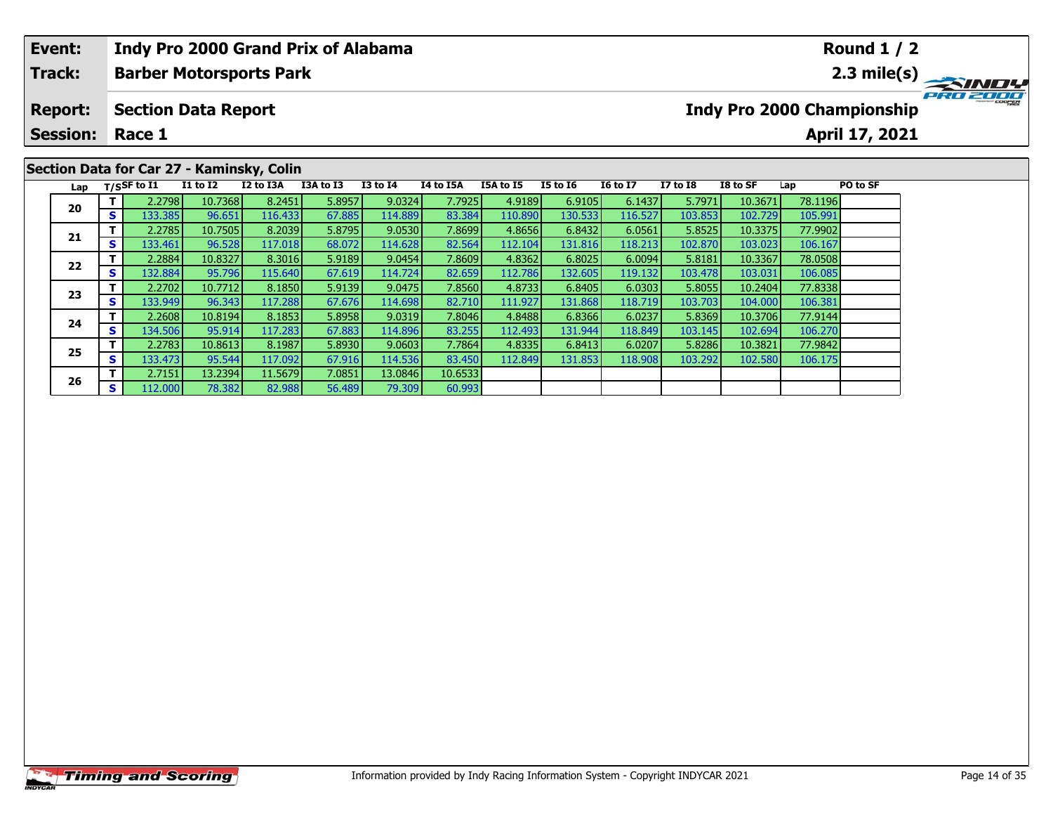| Event:                                   |    |                |                            |                                           | Indy Pro 2000 Grand Prix of Alabama |                 |                  |           |                                                                                                                                                                                                                                                                                                                                                                               |  |  |  |          |
|------------------------------------------|----|----------------|----------------------------|-------------------------------------------|-------------------------------------|-----------------|------------------|-----------|-------------------------------------------------------------------------------------------------------------------------------------------------------------------------------------------------------------------------------------------------------------------------------------------------------------------------------------------------------------------------------|--|--|--|----------|
| Track:                                   |    |                |                            | <b>Barber Motorsports Park</b>            |                                     |                 |                  |           |                                                                                                                                                                                                                                                                                                                                                                               |  |  |  |          |
| <b>Report:</b><br><b>Session: Race 1</b> |    |                | <b>Section Data Report</b> |                                           |                                     |                 |                  |           |                                                                                                                                                                                                                                                                                                                                                                               |  |  |  | PRO 2000 |
|                                          |    |                |                            |                                           |                                     |                 |                  |           |                                                                                                                                                                                                                                                                                                                                                                               |  |  |  |          |
|                                          |    |                |                            | Section Data for Car 27 - Kaminsky, Colin |                                     |                 |                  |           | <b>Round 1 / 2</b><br>Indy Pro 2000 Championship<br>April 17, 2021<br><b>16 to 17</b><br>PO to SF<br><b>I5 to I6</b><br>$I7$ to $I8$<br>I8 to SF<br>Lap<br>5.7971<br>10.3671<br>6.1437<br>78.1196<br>6.9105<br>116.527<br>130.533<br>103.853<br>102.729<br>105.991<br>6.8432<br>5.8525<br>77.9902<br>6.0561<br>10.3375<br>131.816<br>118.213<br>106.167<br>102.870<br>103.023 |  |  |  |          |
| Lap                                      |    | $T/S$ SF to I1 | <b>I1 to I2</b>            | I2 to I3A                                 | I3A to I3                           | <b>I3 to I4</b> | <b>I4 to I5A</b> | I5A to I5 |                                                                                                                                                                                                                                                                                                                                                                               |  |  |  |          |
| 20                                       |    | 2.2798         | 10.7368                    | 8.2451                                    | 5.8957                              | 9.0324          | 7.7925           | 4.9189    |                                                                                                                                                                                                                                                                                                                                                                               |  |  |  |          |
|                                          | S. | 133.385        | 96.651                     | 116.433                                   | 67.885                              | 114.889         | 83.384           | 110.890   |                                                                                                                                                                                                                                                                                                                                                                               |  |  |  |          |
|                                          |    | 2.2785         | 10.7505                    | 8.2039                                    | 5.8795                              | 9.0530          | 7.8699           | 4.8656    |                                                                                                                                                                                                                                                                                                                                                                               |  |  |  |          |
| 21                                       |    | 133.461        | 96.528                     | 117.018                                   | 68.072                              | 114.628         | 82.564           | 112.104   |                                                                                                                                                                                                                                                                                                                                                                               |  |  |  |          |

**<sup>T</sup>** 2.2884 10.8327 8.3016 5.9189 9.0454 7.8609 4.8362 6.8025 6.0094 5.8181 10.3367 78.0508 **<sup>S</sup>** 132.884 95.796 115.640 67.619 114.724 82.659 112.786 132.605 119.132 103.478 103.031 106.085

**<sup>T</sup>** 2.2702 10.7712 8.1850 5.9139 9.0475 7.8560 4.8733 6.8405 6.0303 5.8055 10.2404 77.8338 **<sup>S</sup>** 133.949 96.343 117.288 67.676 114.698 82.710 111.927 131.868 118.719 103.703 104.000 106.381

**<sup>T</sup>** 2.2608 10.8194 8.1853 5.8958 9.0319 7.8046 4.8488 6.8366 6.0237 5.8369 10.3706 77.9144 **<sup>S</sup>** 134.506 95.914 117.283 67.883 114.896 83.255 112.493 131.944 118.849 103.145 102.694 106.270

**<sup>T</sup>** 2.2783 10.8613 8.1987 5.8930 9.0603 7.7864 4.8335 6.8413 6.0207 5.8286 10.3821 77.9842 **<sup>S</sup>** 133.473 95.544 117.092 67.916 114.536 83.450 112.849 131.853 118.908 103.292 102.580 106.175

60.993

**<sup>T</sup>** 2.7151 13.2394 11.5679 7.0851 13.0846 10.6533 **<sup>S</sup>** 112.000 78.382 82.988 56.489 79.309 60.993

**22**

**23**

**24**

**25**

**26**

106.167

106.08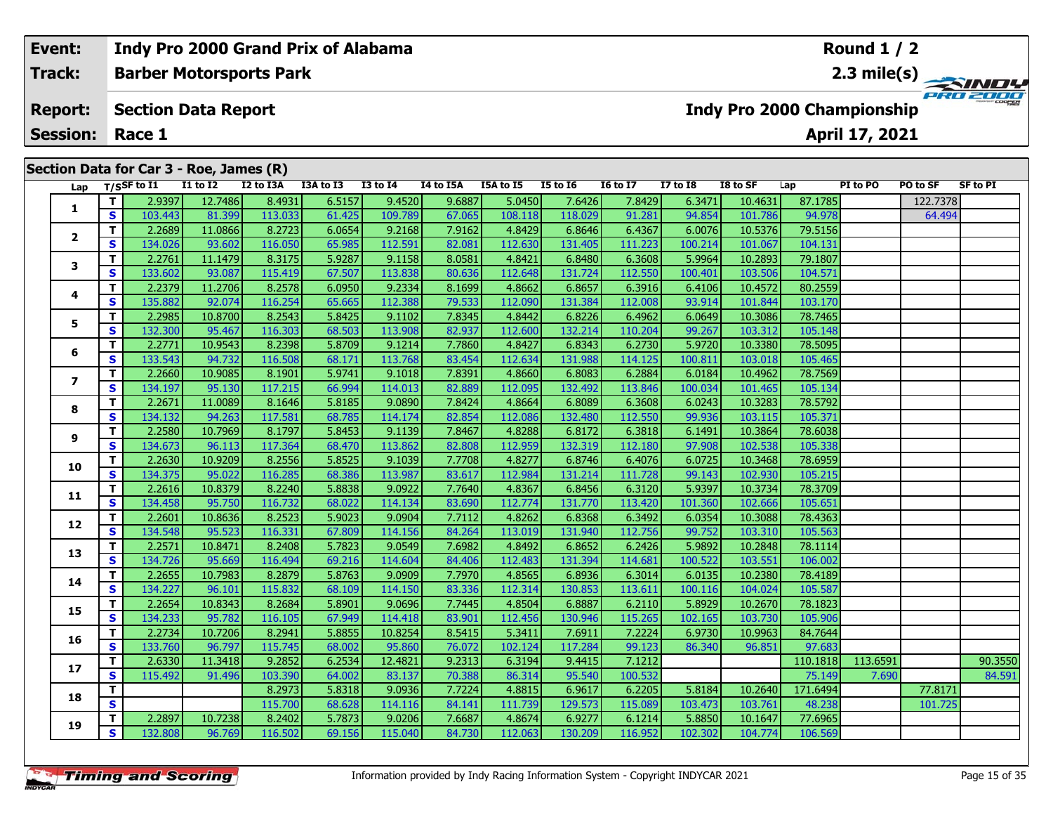| Event:<br><b>Track:</b> |                         |         |                             | Indy Pro 2000 Grand Prix of Alabama     |           |           |                 |           |           |                 |                 |          |          |                                   | Round $1/2$    |                                        |                 |
|-------------------------|-------------------------|---------|-----------------------------|-----------------------------------------|-----------|-----------|-----------------|-----------|-----------|-----------------|-----------------|----------|----------|-----------------------------------|----------------|----------------------------------------|-----------------|
|                         |                         |         |                             | <b>Barber Motorsports Park</b>          |           |           |                 |           |           |                 |                 |          |          |                                   |                | $\frac{2.3 \text{ mile(s)}}{P_{R0}^2}$ |                 |
|                         | <b>Report:</b>          |         |                             | <b>Section Data Report</b>              |           |           |                 |           |           |                 |                 |          |          | <b>Indy Pro 2000 Championship</b> |                |                                        |                 |
|                         | <b>Session:</b>         |         | Race 1                      |                                         |           |           |                 |           |           |                 |                 |          |          |                                   | April 17, 2021 |                                        |                 |
|                         |                         |         |                             | Section Data for Car 3 - Roe, James (R) |           |           |                 |           |           |                 |                 |          |          |                                   |                |                                        |                 |
|                         | Lap                     |         | $T/S$ SF to $\overline{11}$ | <b>I1 to I2</b>                         | I2 to I3A | I3A to I3 | <b>I3 to I4</b> | I4 to I5A | I5A to I5 | <b>I5 to 16</b> | <b>16 to 17</b> | I7 to I8 | I8 to SF | Lap                               | PI to PO       | PO to SF                               | <b>SF to PI</b> |
|                         |                         |         | 2.9397                      | 12.7486                                 | 8.4931    | 6.5157    | 9.4520          | 9.6887    | 5.0450    | 7.6426          | 7.8429          | 6.3471   | 10.4631  | 87.1785                           |                | 122.7378                               |                 |
|                         |                         | S.      | 103.443                     | 81.399                                  | 113.033   | 61.425    | 109.789         | 67.065    | 108.118   | 118.029         | 91.281          | 94.854   | 101.786  | 94.978                            |                | 64.494                                 |                 |
|                         | $\overline{\mathbf{2}}$ |         | 2.2689                      | 11.0866                                 | 8.2723    | 6.0654    | 9.2168          | 7.9162    | 4.8429    | 6.8646          | 6.4367          | 6.0076   | 10.5376  | 79.5156                           |                |                                        |                 |
|                         |                         | S.      | 134.026                     | 93.602                                  | 116.050   | 65.985    | 112.591         | 82.081    | 112.630   | 131.405         | 111.223         | 100.214  | 101.067  | 104.131                           |                |                                        |                 |
|                         | 3                       |         | 2.2761                      | 11.1479                                 | 8.3175    | 5.9287    | 9.1158          | 8.0581    | 4.8421    | 6.8480          | 6.3608          | 5.9964   | 10.2893  | 79.1807                           |                |                                        |                 |
|                         |                         | S.      | 133.602                     | 93.087                                  | 115.419   | 67.507    | 113.838         | 80.636    | 112.648   | 131.724         | 112.550         | 100.401  | 103.506  | 104.571                           |                |                                        |                 |
|                         |                         |         | 2.2379                      | 11.2706                                 | 8.2578    | 6.0950    | 9.2334          | 8.1699    | 4.8662    | 6.8657          | 6.3916          | 6.4106   | 10.4572  | 80.2559                           |                |                                        |                 |
|                         |                         | 4<br>S. | 135.882                     | 92.074                                  | 116.254   | 65.665    | 112.388         | 79.533    | 112.090   | 131.384         | 112.008         | 93.914   | 101.844  | 103.170                           |                |                                        |                 |
|                         |                         | 5<br>S  | 2.2985                      | 10.8700                                 | 8.2543    | 5.8425    | 9.1102          | 7.8345    | 4.8442    | 6.8226          | 6.4962          | 6.0649   | 10.3086  | 78.7465                           |                |                                        |                 |
|                         |                         |         | 132.300                     | 95.467                                  | 116.303   | 68.503    | 113.908         | 82.937    | 112.600   | 132.214         | 110.204         | 99.267   | 103.312  | 105.148                           |                |                                        |                 |

**<sup>T</sup>** 2.2771 10.9543 8.2398 5.8709 9.1214 7.7860 4.8427 6.8343 6.2730 5.9720 10.3380 78.5095 **<sup>S</sup>** 133.543 94.732 116.508 68.171 113.768 83.454 112.634 131.988 114.125 100.811 103.018 105.465

**<sup>T</sup>** 2.2660 10.9085 8.1901 5.9741 9.1018 7.8391 4.8660 6.8083 6.2884 6.0184 10.4962 78.7569 **<sup>S</sup>** 134.197 95.130 117.215 66.994 114.013 82.889 112.095 132.492 113.846 100.034 101.465 105.134

**<sup>T</sup>** 2.2671 11.0089 8.1646 5.8185 9.0890 7.8424 4.8664 6.8089 6.3608 6.0243 10.3283 78.5792 **<sup>S</sup>** 134.132 94.263 117.581 68.785 114.174 82.854 112.086 132.480 112.550 99.936 103.115 105.371

**<sup>T</sup>** 2.2580 10.7969 8.1797 5.8453 9.1139 7.8467 4.8288 6.8172 6.3818 6.1491 10.3864 78.6038 **<sup>S</sup>** 134.673 96.113 117.364 68.470 113.862 82.808 112.959 132.319 112.180 97.908 102.538 105.338

**<sup>T</sup>** 2.2630 10.9209 8.2556 5.8525 9.1039 7.7708 4.8277 6.8746 6.4076 6.0725 10.3468 78.6959 **<sup>S</sup>** 134.375 95.022 116.285 68.386 113.987 83.617 112.984 131.214 111.728 99.143 102.930 105.215

**<sup>T</sup>** 2.2616 10.8379 8.2240 5.8838 9.0922 7.7640 4.8367 6.8456 6.3120 5.9397 10.3734 78.3709 **<sup>S</sup>** 134.458 95.750 116.732 68.022 114.134 83.690 112.774 131.770 113.420 101.360 102.666 105.651

**<sup>T</sup>** 2.2601 10.8636 8.2523 5.9023 9.0904 7.7112 4.8262 6.8368 6.3492 6.0354 10.3088 78.4363 **<sup>S</sup>** 134.548 95.523 116.331 67.809 114.156 84.264 113.019 131.940 112.756 99.752 103.310 105.563

**<sup>T</sup>** 2.2571 10.8471 8.2408 5.7823 9.0549 7.6982 4.8492 6.8652 6.2426 5.9892 10.2848 78.1114 **<sup>S</sup>** 134.726 95.669 116.494 69.216 114.604 84.406 112.483 131.394 114.681 100.522 103.551 106.002

**<sup>T</sup>** 2.2655 10.7983 8.2879 5.8763 9.0909 7.7970 4.8565 6.8936 6.3014 6.0135 10.2380 78.4189 **<sup>S</sup>** 134.227 96.101 115.832 68.109 114.150 83.336 112.314 130.853 113.611 100.116 104.024 105.587

**<sup>T</sup>** 2.2654 10.8343 8.2684 5.8901 9.0696 7.7445 4.8504 6.8887 6.2110 5.8929 10.2670 78.1823 **<sup>S</sup>** 134.233 95.782 116.105 67.949 114.418 83.901 112.456 130.946 115.265 102.165 103.730 105.906

**<sup>T</sup>** 2.2734 10.7206 8.2941 5.8855 10.8254 8.5415 5.3411 7.6911 7.2224 6.9730 10.9963 84.7644 **<sup>S</sup>** 133.760 96.797 115.745 68.002 95.860 76.072 102.124 117.284 99.123 86.340 96.851 97.683

**<sup>T</sup>** 2.2897 10.7238 8.2402 5.7873 9.0206 7.6687 4.8674 6.9277 6.1214 5.8850 10.1647 77.6965 **<sup>S</sup>** 132.808 96.769 116.502 69.156 115.040 84.730 112.063 130.209 116.952 102.302 104.774 106.569

**6**

**Indy Pro 2000 Grand Prix of Alabama**

**7**

**8**

**9**

**10**

**11**

**12**

**13**

**14**

**15**

**16**

**17**

**18**

**19**

**<sup>T</sup>** 2.6330 11.3418 9.2852 6.2534 12.4821 9.2313 6.3194 9.4415 7.1212 110.1818 113.6591 90.3550 **<sup>S</sup>** 115.492 91.496 103.390 64.002 83.137 70.388 86.314 95.540 100.532 75.149 7.690 84.591

**<sup>T</sup>** 8.2973 5.8318 9.0936 7.7224 4.8815 6.9617 6.2205 5.8184 10.2640 171.6494 77.8171 **<sup>S</sup>** 115.700 68.628 114.116 84.141 111.739 129.573 115.089 103.473 103.761 48.238 101.725

105.134

**Round 1 / 2**

105.33

105.563

105.58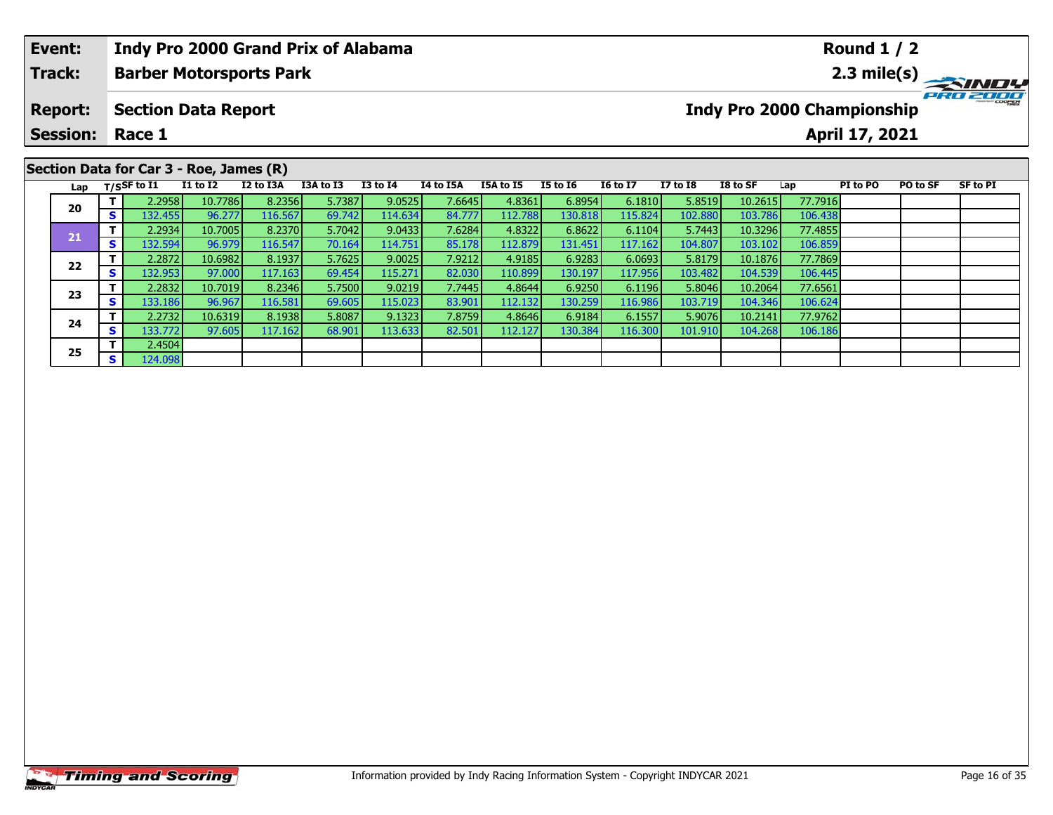| Event:          |    |                | <b>Indy Pro 2000 Grand Prix of Alabama</b> |           |           |                 |           |           |                 |                 |                 |          |                                                                                                                                                                       |  |  |
|-----------------|----|----------------|--------------------------------------------|-----------|-----------|-----------------|-----------|-----------|-----------------|-----------------|-----------------|----------|-----------------------------------------------------------------------------------------------------------------------------------------------------------------------|--|--|
| Track:          |    |                | <b>Barber Motorsports Park</b>             |           |           |                 |           |           |                 |                 |                 |          |                                                                                                                                                                       |  |  |
| <b>Report:</b>  |    |                | <b>Section Data Report</b>                 |           |           |                 |           |           |                 |                 |                 |          |                                                                                                                                                                       |  |  |
| <b>Session:</b> |    | Race 1         |                                            |           |           |                 |           |           |                 |                 |                 |          | <b>Round 1 / 2</b><br>PRO 2000<br>Indy Pro 2000 Championship<br>April 17, 2021<br>SF to PI<br>PI to PO<br>PO to SF<br>Lap<br>77.7916<br>106.438<br>77.4855<br>106.859 |  |  |
|                 |    |                | Section Data for Car 3 - Roe, James (R)    |           |           |                 |           |           |                 |                 |                 |          |                                                                                                                                                                       |  |  |
| Lap             |    | $T/S$ SF to I1 | <b>I1 to I2</b>                            | I2 to I3A | I3A to I3 | <b>I3 to I4</b> | I4 to I5A | I5A to I5 | <b>I5 to 16</b> | <b>I6 to I7</b> | <b>I7 to I8</b> | I8 to SF |                                                                                                                                                                       |  |  |
| 20              |    | 2.2958         | 10.7786                                    | 8.2356    | 5.7387    | 9.0525          | 7.6645    | 4.8361    | 6.8954          | 6.1810          | 5.8519          | 10.2615  |                                                                                                                                                                       |  |  |
|                 | S. | 132.455        | 96.277                                     | 116.567   | 69.742    | 114.634         | 84.777    | 112.788   | 130.818         | 115.824         | 102.880         | 103.786  |                                                                                                                                                                       |  |  |
|                 |    | 2.2934         | 10.7005                                    | 8.2370    | 5.7042    | 9.0433          | 7.6284    | 4.8322    | 6.8622          | 6.1104          | 5.7443          | 10.3296  |                                                                                                                                                                       |  |  |
| 21              |    | 132.594        | 96.979                                     | 116.547   | 70.164    | 114.751         | 85.178    | 112.879   | 131.451         | 117.162         | 104.807         | 103.102  |                                                                                                                                                                       |  |  |

**<sup>T</sup>** 2.2872 10.6982 8.1937 5.7625 9.0025 7.9212 4.9185 6.9283 6.0693 5.8179 10.1876 77.7869 **<sup>S</sup>** 132.953 97.000 117.163 69.454 115.271 82.030 110.899 130.197 117.956 103.482 104.539 106.445

**<sup>T</sup>** 2.2832 10.7019 8.2346 5.7500 9.0219 7.7445 4.8644 6.9250 6.1196 5.8046 10.2064 77.6561 **<sup>S</sup>** 133.186 96.967 116.581 69.605 115.023 83.901 112.132 130.259 116.986 103.719 104.346 106.624

**<sup>T</sup>** 2.2732 10.6319 8.1938 5.8087 9.1323 7.8759 4.8646 6.9184 6.1557 5.9076 10.2141 77.9762 **<sup>S</sup>** 133.772 97.605 117.162 68.901 113.633 82.501 112.127 130.384 116.300 101.910 104.268 106.186

# **Timing and Scoring**

**22**

**23**

**24**

**25**

**<sup>T</sup>** 2.4504 **<sup>S</sup>** 124.098

106.859

106.445

106.624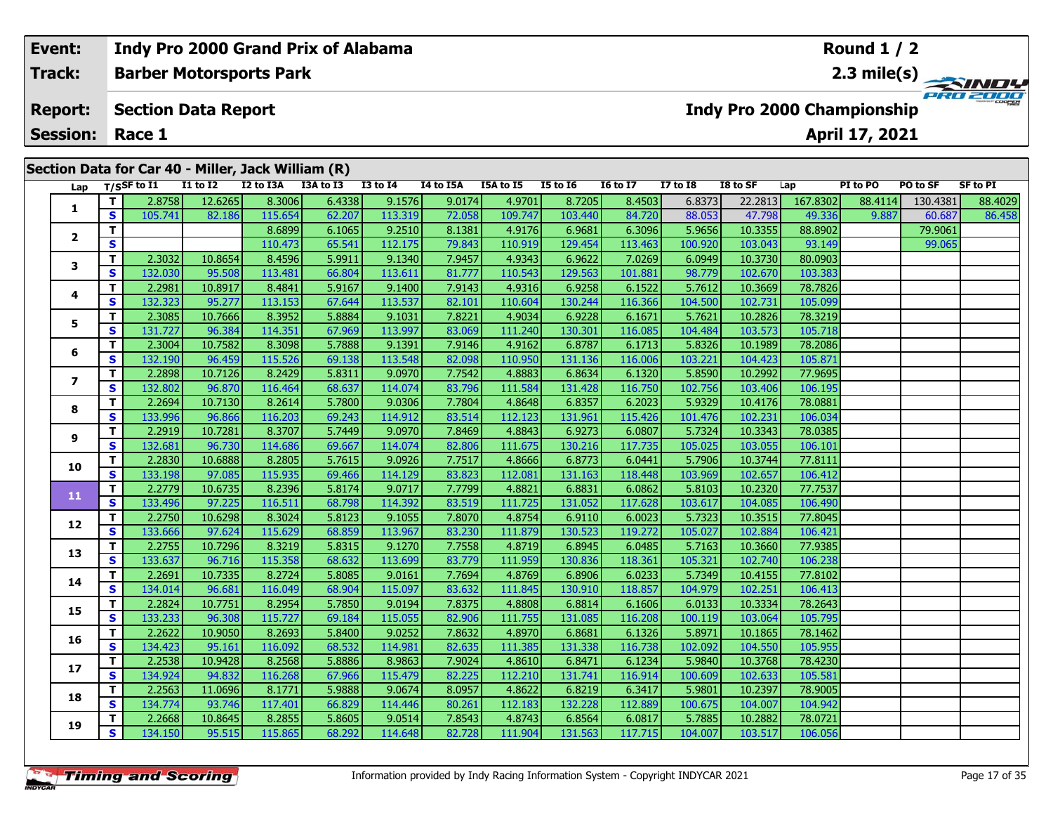| Indy Pro 2000 Grand Prix of Alabama<br><b>Round 1 / 2</b><br>Event:<br><b>Track:</b><br>2.3 mile(s) $\rightarrow$<br><b>Barber Motorsports Park</b><br>PRO 2000<br><b>Indy Pro 2000 Championship</b><br><b>Report:</b><br><b>Section Data Report</b><br><b>Session:</b><br>April 17, 2021<br>Race 1<br>Section Data for Car 40 - Miller, Jack William (R)<br><b>I1 to I2</b><br>I2 to I3A<br>I3A to I3<br>$I3$ to $I4$<br><b>I5 to 16</b><br>$I7$ to $I8$<br>I8 to SF<br>PI to PO<br>PO to SF<br>SF to PI<br>Lap T/SSF to I1<br>I4 to I5A<br>I5A to I5<br><b>16 to 17</b><br>Lap<br>6.4338<br>8.4503<br>6.8373<br>22.2813<br>12.6265<br>8.3006<br>9.1576<br>9.0174<br>4.9701<br>8.7205<br>130.4381<br>2.8758<br>167.8302<br>88.4114<br><b>S</b><br>105.741<br>62.207<br>84.720<br>82.186<br>115.654<br>113.319<br>72.058<br>109.747<br>88.053<br>9.887<br>60.687<br>103.440<br>47.798<br>49.336<br>5.9656<br>8.6899<br>6.1065<br>9.2510<br>8.1381<br>4.9176<br>6.9681<br>6.3096<br>10.3355<br>88.8902<br>79.9061<br><b>S</b><br>112.175<br>79.843<br>113.463<br>100.920<br>65.541<br>103.043<br>93.149<br>110.473<br>110.919<br>99.065<br>129.454 |   |    |         |         |         |        |         |        |         |         |         |        |         |                 |  |         |
|---------------------------------------------------------------------------------------------------------------------------------------------------------------------------------------------------------------------------------------------------------------------------------------------------------------------------------------------------------------------------------------------------------------------------------------------------------------------------------------------------------------------------------------------------------------------------------------------------------------------------------------------------------------------------------------------------------------------------------------------------------------------------------------------------------------------------------------------------------------------------------------------------------------------------------------------------------------------------------------------------------------------------------------------------------------------------------------------------------------------------------------------------|---|----|---------|---------|---------|--------|---------|--------|---------|---------|---------|--------|---------|-----------------|--|---------|
|                                                                                                                                                                                                                                                                                                                                                                                                                                                                                                                                                                                                                                                                                                                                                                                                                                                                                                                                                                                                                                                                                                                                                   |   |    |         |         |         |        |         |        |         |         |         |        |         |                 |  |         |
|                                                                                                                                                                                                                                                                                                                                                                                                                                                                                                                                                                                                                                                                                                                                                                                                                                                                                                                                                                                                                                                                                                                                                   |   |    |         |         |         |        |         |        |         |         |         |        |         |                 |  |         |
|                                                                                                                                                                                                                                                                                                                                                                                                                                                                                                                                                                                                                                                                                                                                                                                                                                                                                                                                                                                                                                                                                                                                                   |   |    |         |         |         |        |         |        |         |         |         |        |         |                 |  |         |
|                                                                                                                                                                                                                                                                                                                                                                                                                                                                                                                                                                                                                                                                                                                                                                                                                                                                                                                                                                                                                                                                                                                                                   |   |    |         |         |         |        |         |        |         |         |         |        |         |                 |  |         |
|                                                                                                                                                                                                                                                                                                                                                                                                                                                                                                                                                                                                                                                                                                                                                                                                                                                                                                                                                                                                                                                                                                                                                   |   |    |         |         |         |        |         |        |         |         |         |        |         |                 |  | 88.4029 |
|                                                                                                                                                                                                                                                                                                                                                                                                                                                                                                                                                                                                                                                                                                                                                                                                                                                                                                                                                                                                                                                                                                                                                   |   |    |         |         |         |        |         |        |         |         |         |        |         |                 |  | 86.458  |
|                                                                                                                                                                                                                                                                                                                                                                                                                                                                                                                                                                                                                                                                                                                                                                                                                                                                                                                                                                                                                                                                                                                                                   |   |    |         |         |         |        |         |        |         |         |         |        |         |                 |  |         |
|                                                                                                                                                                                                                                                                                                                                                                                                                                                                                                                                                                                                                                                                                                                                                                                                                                                                                                                                                                                                                                                                                                                                                   |   |    |         |         |         |        |         |        |         |         |         |        |         |                 |  |         |
|                                                                                                                                                                                                                                                                                                                                                                                                                                                                                                                                                                                                                                                                                                                                                                                                                                                                                                                                                                                                                                                                                                                                                   |   |    | 2.3032  | 10.8654 | 8.4596  | 5.9911 | 9.1340  | 7.9457 | 4.9343  | 6.9622  | 7.0269  | 6.0949 | 10.3730 | 80.0903         |  |         |
|                                                                                                                                                                                                                                                                                                                                                                                                                                                                                                                                                                                                                                                                                                                                                                                                                                                                                                                                                                                                                                                                                                                                                   | 3 | S. | 132.030 | 95.508  | 113.481 | 66.804 | 113.611 | 81.777 | 110.543 | 129.563 | 101.881 | 98.779 | 102.670 | 103.383         |  |         |
|                                                                                                                                                                                                                                                                                                                                                                                                                                                                                                                                                                                                                                                                                                                                                                                                                                                                                                                                                                                                                                                                                                                                                   |   | тI | 2.29811 | 10.8917 | 84841   | 59167  | 9,1400  | 79143  | 49316   | 692581  | 61522   | 57612  | 10,3669 | <b>78 78261</b> |  |         |

|                | T.                      | 2.8758  | 12.6265 | 8.3006  | 6.4338 | 9.1576  | 9.0174 | 4.9701  | 8.7205  | 8.4503  | 6.8373  | 22.2813 | 167.8302 | 88.4114 | 130.4381 | 88.4029 |
|----------------|-------------------------|---------|---------|---------|--------|---------|--------|---------|---------|---------|---------|---------|----------|---------|----------|---------|
| 1              | S                       | 105.741 | 82.186  | 115.654 | 62.207 | 113.319 | 72.058 | 109.747 | 103.440 | 84.720  | 88.053  | 47.798  | 49.336   | 9.887   | 60.687   | 86.458  |
| 2              | T.                      |         |         | 8.6899  | 6.1065 | 9.2510  | 8.1381 | 4.9176  | 6.9681  | 6.3096  | 5.9656  | 10.3355 | 88.8902  |         | 79.9061  |         |
|                | S.                      |         |         | 110.473 | 65.541 | 112.175 | 79.843 | 110.919 | 129.454 | 113.463 | 100.920 | 103.043 | 93.149   |         | 99.065   |         |
| 3              | T.                      | 2.3032  | 10.8654 | 8.4596  | 5.9911 | 9.1340  | 7.9457 | 4.9343  | 6.9622  | 7.0269  | 6.0949  | 10.3730 | 80.0903  |         |          |         |
|                | S.                      | 132.030 | 95.508  | 113.481 | 66.804 | 113.611 | 81.777 | 110.543 | 129.563 | 101.881 | 98.779  | 102.670 | 103.383  |         |          |         |
| 4              | T.                      | 2.2981  | 10.8917 | 8.4841  | 5.9167 | 9.1400  | 7.9143 | 4.9316  | 6.9258  | 6.1522  | 5.7612  | 10.3669 | 78.7826  |         |          |         |
|                | S                       | 132.323 | 95.277  | 113.153 | 67.644 | 113.537 | 82.101 | 110.604 | 130.244 | 116.366 | 104.500 | 102.731 | 105.099  |         |          |         |
| 5              | T.                      | 2.3085  | 10.7666 | 8.3952  | 5.8884 | 9.1031  | 7.8221 | 4.9034  | 6.9228  | 6.1671  | 5.7621  | 10.2826 | 78.3219  |         |          |         |
|                | S                       | 131.727 | 96.384  | 114.351 | 67.969 | 113.997 | 83.069 | 111.240 | 130.301 | 116.085 | 104.484 | 103.573 | 105.718  |         |          |         |
| 6              | T.                      | 2.3004  | 10.7582 | 8.3098  | 5.7888 | 9.1391  | 7.9146 | 4.9162  | 6.8787  | 6.1713  | 5.8326  | 10.1989 | 78.2086  |         |          |         |
|                | S                       | 132.190 | 96.459  | 115.526 | 69.138 | 113.548 | 82.098 | 110.950 | 131.136 | 116.006 | 103.221 | 104.423 | 105.871  |         |          |         |
| $\overline{ }$ | T.                      | 2.2898  | 10.7126 | 8.2429  | 5.8311 | 9.0970  | 7.7542 | 4.8883  | 6.8634  | 6.1320  | 5.8590  | 10.2992 | 77.9695  |         |          |         |
|                | S                       | 132.802 | 96.870  | 116.464 | 68.637 | 114.074 | 83.796 | 111.584 | 131.428 | 116.750 | 102.756 | 103.406 | 106.195  |         |          |         |
| 8              | T.                      | 2.2694  | 10.7130 | 8.2614  | 5.7800 | 9.0306  | 7.7804 | 4.8648  | 6.8357  | 6.2023  | 5.9329  | 10.4176 | 78.0881  |         |          |         |
|                | S                       | 133.996 | 96.866  | 116.203 | 69.243 | 114.912 | 83.514 | 112.123 | 131.961 | 115.426 | 101.476 | 102.231 | 106.034  |         |          |         |
| 9              | T.                      | 2.2919  | 10.7281 | 8.3707  | 5.7449 | 9.0970  | 7.8469 | 4.8843  | 6.9273  | 6.0807  | 5.7324  | 10.3343 | 78.0385  |         |          |         |
|                | S                       | 132.681 | 96.730  | 114.686 | 69.667 | 114.074 | 82.806 | 111.675 | 130.216 | 117.735 | 105.025 | 103.055 | 106.101  |         |          |         |
| 10             | T.                      | 2.2830  | 10.6888 | 8.2805  | 5.7615 | 9.0926  | 7.7517 | 4.8666  | 6.8773  | 6.0441  | 5.7906  | 10.3744 | 77.8111  |         |          |         |
|                | $\overline{\mathbf{s}}$ | 133.198 | 97.085  | 115.935 | 69.466 | 114.129 | 83.823 | 112.081 | 131.163 | 118.448 | 103.969 | 102.657 | 106.412  |         |          |         |
| 11             | $\mathbf{T}$            | 2.2779  | 10.6735 | 8.2396  | 5.8174 | 9.0717  | 7.7799 | 4.8821  | 6.8831  | 6.0862  | 5.8103  | 10.2320 | 77.7537  |         |          |         |
|                | S                       | 133.496 | 97.225  | 116.511 | 68.798 | 114.392 | 83.519 | 111.725 | 131.052 | 117.628 | 103.617 | 104.085 | 106.490  |         |          |         |
| 12             | T.                      | 2.2750  | 10.6298 | 8.3024  | 5.8123 | 9.1055  | 7.8070 | 4.8754  | 6.9110  | 6.0023  | 5.7323  | 10.3515 | 77.8045  |         |          |         |
|                | S                       | 133.666 | 97.624  | 115.629 | 68.859 | 113.967 | 83.230 | 111.879 | 130.523 | 119.272 | 105.027 | 102.884 | 106.421  |         |          |         |
| 13             | T.                      | 2.2755  | 10.7296 | 8.3219  | 5.8315 | 9.1270  | 7.7558 | 4.8719  | 6.8945  | 6.0485  | 5.7163  | 10.3660 | 77.9385  |         |          |         |
|                | S.                      | 133.637 | 96.716  | 115.358 | 68.632 | 113.699 | 83.779 | 111.959 | 130.836 | 118.361 | 105.321 | 102.740 | 106.238  |         |          |         |
| 14             | T.                      | 2.2691  | 10.7335 | 8.2724  | 5.8085 | 9.0161  | 7.7694 | 4.8769  | 6.8906  | 6.0233  | 5.7349  | 10.4155 | 77.8102  |         |          |         |
|                | S                       | 134.014 | 96.681  | 116.049 | 68.904 | 115.097 | 83.632 | 111.845 | 130.910 | 118.857 | 104.979 | 102.251 | 106.413  |         |          |         |
| 15             | T.                      | 2.2824  | 10.7751 | 8.2954  | 5.7850 | 9.0194  | 7.8375 | 4.8808  | 6.8814  | 6.1606  | 6.0133  | 10.3334 | 78.2643  |         |          |         |
|                | S                       | 133.233 | 96.308  | 115.727 | 69.184 | 115.055 | 82.906 | 111.755 | 131.085 | 116.208 | 100.119 | 103.064 | 105.795  |         |          |         |
| 16             | T.                      | 2.2622  | 10.9050 | 8.2693  | 5.8400 | 9.0252  | 7.8632 | 4.8970  | 6.8681  | 6.1326  | 5.8971  | 10.1865 | 78.1462  |         |          |         |
|                | S                       | 134.423 | 95.161  | 116.092 | 68.532 | 114.981 | 82.635 | 111.385 | 131.338 | 116.738 | 102.092 | 104.550 | 105.955  |         |          |         |
| 17             | T.                      | 2.2538  | 10.9428 | 8.2568  | 5.8886 | 8.9863  | 7.9024 | 4.8610  | 6.8471  | 6.1234  | 5.9840  | 10.3768 | 78.4230  |         |          |         |
|                | S                       | 134.924 | 94.832  | 116.268 | 67.966 | 115.479 | 82.225 | 112.210 | 131.741 | 116.914 | 100.609 | 102.633 | 105.581  |         |          |         |
| 18             | T.                      | 2.2563  | 11.0696 | 8.1771  | 5.9888 | 9.0674  | 8.0957 | 4.8622  | 6.8219  | 6.3417  | 5.9801  | 10.2397 | 78.9005  |         |          |         |
|                | S                       | 134.774 | 93.746  | 117.401 | 66.829 | 114.446 | 80.261 | 112.183 | 132.228 | 112.889 | 100.675 | 104.007 | 104.942  |         |          |         |
| 19             | T.                      | 2.2668  | 10.8645 | 8.2855  | 5.8605 | 9.0514  | 7.8543 | 4.8743  | 6.8564  | 6.0817  | 5.7885  | 10.2882 | 78.0721  |         |          |         |
|                | S.                      | 134.150 | 95.515  | 115.865 | 68.292 | 114.648 | 82.728 | 111.904 | 131.563 | 117.715 | 104.007 | 103.517 | 106.056  |         |          |         |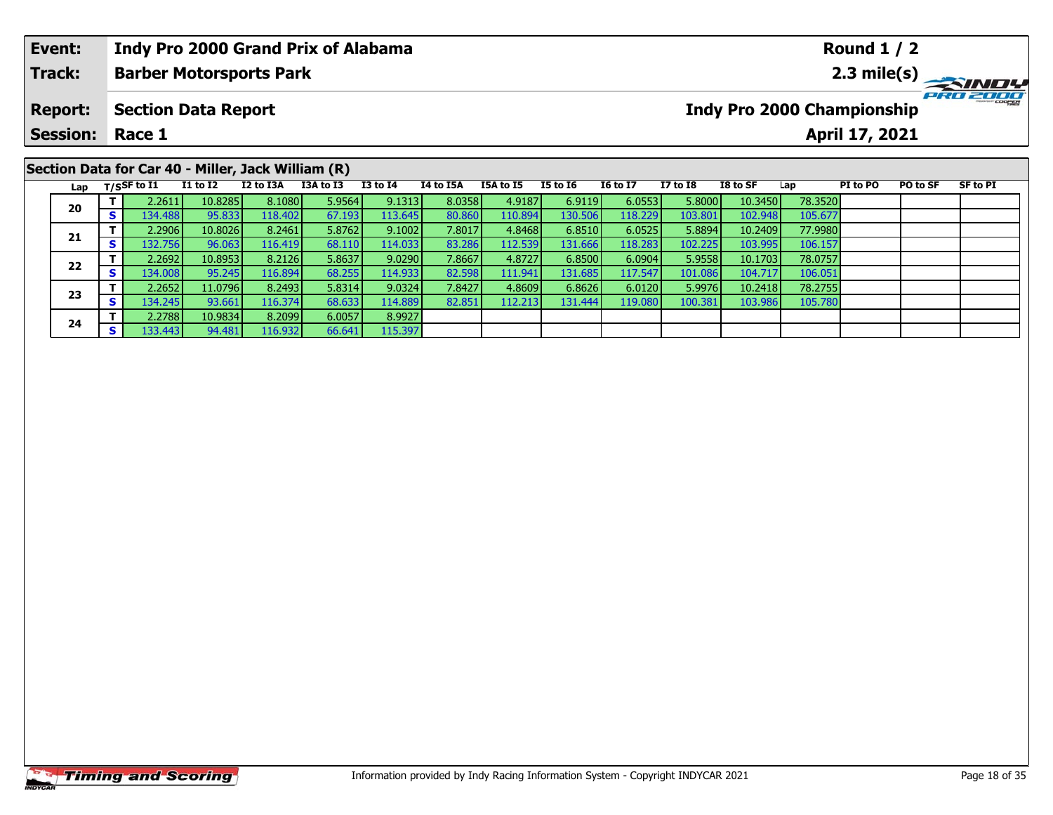| Event:          |    |                       |                                                                    |           | <b>Indy Pro 2000 Grand Prix of Alabama</b> |                 |           |                  |          |                 |                 |          |                                   | <b>Round 1 / 2</b> |                 |          |
|-----------------|----|-----------------------|--------------------------------------------------------------------|-----------|--------------------------------------------|-----------------|-----------|------------------|----------|-----------------|-----------------|----------|-----------------------------------|--------------------|-----------------|----------|
| <b>Track:</b>   |    |                       | <b>Barber Motorsports Park</b>                                     |           |                                            |                 |           |                  |          |                 |                 |          |                                   |                    |                 |          |
| <b>Report:</b>  |    |                       | <b>Section Data Report</b>                                         |           |                                            |                 |           |                  |          |                 |                 |          | <b>Indy Pro 2000 Championship</b> |                    |                 | PRO 2000 |
| <b>Session:</b> |    | Race 1                |                                                                    |           |                                            |                 |           |                  |          |                 |                 |          |                                   | April 17, 2021     |                 |          |
| Lap             |    | $_{\rm T/SS}$ F to I1 | Section Data for Car 40 - Miller, Jack William (R)<br>$I1$ to $I2$ | I2 to I3A | I3A to I3                                  | <b>I3 to I4</b> | I4 to I5A | <b>I5A to I5</b> | I5 to I6 | <b>I6 to I7</b> | <b>I7 to I8</b> | I8 to SF | Lap                               | PI to PO           | <b>PO to SF</b> | SF to PI |
| 20              |    | 2.2611                | 10.8285                                                            | 8.1080    | 5.9564                                     | 9.1313          | 8.0358    | 4.9187           | 6.9119   | 6.0553          | 5.8000          | 10.3450  | 78.3520                           |                    |                 |          |
|                 | S. | 134.488               | 95.833                                                             | 118.402   | 67.193                                     | 113.645         | 80.860    | 110.894          | 130.506  | 118.229         | 103.801         | 102.948  | 105.677                           |                    |                 |          |

**<sup>T</sup>** 2.2906 10.8026 8.2461 5.8762 9.1002 7.8017 4.8468 6.8510 6.0525 5.8894 10.2409 77.9980 **<sup>S</sup>** 132.756 96.063 116.419 68.110 114.033 83.286 112.539 131.666 118.283 102.225 103.995 106.157

**<sup>T</sup>** 2.2692 10.8953 8.2126 5.8637 9.0290 7.8667 4.8727 6.8500 6.0904 5.9558 10.1703 78.0757 **<sup>S</sup>** 134.008 95.245 116.894 68.255 114.933 82.598 111.941 131.685 117.547 101.086 104.717 106.051

**<sup>T</sup>** 2.2652 11.0796 8.2493 5.8314 9.0324 7.8427 4.8609 6.8626 6.0120 5.9976 10.2418 78.2755 **<sup>S</sup>** 134.245 93.661 116.374 68.633 114.889 82.851 112.213 131.444 119.080 100.381 103.986 105.780

**21**

**22**

**23**

**24**

**<sup>T</sup>** 2.2788 10.9834 8.2099 6.0057 8.9927 **<sup>S</sup>** 133.443 94.481 116.932 66.641 115.397

106.157

106.051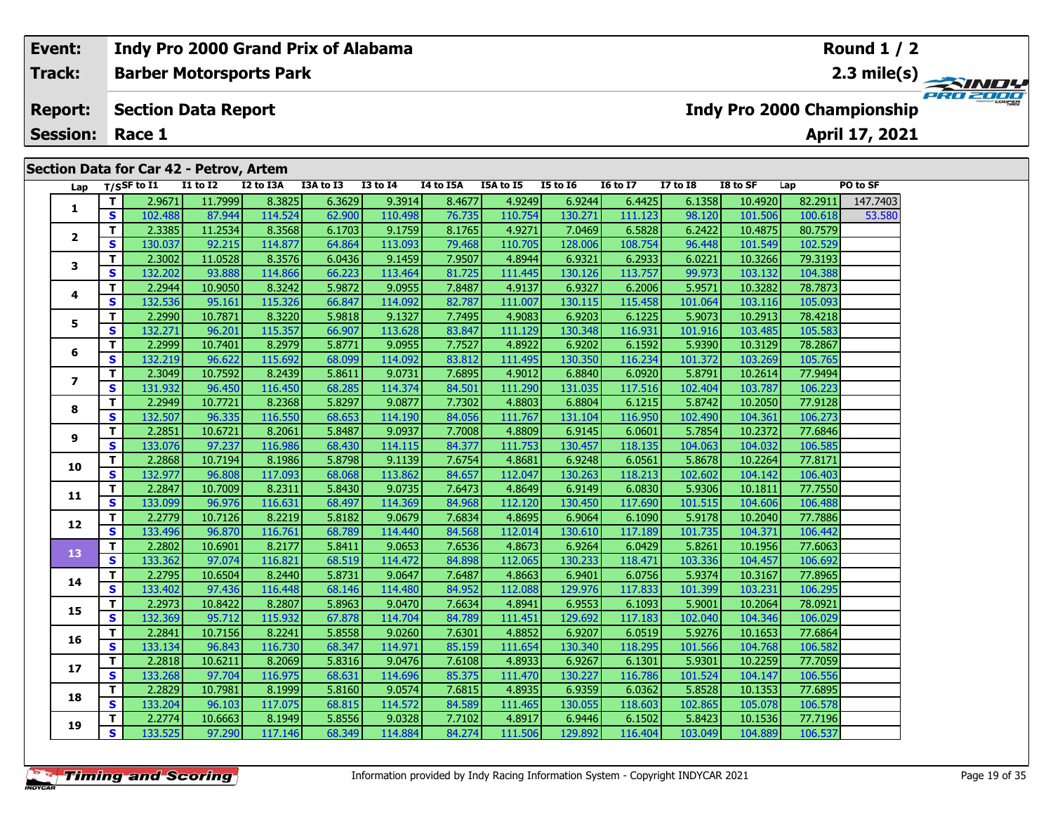## **Event:Round 1 / 2 Indy Pro 2000 Grand Prix of Alabama Track:Barber Motorsports Park 2.3 mile(s)** PRO 200 **Report: Section Data Report Indy Pro 2000 Championship April 17, 2021 Session: Race 1 Section Data for Car 42 - Petrov, Artem Lap T/SSF to I1 I1 to I2 I2 to I3A I3A to I3 I3 to I4 I4 to I5A I5A to I5 I5 to I6 I6 to I7 I7 to I8 I8 to SF Lap PO to SF**   $\Box$ **T** 2.9671 11.7999 8.3825 6.3629 8.3914 8.4677 4.9249 6.9244 6.4425 6.1358 10.4920 82.2911 147.7403 **12**

|                   |              | 2.5011  | 11, <i>1999</i> | 0.9029  | 0.JUZJ | <b>J.JJIT</b> | 0.7077 | 7.JZTJ  | $0.32 + 1$ | כבדד.ט  | 0.1990  | <b>TALLY</b> | 02.2211 | $LTT$ , $LTT$ |
|-------------------|--------------|---------|-----------------|---------|--------|---------------|--------|---------|------------|---------|---------|--------------|---------|---------------|
| 1                 | S            | 102.488 | 87.944          | 114.524 | 62.900 | 110.498       | 76.735 | 110.754 | 130.271    | 111.123 | 98.120  | 101.506      | 100.618 | 53.580        |
| $\overline{2}$    | T.           | 2.3385  | 11.2534         | 8.3568  | 6.1703 | 9.1759        | 8.1765 | 4.9271  | 7.0469     | 6.5828  | 6.2422  | 10.4875      | 80.7579 |               |
|                   | S            | 130.037 | 92.215          | 114.877 | 64.864 | 113.093       | 79.468 | 110.705 | 128.006    | 108.754 | 96.448  | 101.549      | 102.529 |               |
| $\mathbf{3}$      | T.           | 2.3002  | 11.0528         | 8.3576  | 6.0436 | 9.1459        | 7.9507 | 4.8944  | 6.9321     | 6.2933  | 6.0221  | 10.3266      | 79.3193 |               |
|                   | <b>S</b>     | 132.202 | 93.888          | 114.866 | 66.223 | 113.464       | 81.725 | 111.445 | 130.126    | 113.757 | 99.973  | 103.132      | 104.388 |               |
| 4                 | $\mathbf{T}$ | 2.2944  | 10.9050         | 8.3242  | 5.9872 | 9.0955        | 7.8487 | 4.9137  | 6.9327     | 6.2006  | 5.9571  | 10.3282      | 78.7873 |               |
|                   | S            | 132.536 | 95.161          | 115.326 | 66.847 | 114.092       | 82.787 | 111.007 | 130.115    | 115.458 | 101.064 | 103.116      | 105.093 |               |
| 5                 | T.           | 2.2990  | 10.7871         | 8.3220  | 5.9818 | 9.1327        | 7.7495 | 4.9083  | 6.9203     | 6.1225  | 5.9073  | 10.2913      | 78.4218 |               |
|                   | S.           | 132.271 | 96.201          | 115.357 | 66.907 | 113.628       | 83.847 | 111.129 | 130.348    | 116.931 | 101.916 | 103.485      | 105.583 |               |
| 6                 | $\mathbf{T}$ | 2.2999  | 10.7401         | 8.2979  | 5.8771 | 9.0955        | 7.7527 | 4.8922  | 6.9202     | 6.1592  | 5.9390  | 10.3129      | 78.2867 |               |
|                   | S            | 132.219 | 96.622          | 115.692 | 68.099 | 114.092       | 83.812 | 111.495 | 130.350    | 116.234 | 101.372 | 103.269      | 105.765 |               |
| $\overline{ }$    | $\mathbf{T}$ | 2.3049  | 10.7592         | 8.2439  | 5.8611 | 9.0731        | 7.6895 | 4.9012  | 6.8840     | 6.0920  | 5.8791  | 10.2614      | 77.9494 |               |
|                   | S            | 131.932 | 96.450          | 116.450 | 68.285 | 114.374       | 84.501 | 111.290 | 131.035    | 117.516 | 102.404 | 103.787      | 106.223 |               |
| 8                 | $\mathbf{T}$ | 2.2949  | 10.7721         | 8.2368  | 5.8297 | 9.0877        | 7.7302 | 4.8803  | 6.8804     | 6.1215  | 5.8742  | 10.2050      | 77.9128 |               |
|                   | S            | 132.507 | 96.335          | 116.550 | 68.653 | 114.190       | 84.056 | 111.767 | 131.104    | 116.950 | 102.490 | 104.361      | 106.273 |               |
| 9                 | $\mathbf{T}$ | 2.2851  | 10.6721         | 8.2061  | 5.8487 | 9.0937        | 7.7008 | 4.8809  | 6.9145     | 6.0601  | 5.7854  | 10.2372      | 77.6846 |               |
|                   | S            | 133.076 | 97.237          | 116.986 | 68.430 | 114.115       | 84.377 | 111.753 | 130.457    | 118.135 | 104.063 | 104.032      | 106.585 |               |
| 10                | T.           | 2.2868  | 10.7194         | 8.1986  | 5.8798 | 9.1139        | 7.6754 | 4.8681  | 6.9248     | 6.0561  | 5.8678  | 10.2264      | 77.8171 |               |
|                   | <b>S</b>     | 132.977 | 96.808          | 117.093 | 68.068 | 113.862       | 84.657 | 112.047 | 130.263    | 118.213 | 102.602 | 104.142      | 106.403 |               |
| 11                | $\mathbf{T}$ | 2.2847  | 10.7009         | 8.2311  | 5.8430 | 9.0735        | 7.6473 | 4.8649  | 6.9149     | 6.0830  | 5.9306  | 10.1811      | 77.7550 |               |
|                   | S            | 133.099 | 96.976          | 116.631 | 68.497 | 114.369       | 84.968 | 112.120 | 130.450    | 117.690 | 101.515 | 104.606      | 106.488 |               |
| $12 \overline{ }$ | T.           | 2.2779  | 10.7126         | 8.2219  | 5.8182 | 9.0679        | 7.6834 | 4.8695  | 6.9064     | 6.1090  | 5.9178  | 10.2040      | 77.7886 |               |
|                   | S            | 133.496 | 96.870          | 116.761 | 68.789 | 114.440       | 84.568 | 112.014 | 130.610    | 117.189 | 101.735 | 104.371      | 106.442 |               |
| 13                | $\mathbf{T}$ | 2.2802  | 10.6901         | 8.2177  | 5.8411 | 9.0653        | 7.6536 | 4.8673  | 6.9264     | 6.0429  | 5.8261  | 10.1956      | 77.6063 |               |
|                   | S            | 133.362 | 97.074          | 116.821 | 68.519 | 114.472       | 84.898 | 112.065 | 130.233    | 118.471 | 103.336 | 104.457      | 106.692 |               |
| 14                | T.           | 2.2795  | 10.6504         | 8.2440  | 5.8731 | 9.0647        | 7.6487 | 4.8663  | 6.9401     | 6.0756  | 5.9374  | 10.3167      | 77.8965 |               |
|                   | $\mathbf{s}$ | 133.402 | 97.436          | 116.448 | 68.146 | 114.480       | 84.952 | 112.088 | 129.976    | 117.833 | 101.399 | 103.231      | 106.295 |               |
| 15                | T.           | 2.2973  | 10.8422         | 8.2807  | 5.8963 | 9.0470        | 7.6634 | 4.8941  | 6.9553     | 6.1093  | 5.9001  | 10.2064      | 78.0921 |               |
|                   | S            | 132.369 | 95.712          | 115.932 | 67.878 | 114.704       | 84.789 | 111.451 | 129.692    | 117.183 | 102.040 | 104.346      | 106.029 |               |
| 16                | $\mathbf{T}$ | 2.2841  | 10.7156         | 8.2241  | 5.8558 | 9.0260        | 7.6301 | 4.8852  | 6.9207     | 6.0519  | 5.9276  | 10.1653      | 77.6864 |               |
|                   | S            | 133.134 | 96.843          | 116.730 | 68.347 | 114.971       | 85.159 | 111.654 | 130.340    | 118.295 | 101.566 | 104.768      | 106.582 |               |
| 17                | $\mathbf{T}$ | 2.2818  | 10.6211         | 8.2069  | 5.8316 | 9.0476        | 7.6108 | 4.8933  | 6.9267     | 6.1301  | 5.9301  | 10.2259      | 77.7059 |               |
|                   | S            | 133.268 | 97.704          | 116.975 | 68.631 | 114.696       | 85.375 | 111.470 | 130.227    | 116.786 | 101.524 | 104.147      | 106.556 |               |
| 18                | T.           | 2.2829  | 10.7981         | 8.1999  | 5.8160 | 9.0574        | 7.6815 | 4.8935  | 6.9359     | 6.0362  | 5.8528  | 10.1353      | 77.6895 |               |
|                   | <b>S</b>     | 133.204 | 96.103          | 117.075 | 68.815 | 114.572       | 84.589 | 111.465 | 130.055    | 118.603 | 102.865 | 105.078      | 106.578 |               |
| 19                | T.           | 2.2774  | 10.6663         | 8.1949  | 5.8556 | 9.0328        | 7.7102 | 4.8917  | 6.9446     | 6.1502  | 5.8423  | 10.1536      | 77.7196 |               |
|                   | S.           | 133.525 | 97.290          | 117.146 | 68.349 | 114.884       | 84.274 | 111.506 | 129.892    | 116.404 | 103.049 | 104.889      | 106.537 |               |
|                   |              |         |                 |         |        |               |        |         |            |         |         |              |         |               |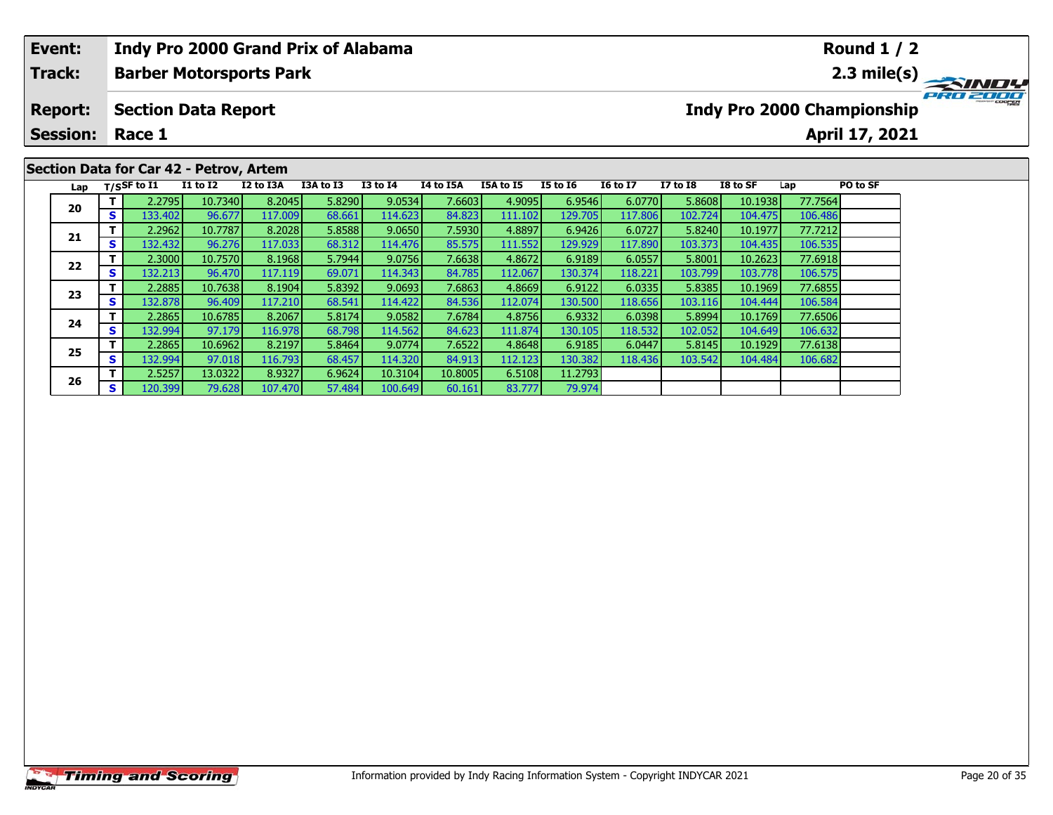| <b>Indy Pro 2000 Grand Prix of Alabama</b><br>Event:<br><b>Round 1 / 2</b><br><b>Track:</b><br><b>Barber Motorsports Park</b><br>Indy Pro 2000 Championship<br><b>Section Data Report</b><br><b>Report:</b><br><b>Session:</b><br>April 17, 2021<br>Race 1<br>Section Data for Car 42 - Petrov, Artem<br><b>16 to 17</b><br>$T/S$ SF to I1<br><b>I1 to I2</b><br>I2 to I3A<br>I3A to I3<br><b>I3 to I4</b><br>I4 to I5A<br>I5A to I5<br><b>I5 to 16</b><br><b>I7 to I8</b><br>PO to SF<br>I8 to SF<br>Lap<br>Lap<br>5.8290<br>8.2045<br>9.0534<br>4.9095<br>6.0770<br>77.7564<br>10.7340<br>7.6603<br>6.9546<br>5.8608<br>10.1938<br>2.2795<br>20<br>68.661<br>114.623<br>129.705<br>117.806<br>s l<br>133.402<br>96.677<br>117.009<br>84.823<br>102.724<br>106.486<br>111.102<br>104.475 |  |                                                                                                                                                                                                                                                           |  |  |  |  |  |  |  |          |
|-------------------------------------------------------------------------------------------------------------------------------------------------------------------------------------------------------------------------------------------------------------------------------------------------------------------------------------------------------------------------------------------------------------------------------------------------------------------------------------------------------------------------------------------------------------------------------------------------------------------------------------------------------------------------------------------------------------------------------------------------------------------------------------------|--|-----------------------------------------------------------------------------------------------------------------------------------------------------------------------------------------------------------------------------------------------------------|--|--|--|--|--|--|--|----------|
|                                                                                                                                                                                                                                                                                                                                                                                                                                                                                                                                                                                                                                                                                                                                                                                           |  |                                                                                                                                                                                                                                                           |  |  |  |  |  |  |  |          |
|                                                                                                                                                                                                                                                                                                                                                                                                                                                                                                                                                                                                                                                                                                                                                                                           |  |                                                                                                                                                                                                                                                           |  |  |  |  |  |  |  | PRO 2000 |
| 21                                                                                                                                                                                                                                                                                                                                                                                                                                                                                                                                                                                                                                                                                                                                                                                        |  |                                                                                                                                                                                                                                                           |  |  |  |  |  |  |  |          |
|                                                                                                                                                                                                                                                                                                                                                                                                                                                                                                                                                                                                                                                                                                                                                                                           |  | 5.8588<br>8.2028<br>9.0650<br>7.5930<br>4.8897<br>6.9426<br>6.0727<br>77.7212<br>10.7787<br>5.8240<br>2.2962<br>10.1977<br>132.4321<br>117.033<br>68.312<br>106.535<br>96.276<br>114.476<br>85.575<br>111.552<br>129.929<br>117.890<br>103.373<br>104.435 |  |  |  |  |  |  |  |          |
|                                                                                                                                                                                                                                                                                                                                                                                                                                                                                                                                                                                                                                                                                                                                                                                           |  |                                                                                                                                                                                                                                                           |  |  |  |  |  |  |  |          |
|                                                                                                                                                                                                                                                                                                                                                                                                                                                                                                                                                                                                                                                                                                                                                                                           |  |                                                                                                                                                                                                                                                           |  |  |  |  |  |  |  |          |
|                                                                                                                                                                                                                                                                                                                                                                                                                                                                                                                                                                                                                                                                                                                                                                                           |  |                                                                                                                                                                                                                                                           |  |  |  |  |  |  |  |          |
|                                                                                                                                                                                                                                                                                                                                                                                                                                                                                                                                                                                                                                                                                                                                                                                           |  |                                                                                                                                                                                                                                                           |  |  |  |  |  |  |  |          |
|                                                                                                                                                                                                                                                                                                                                                                                                                                                                                                                                                                                                                                                                                                                                                                                           |  |                                                                                                                                                                                                                                                           |  |  |  |  |  |  |  |          |

79.974

**<sup>T</sup>** 2.3000 10.7570 8.1968 5.7944 9.0756 7.6638 4.8672 6.9189 6.0557 5.8001 10.2623 77.6918 **<sup>S</sup>** 132.213 96.470 117.119 69.071 114.343 84.785 112.067 130.374 118.221 103.799 103.778 106.575

**<sup>T</sup>** 2.2885 10.7638 8.1904 5.8392 9.0693 7.6863 4.8669 6.9122 6.0335 5.8385 10.1969 77.6855 **<sup>S</sup>** 132.878 96.409 117.210 68.541 114.422 84.536 112.074 130.500 118.656 103.116 104.444 106.584

**<sup>T</sup>** 2.2865 10.6785 8.2067 5.8174 9.0582 7.6784 4.8756 6.9332 6.0398 5.8994 10.1769 77.6506 **<sup>S</sup>** 132.994 97.179 116.978 68.798 114.562 84.623 111.874 130.105 118.532 102.052 104.649 106.632

**<sup>T</sup>** 2.2865 10.6962 8.2197 5.8464 9.0774 7.6522 4.8648 6.9185 6.0447 5.8145 10.1929 77.6138 **<sup>S</sup>** 132.994 97.018 116.793 68.457 114.320 84.913 112.123 130.382 118.436 103.542 104.484 106.682

**<sup>T</sup>** 2.5257 13.0322 8.9327 6.9624 10.3104 10.8005 6.5108 11.2793 **<sup>S</sup>** 120.399 79.628 107.470 57.484 100.649 60.161 83.777 79.974

**22**

**23**

**24**

**25**

**26**

106.535

106.575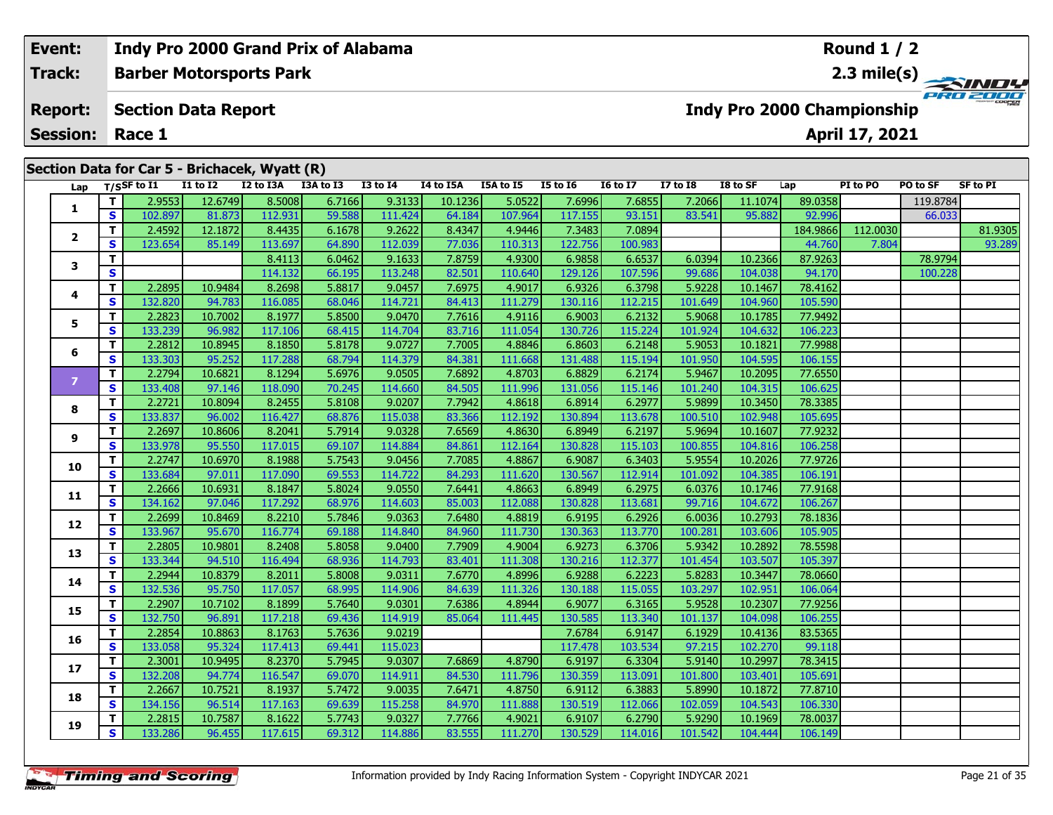| Event:          |    |                            |                 | <b>Indy Pro 2000 Grand Prix of Alabama</b>    |           |                 |           |                  |                 |                 |              |                                   |          | <b>Round 1 / 2</b> |          |                 |
|-----------------|----|----------------------------|-----------------|-----------------------------------------------|-----------|-----------------|-----------|------------------|-----------------|-----------------|--------------|-----------------------------------|----------|--------------------|----------|-----------------|
| Track:          |    |                            |                 | <b>Barber Motorsports Park</b>                |           |                 |           |                  |                 |                 |              |                                   |          |                    |          |                 |
| <b>Report:</b>  |    | <b>Section Data Report</b> |                 |                                               |           |                 |           |                  |                 |                 |              | <b>Indy Pro 2000 Championship</b> |          |                    |          | PRO 2000        |
| <b>Session:</b> |    | Race 1                     |                 |                                               |           |                 |           |                  |                 |                 |              |                                   |          | April 17, 2021     |          |                 |
|                 |    |                            |                 |                                               |           |                 |           |                  |                 |                 |              |                                   |          |                    |          |                 |
|                 |    |                            |                 | Section Data for Car 5 - Brichacek, Wyatt (R) |           |                 |           |                  |                 |                 |              |                                   |          |                    |          |                 |
|                 |    | Lap $T/SSF$ to I1          | <b>I1 to I2</b> | I2 to I3A                                     | I3A to I3 | <b>I3 to I4</b> | I4 to I5A | <b>I5A to I5</b> | <b>I5 to 16</b> | <b>16 to 17</b> | $I7$ to $I8$ | I8 to SF                          | Lap      | PI to PO           | PO to SF | <b>SF to PI</b> |
|                 |    | 2.9553                     | 12.6749         | 8.5008                                        | 6.7166    | 9.3133          | 10.1236   | 5.0522           | 7.6996          | 7.6855          | 7.2066       | 11.1074                           | 89.0358  |                    | 119.8784 |                 |
|                 | S. | 102.897                    | 81.873          | 112.931                                       | 59.588    | 111.424         | 64.184    | 107.964          | 117.155         | 93.151          | 83.541       | 95.882                            | 92.996   |                    | 66.033   |                 |
|                 |    | 2.4592                     | 12.1872         | 8.4435                                        | 6.1678    | 9.2622          | 8.4347    | 4.9446           | 7.3483          | 7.0894          |              |                                   | 184.9866 | 112.0030           |          | 81.9305         |
| 2               | S. | 123.654                    | 85.149          | 113.697                                       | 64.890    | 112.039         | 77.036    | 110.313          | 122.756         | 100.983         |              |                                   | 44.760   | 7.804              |          | 93.289          |
|                 |    |                            |                 | 8.4113                                        | 6.0462    | 9.1633          | 7.8759    | 4.9300           | 6.9858          | 6.6537          | 6.0394       | 10.2366                           | 87.9263  |                    | 78.9794  |                 |

|                |          | ------- | $0 + 10$ | ------- | $- - - - -$ | ------  | $\sim$ $\sim$ | $-0.1001$ | ------- | $-0.1201$ | $\sim$  | $-0.002$ | ------   |          | $\sim$  |         |
|----------------|----------|---------|----------|---------|-------------|---------|---------------|-----------|---------|-----------|---------|----------|----------|----------|---------|---------|
|                | T.       | 2.4592  | 12.1872  | 8.4435  | 6.1678      | 9.2622  | 8.4347        | 4.9446    | 7.3483  | 7.0894    |         |          | 184.9866 | 112.0030 |         | 81.9305 |
| $\mathbf{2}$   | S        | 123.654 | 85.149   | 113.697 | 64.890      | 112.039 | 77.036        | 110.313   | 122.756 | 100.983   |         |          | 44.760   | 7.804    |         | 93.289  |
| 3              | T.       |         |          | 8.4113  | 6.0462      | 9.1633  | 7.8759        | 4.9300    | 6.9858  | 6.6537    | 6.0394  | 10.2366  | 87.9263  |          | 78.9794 |         |
|                | S        |         |          | 114.132 | 66.195      | 113.248 | 82.501        | 110.640   | 129.126 | 107.596   | 99.686  | 104.038  | 94.170   |          | 100.228 |         |
| 4              | T.       | 2.2895  | 10.9484  | 8.2698  | 5.8817      | 9.0457  | 7.6975        | 4.9017    | 6.9326  | 6.3798    | 5.9228  | 10.1467  | 78.4162  |          |         |         |
|                | S        | 132.820 | 94.783   | 116.085 | 68.046      | 114.721 | 84.413        | 111.279   | 130.116 | 112.215   | 101.649 | 104.960  | 105.590  |          |         |         |
| 5              | T.       | 2.2823  | 10.7002  | 8.1977  | 5.8500      | 9.0470  | 7.7616        | 4.9116    | 6.9003  | 6.2132    | 5.9068  | 10.1785  | 77.9492  |          |         |         |
|                | S        | 133.239 | 96.982   | 117.106 | 68.415      | 114.704 | 83.716        | 111.054   | 130.726 | 115.224   | 101.924 | 104.632  | 106.223  |          |         |         |
| 6              | T        | 2.2812  | 10.8945  | 8.1850  | 5.8178      | 9.0727  | 7.7005        | 4.8846    | 6.8603  | 6.2148    | 5.9053  | 10.1821  | 77.9988  |          |         |         |
|                | S        | 133.303 | 95.252   | 117.288 | 68.794      | 114.379 | 84.381        | 111.668   | 131.488 | 115.194   | 101.950 | 104.595  | 106.155  |          |         |         |
| $\overline{7}$ | T.       | 2.2794  | 10.6821  | 8.1294  | 5.6976      | 9.0505  | 7.6892        | 4.8703    | 6.8829  | 6.2174    | 5.9467  | 10.2095  | 77.6550  |          |         |         |
|                | S        | 133.408 | 97.146   | 118.090 | 70.245      | 114.660 | 84.505        | 111.996   | 131.056 | 115.146   | 101.240 | 104.315  | 106.625  |          |         |         |
| 8              | T.       | 2.2721  | 10.8094  | 8.2455  | 5.8108      | 9.0207  | 7.7942        | 4.8618    | 6.8914  | 6.2977    | 5.9899  | 10.3450  | 78.3385  |          |         |         |
|                | S        | 133.837 | 96.002   | 116.427 | 68.876      | 115.038 | 83.366        | 112.192   | 130.894 | 113.678   | 100.510 | 102.948  | 105.695  |          |         |         |
| 9              | T        | 2.2697  | 10.8606  | 8.2041  | 5.7914      | 9.0328  | 7.6569        | 4.8630    | 6.8949  | 6.2197    | 5.9694  | 10.1607  | 77.9232  |          |         |         |
|                | S        | 133.978 | 95.550   | 117.015 | 69.107      | 114.884 | 84.861        | 112.164   | 130.828 | 115.103   | 100.855 | 104.816  | 106.258  |          |         |         |
| 10             | T.       | 2.2747  | 10.6970  | 8.1988  | 5.7543      | 9.0456  | 7.7085        | 4.8867    | 6.9087  | 6.3403    | 5.9554  | 10.2026  | 77.9726  |          |         |         |
|                | <b>S</b> | 133.684 | 97.011   | 117.090 | 69.553      | 114.722 | 84.293        | 111.620   | 130.567 | 112.914   | 101.092 | 104.385  | 106.191  |          |         |         |
| 11             | T.       | 2.2666  | 10.6931  | 8.1847  | 5.8024      | 9.0550  | 7.6441        | 4.8663    | 6.8949  | 6.2975    | 6.0376  | 10.1746  | 77.9168  |          |         |         |
|                | S        | 134.162 | 97.046   | 117.292 | 68.976      | 114.603 | 85.003        | 112.088   | 130.828 | 113.681   | 99.716  | 104.672  | 106.267  |          |         |         |
| 12             | T.       | 2.2699  | 10.8469  | 8.2210  | 5.7846      | 9.0363  | 7.6480        | 4.8819    | 6.9195  | 6.2926    | 6.0036  | 10.2793  | 78.1836  |          |         |         |
|                | S        | 133.967 | 95.670   | 116.774 | 69.188      | 114.840 | 84.960        | 111.730   | 130.363 | 113.770   | 100.281 | 103.606  | 105.905  |          |         |         |
| 13             | T.       | 2.2805  | 10.9801  | 8.2408  | 5.8058      | 9.0400  | 7.7909        | 4.9004    | 6.9273  | 6.3706    | 5.9342  | 10.2892  | 78.5598  |          |         |         |
|                | S        | 133.344 | 94.510   | 116.494 | 68.936      | 114.793 | 83.401        | 111.308   | 130.216 | 112.377   | 101.454 | 103.507  | 105.397  |          |         |         |
| 14             | T        | 2.2944  | 10.8379  | 8.2011  | 5.8008      | 9.0311  | 7.6770        | 4.8996    | 6.9288  | 6.2223    | 5.8283  | 10.3447  | 78.0660  |          |         |         |
|                | S        | 132.536 | 95.750   | 117.057 | 68.995      | 114.906 | 84.639        | 111.326   | 130.188 | 115.055   | 103.297 | 102.951  | 106.064  |          |         |         |
| 15             | T.       | 2.2907  | 10.7102  | 8.1899  | 5.7640      | 9.0301  | 7.6386        | 4.8944    | 6.9077  | 6.3165    | 5.9528  | 10.2307  | 77.9256  |          |         |         |
|                | S        | 132.750 | 96.891   | 117.218 | 69.436      | 114.919 | 85.064        | 111.445   | 130.585 | 113.340   | 101.137 | 104.098  | 106.255  |          |         |         |
| 16             | T.       | 2.2854  | 10.8863  | 8.1763  | 5.7636      | 9.0219  |               |           | 7.6784  | 6.9147    | 6.1929  | 10.4136  | 83.5365  |          |         |         |
|                | S        | 133.058 | 95.324   | 117.413 | 69.441      | 115.023 |               |           | 117.478 | 103.534   | 97.215  | 102.270  | 99.118   |          |         |         |
| 17             | T        | 2.3001  | 10.9495  | 8.2370  | 5.7945      | 9.0307  | 7.6869        | 4.8790    | 6.9197  | 6.3304    | 5.9140  | 10.2997  | 78.3415  |          |         |         |
|                | S.       | 132.208 | 94.774   | 116.547 | 69.070      | 114.911 | 84.530        | 111.796   | 130.359 | 113.091   | 101.800 | 103.401  | 105.691  |          |         |         |
| 18             | T.       | 2.2667  | 10.7521  | 8.1937  | 5.7472      | 9.0035  | 7.6471        | 4.8750    | 6.9112  | 6.3883    | 5.8990  | 10.1872  | 77.8710  |          |         |         |
|                | <b>S</b> | 134.156 | 96.514   | 117.163 | 69.639      | 115.258 | 84.970        | 111.888   | 130.519 | 112.066   | 102.059 | 104.543  | 106.330  |          |         |         |
| 19             | T        | 2.2815  | 10.7587  | 8.1622  | 5.7743      | 9.0327  | 7.7766        | 4.9021    | 6.9107  | 6.2790    | 5.9290  | 10.1969  | 78.0037  |          |         |         |
|                | S        | 133.286 | 96.455   | 117.615 | 69.312      | 114.886 | 83.555        | 111.270   | 130.529 | 114.016   | 101.542 | 104.444  | 106.149  |          |         |         |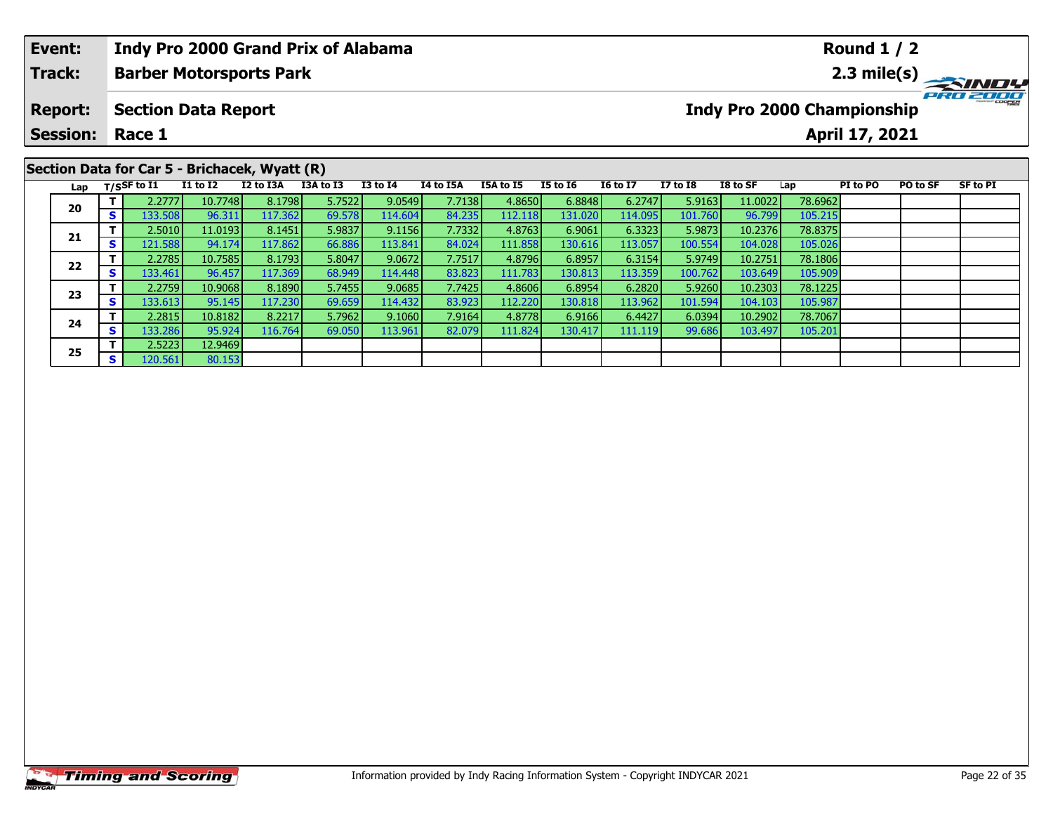|                                                                                                                                                                                                                                                                             | Event: |    |                   |                 |           |           |                 |           |           |                 |                 |                 |          |         | <b>Round 1 / 2</b> |          |          |
|-----------------------------------------------------------------------------------------------------------------------------------------------------------------------------------------------------------------------------------------------------------------------------|--------|----|-------------------|-----------------|-----------|-----------|-----------------|-----------|-----------|-----------------|-----------------|-----------------|----------|---------|--------------------|----------|----------|
| <b>Indy Pro 2000 Grand Prix of Alabama</b><br>Track:<br><b>Barber Motorsports Park</b><br><b>Indy Pro 2000 Championship</b><br><b>Section Data Report</b><br><b>Report:</b><br><b>Session:</b><br>April 17, 2021<br>Race 1<br>Section Data for Car 5 - Brichacek, Wyatt (R) |        |    |                   |                 |           | PRO 2000  |                 |           |           |                 |                 |                 |          |         |                    |          |          |
|                                                                                                                                                                                                                                                                             |        |    |                   |                 |           |           |                 |           |           |                 |                 |                 |          |         |                    |          |          |
|                                                                                                                                                                                                                                                                             |        |    |                   |                 |           |           |                 |           |           |                 |                 |                 |          |         |                    |          |          |
|                                                                                                                                                                                                                                                                             |        |    |                   |                 |           |           |                 |           |           |                 |                 |                 |          |         |                    |          |          |
|                                                                                                                                                                                                                                                                             |        |    | Lap $T/SSF$ to I1 | <b>I1 to I2</b> | I2 to I3A | I3A to I3 | <b>I3 to I4</b> | I4 to I5A | I5A to I5 | <b>I5 to I6</b> | <b>16 to 17</b> | <b>I7 to I8</b> | I8 to SF | Lap     | PI to PO           | PO to SF | SF to PI |
|                                                                                                                                                                                                                                                                             | 20     |    | 2.2777            | 10.7748         | 8.1798    | 5.7522    | 9.0549          | 7.7138    | 4.8650    | 6.8848          | 6.2747          | 5.9163          | 11.0022  | 78.6962 |                    |          |          |
|                                                                                                                                                                                                                                                                             |        | S. | 133.508           | 96.311          | 117.362   | 69.578    | 114.604         | 84.235    | 112.118   | 131.020         | 114.095         | 101.760         | 96.799   | 105.215 |                    |          |          |
|                                                                                                                                                                                                                                                                             |        |    | 2.5010            | 11.0193         | 8.1451    | 5.9837    | 9.1156          | 7.7332    | 4.8763    | 6.9061          | 6.3323          | 5.9873          | 10.2376  | 78.8375 |                    |          |          |
|                                                                                                                                                                                                                                                                             | 21     |    | 121.588           | 94.174          | 117.862   | 66.886    | 113.841         | 84.024    | 111.858   | 130.616         | 113.057         | 100.554         | 104.028  | 105.026 |                    |          |          |

**<sup>T</sup>** 2.2785 10.7585 8.1793 5.8047 9.0672 7.7517 4.8796 6.8957 6.3154 5.9749 10.2751 78.1806 **<sup>S</sup>** 133.461 96.457 117.369 68.949 114.448 83.823 111.783 130.813 113.359 100.762 103.649 105.909

**<sup>T</sup>** 2.2759 10.9068 8.1890 5.7455 9.0685 7.7425 4.8606 6.8954 6.2820 5.9260 10.2303 78.1225 **<sup>S</sup>** 133.613 95.145 117.230 69.659 114.432 83.923 112.220 130.818 113.962 101.594 104.103 105.987

**<sup>T</sup>** 2.2815 10.8182 8.2217 5.7962 9.1060 7.9164 4.8778 6.9166 6.4427 6.0394 10.2902 78.7067 **<sup>S</sup>** 133.286 95.924 116.764 69.050 113.961 82.079 111.824 130.417 111.119 99.686 103.497 105.201

**22**

**23**

**24**

**25**

**<sup>T</sup>** 2.5223 12.9469 **<sup>S</sup>** 120.561 80.153

105.026<br>78.1806

105.909

105.98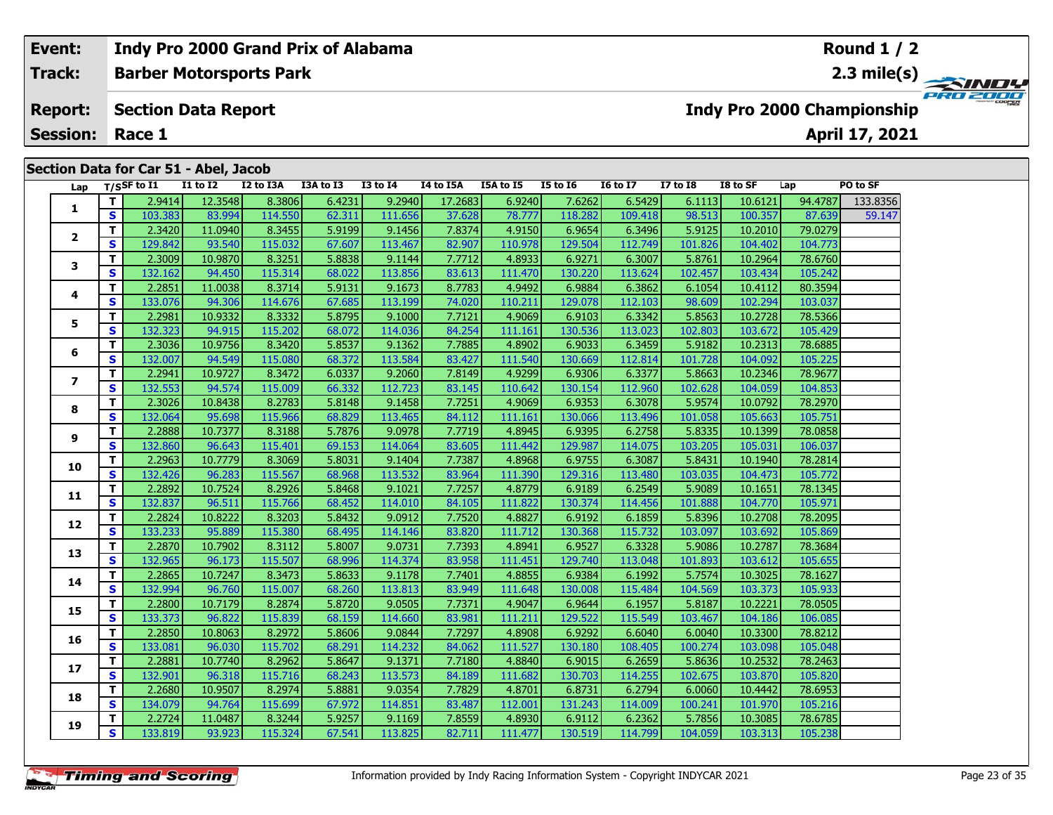# **Event: Indy Pro 2000 Grand Prix of Alabama Round 1 / 2Barber Motorsports Park 2.3 mile(s) Track: PRO 2000 Report: Section Data Report Indy Pro 2000 Championship April 17, 2021 Session: Race 1 Section Data for Car 51 - Abel, Jacob Lap T/SSF to I1 I1 to I2 I2 to I3A I3A to I3 I3 to I4 I4 to I5A I5A to I5 I5 to I6 I6 to I7 I7 to I8 I8 to SF Lap PO to SF <sup>T</sup>** 2.9414 12.3548 8.3806 6.4231 9.2940 17.2683 6.9240 7.6262 6.5429 6.1113 10.6121 94.4787 133.8356 **<sup>S</sup>** 103.383 83.994 114.550 62.311 111.656 37.628 78.777 118.282 109.418 98.513 100.357 87.639 59.147**12**

| 1              |                         | 2.9414  | 12.3548 | 8.3806  | 6.4231 | 9.2940  | 17.2683 | 6.9240  | 7.6262  | 6.5429  | 6.1113  | 10.6121 | 94.4787 | 133.8356 |
|----------------|-------------------------|---------|---------|---------|--------|---------|---------|---------|---------|---------|---------|---------|---------|----------|
|                | S                       | 103.383 | 83.994  | 114.550 | 62.311 | 111.656 | 37.628  | 78.777  | 118.282 | 109.418 | 98.513  | 100.357 | 87.639  | 59.147   |
| $\mathbf{2}$   | T.                      | 2.3420  | 11.0940 | 8.3455  | 5.9199 | 9.1456  | 7.8374  | 4.9150  | 6.9654  | 6.3496  | 5.9125  | 10.2010 | 79.0279 |          |
|                | S                       | 129.842 | 93.540  | 115.032 | 67.607 | 113.467 | 82.907  | 110.978 | 129.504 | 112.749 | 101.826 | 104.402 | 104.773 |          |
| 3              | T.                      | 2.3009  | 10.9870 | 8.3251  | 5.8838 | 9.1144  | 7.7712  | 4.8933  | 6.9271  | 6.3007  | 5.8761  | 10.2964 | 78.6760 |          |
|                | <b>S</b>                | 132.162 | 94.450  | 115.314 | 68.022 | 113.856 | 83.613  | 111.470 | 130.220 | 113.624 | 102.457 | 103.434 | 105.242 |          |
| 4              | $\mathbf{T}$            | 2.2851  | 11.0038 | 8.3714  | 5.9131 | 9.1673  | 8.7783  | 4.9492  | 6.9884  | 6.3862  | 6.1054  | 10.4112 | 80.3594 |          |
|                | <b>S</b>                | 133.076 | 94.306  | 114.676 | 67.685 | 113.199 | 74.020  | 110.211 | 129.078 | 112.103 | 98.609  | 102.294 | 103.037 |          |
| 5              | T.                      | 2.2981  | 10.9332 | 8.3332  | 5.8795 | 9.1000  | 7.7121  | 4.9069  | 6.9103  | 6.3342  | 5.8563  | 10.2728 | 78.5366 |          |
|                | S                       | 132.323 | 94.915  | 115.202 | 68.072 | 114.036 | 84.254  | 111.161 | 130.536 | 113.023 | 102.803 | 103.672 | 105.429 |          |
| 6              | T.                      | 2.3036  | 10.9756 | 8.3420  | 5.8537 | 9.1362  | 7.7885  | 4.8902  | 6.9033  | 6.3459  | 5.9182  | 10.2313 | 78.6885 |          |
|                | S                       | 132.007 | 94.549  | 115.080 | 68.372 | 113.584 | 83.427  | 111.540 | 130.669 | 112.814 | 101.728 | 104.092 | 105.225 |          |
| $\overline{ }$ | T.                      | 2.2941  | 10.9727 | 8.3472  | 6.0337 | 9.2060  | 7.8149  | 4.9299  | 6.9306  | 6.3377  | 5.8663  | 10.2346 | 78.9677 |          |
|                | S                       | 132.553 | 94.574  | 115.009 | 66.332 | 112.723 | 83.145  | 110.642 | 130.154 | 112.960 | 102.628 | 104.059 | 104.853 |          |
| 8              | $\mathbf{T}$            | 2.3026  | 10.8438 | 8.2783  | 5.8148 | 9.1458  | 7.7251  | 4.9069  | 6.9353  | 6.3078  | 5.9574  | 10.0792 | 78.2970 |          |
|                | S                       | 132.064 | 95.698  | 115.966 | 68.829 | 113.465 | 84.112  | 111.161 | 130.066 | 113.496 | 101.058 | 105.663 | 105.751 |          |
| 9              | $\overline{\mathsf{T}}$ | 2.2888  | 10.7377 | 8.3188  | 5.7876 | 9.0978  | 7.7719  | 4.8945  | 6.9395  | 6.2758  | 5.8335  | 10.1399 | 78.0858 |          |
|                | <b>S</b>                | 132.860 | 96.643  | 115.401 | 69.153 | 114.064 | 83.605  | 111.442 | 129.987 | 114.075 | 103.205 | 105.031 | 106.037 |          |
| 10             | $\mathbf{T}$            | 2.2963  | 10.7779 | 8.3069  | 5.8031 | 9.1404  | 7.7387  | 4.8968  | 6.9755  | 6.3087  | 5.8431  | 10.1940 | 78.2814 |          |
|                | <b>S</b>                | 132.426 | 96.283  | 115.567 | 68.968 | 113.532 | 83.964  | 111.390 | 129.316 | 113.480 | 103.035 | 104.473 | 105.772 |          |
| 11             | $\mathbf{T}$            | 2.2892  | 10.7524 | 8.2926  | 5.8468 | 9.1021  | 7.7257  | 4.8779  | 6.9189  | 6.2549  | 5.9089  | 10.1651 | 78.1345 |          |
|                | S                       | 132.837 | 96.511  | 115.766 | 68.452 | 114.010 | 84.105  | 111.822 | 130.374 | 114.456 | 101.888 | 104.770 | 105.971 |          |
| 12             | $\mathbf{T}$            | 2.2824  | 10.8222 | 8.3203  | 5.8432 | 9.0912  | 7.7520  | 4.8827  | 6.9192  | 6.1859  | 5.8396  | 10.2708 | 78.2095 |          |
|                | S                       | 133.233 | 95.889  | 115.380 | 68.495 | 114.146 | 83.820  | 111.712 | 130.368 | 115.732 | 103.097 | 103.692 | 105.869 |          |
| 13             | $\mathbf{T}$            | 2.2870  | 10.7902 | 8.3112  | 5.8007 | 9.0731  | 7.7393  | 4.8941  | 6.9527  | 6.3328  | 5.9086  | 10.2787 | 78.3684 |          |
|                | S                       | 132.965 | 96.173  | 115.507 | 68.996 | 114.374 | 83.958  | 111.451 | 129.740 | 113.048 | 101.893 | 103.612 | 105.655 |          |
| 14             | T.                      | 2.2865  | 10.7247 | 8.3473  | 5.8633 | 9.1178  | 7.7401  | 4.8855  | 6.9384  | 6.1992  | 5.7574  | 10.3025 | 78.1627 |          |
|                | <b>S</b>                | 132.994 | 96.760  | 115.007 | 68.260 | 113.813 | 83.949  | 111.648 | 130.008 | 115.484 | 104.569 | 103.373 | 105.933 |          |
| 15             | T.                      | 2.2800  | 10.7179 | 8.2874  | 5.8720 | 9.0505  | 7.7371  | 4.9047  | 6.9644  | 6.1957  | 5.8187  | 10.2221 | 78.0505 |          |
|                | S                       | 133.373 | 96.822  | 115.839 | 68.159 | 114.660 | 83.981  | 111.211 | 129.522 | 115.549 | 103.467 | 104.186 | 106.085 |          |
| 16             | $\mathbf{T}$            | 2.2850  | 10.8063 | 8.2972  | 5.8606 | 9.0844  | 7.7297  | 4.8908  | 6.9292  | 6.6040  | 6.0040  | 10.3300 | 78.8212 |          |
|                | S                       | 133.081 | 96.030  | 115.702 | 68.291 | 114.232 | 84.062  | 111.527 | 130.180 | 108.405 | 100.274 | 103.098 | 105.048 |          |
| 17             | T.                      | 2.2881  | 10.7740 | 8.2962  | 5.8647 | 9.1371  | 7.7180  | 4.8840  | 6.9015  | 6.2659  | 5.8636  | 10.2532 | 78.2463 |          |
|                | $\mathbf{s}$            | 132.901 | 96.318  | 115.716 | 68.243 | 113.573 | 84.189  | 111.682 | 130.703 | 114.255 | 102.675 | 103.870 | 105.820 |          |
| 18             | T.                      | 2.2680  | 10.9507 | 8.2974  | 5.8881 | 9.0354  | 7.7829  | 4.8701  | 6.8731  | 6.2794  | 6.0060  | 10.4442 | 78.6953 |          |
|                | S                       | 134.079 | 94.764  | 115.699 | 67.972 | 114.851 | 83.487  | 112.001 | 131.243 | 114.009 | 100.241 | 101.970 | 105.216 |          |
| 19             | T.                      | 2.2724  | 11.0487 | 8.3244  | 5.9257 | 9.1169  | 7.8559  | 4.8930  | 6.9112  | 6.2362  | 5.7856  | 10.3085 | 78.6785 |          |
|                | S.                      | 133.819 | 93.923  | 115.324 | 67.541 | 113.825 | 82.711  | 111.477 | 130.519 | 114.799 | 104.059 | 103.313 | 105.238 |          |
|                |                         |         |         |         |        |         |         |         |         |         |         |         |         |          |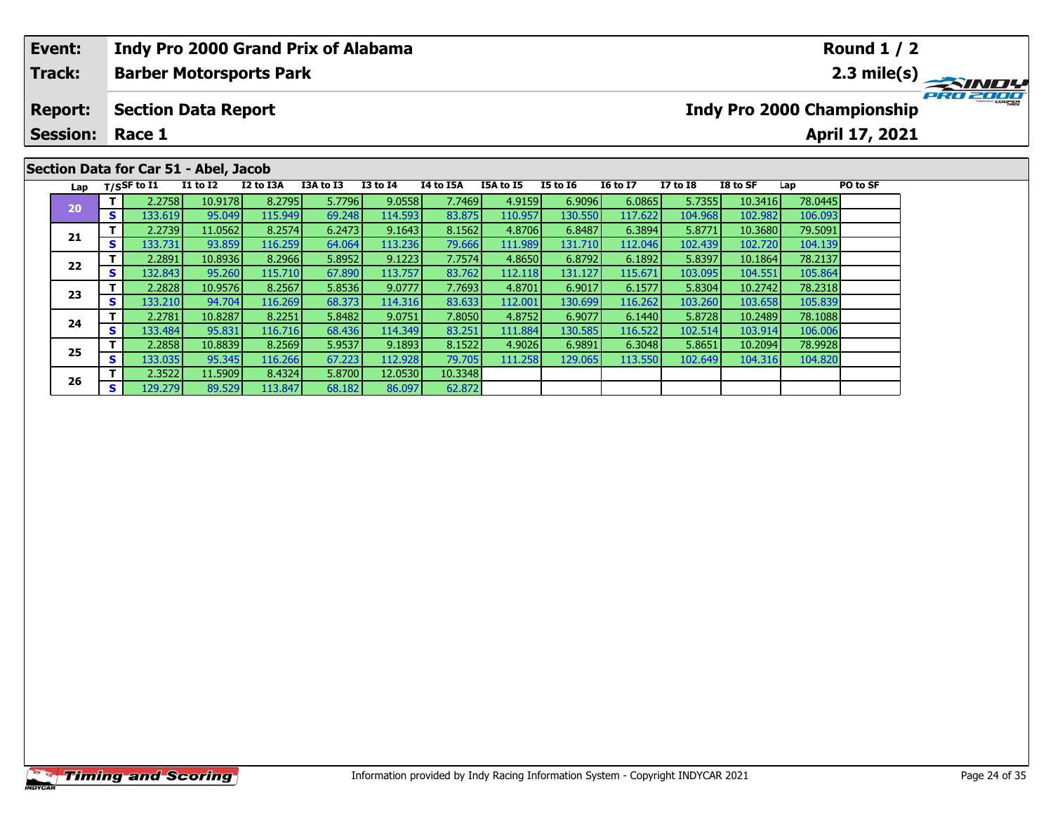# **Event:Round 1 / 2 Indy Pro 2000 Grand Prix of Alabama Track:Barber Motorsports Park 2.3 mile(s)** PRO ZOOO **Report: Section Data Report Indy Pro 2000 Championship April 17, 2021 Session: Race 1Section Data for Car 51 - Abel, Jacob Lap T/SSF to I1 I1 to I2 I2 to I3A I3A to I3 I3 to I4 I4 to I5A I5A to I5 I5 to I6 I6 to I7 I7 to I8 I8 to SF Lap PO to SF <sup>T</sup>** 2.2758 10.9178 8.2795 5.7796 9.0558 7.7469 4.9159 6.9096 6.0865 5.7355 10.3416 78.0445 **<sup>S</sup>** 133.619 95.049 115.949 69.248 114.593 83.875 110.957 130.550 117.622 104.968 102.982 106.093**20 <sup>T</sup>** 2.2739 11.0562 8.2574 6.2473 9.1643 8.1562 4.8706 6.8487 6.3894 5.8771 10.3680 79.5091 **<sup>S</sup>** 133.731 93.859 116.259 64.064 113.236 79.666 111.989 131.710 112.046 102.439 102.720 104.139**21**

**<sup>T</sup>** 2.2891 10.8936 8.2966 5.8952 9.1223 7.7574 4.8650 6.8792 6.1892 5.8397 10.1864 78.2137 **<sup>S</sup>** 132.843 95.260 115.710 67.890 113.757 83.762 112.118 131.127 115.671 103.095 104.551 105.864

**<sup>T</sup>** 2.2828 10.9576 8.2567 5.8536 9.0777 7.7693 4.8701 6.9017 6.1577 5.8304 10.2742 78.2318 **<sup>S</sup>** 133.210 94.704 116.269 68.373 114.316 83.633 112.001 130.699 116.262 103.260 103.658 105.839

**<sup>T</sup>** 2.2781 10.8287 8.2251 5.8482 9.0751 7.8050 4.8752 6.9077 6.1440 5.8728 10.2489 78.1088 **<sup>S</sup>** 133.484 95.831 116.716 68.436 114.349 83.251 111.884 130.585 116.522 102.514 103.914 106.006

**<sup>T</sup>** 2.2858 10.8839 8.2569 5.9537 9.1893 8.1522 4.9026 6.9891 6.3048 5.8651 10.2094 78.9928 **<sup>S</sup>** 133.035 95.345 116.266 67.223 112.928 79.705 111.258 129.065 113.550 102.649 104.316 104.820

**<sup>T</sup>** 2.3522 11.5909 8.4324 5.8700 12.0530 10.3348 **<sup>S</sup>** 129.279 89.529 113.847 68.182 86.097 62.872

**22**

**23**

**24**

**25**

**26**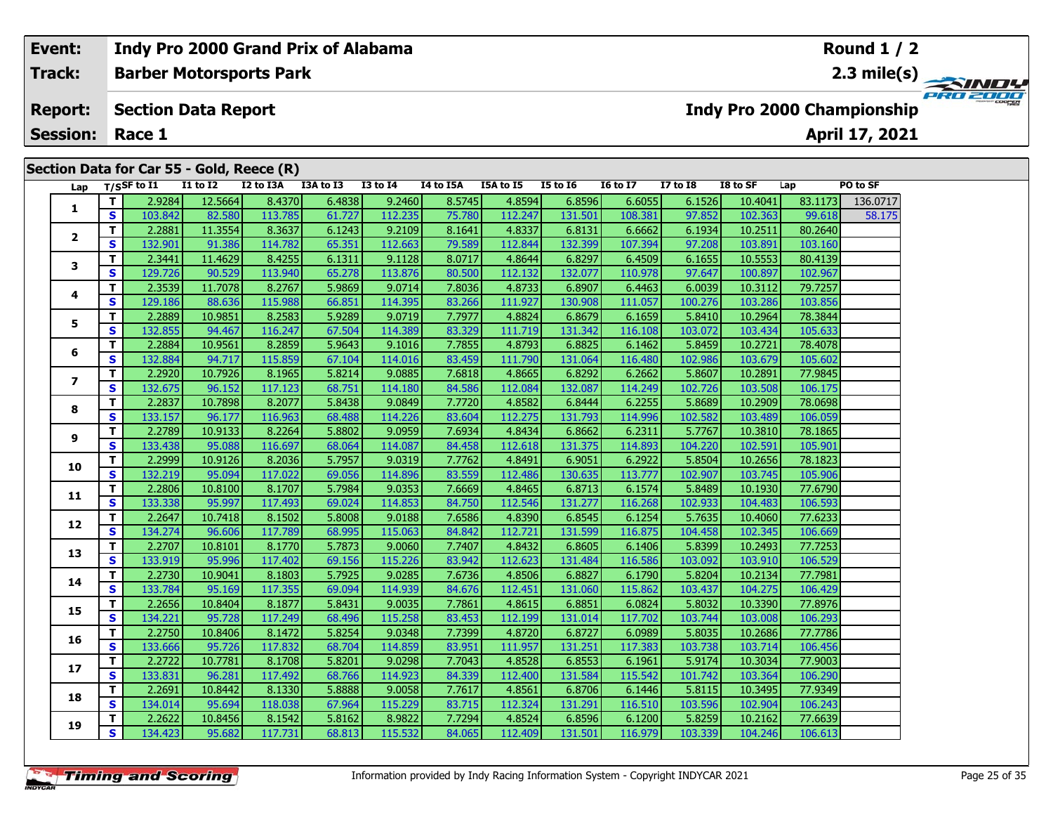# **Event: Indy Pro 2000 Grand Prix of Alabama Round 1 / 2Barber Motorsports Park 2.3 mile(s) Track:** PRO 2001 **Section Data Report Report: Indy Pro 2000 Championship April 17, 2021 Session: Race 1 Section Data for Car 55 - Gold, Reece (R) Lap T/SSF to I1 I1 to I2 I2 to I3A I3A to I3 I3 to I4 I4 to I5A I5A to I5 I5 to I6 I6 to I7 I7 to I8 I8 to SF Lap PO to SF**  0717<br>8.175 **<sup>T</sup>** 2.9284 12.5664 8.4370 6.4838 9.2460 8.5745 4.8594 6.8596 6.6055 6.1526 10.4041 83.1173 136.0717 **<sup>S</sup>** 103.842 82.580 113.785 61.727 112.235 75.780 112.247 131.501 108.381 97.852 102.363 99.618 58.175**1 <sup>T</sup>** 2.2881 11.3554 8.3637 6.1243 9.2109 8.1641 4.8337 6.8131 6.6662 6.1934 10.2511 80.2640 **<sup>S</sup>** 132.901 91.386 114.782 65.351 112.663 79.589 112.844 132.399 107.394 97.208 103.891 103.160**2**

|                | T.                      | 2.9284  | 12.5664 | 8.4370  | 6.4838 | 9.2460  | 8.5745 | 4.8594  | 6.8596  | 6.6055  | 6.1526  | 10.4041 | 83.1173 | 136.0717 |
|----------------|-------------------------|---------|---------|---------|--------|---------|--------|---------|---------|---------|---------|---------|---------|----------|
| 1              | S                       | 103.842 | 82.580  | 113.785 | 61.727 | 112.235 | 75.780 | 112.247 | 131.501 | 108.381 | 97.852  | 102.363 | 99.618  | 58.175   |
|                | T.                      | 2.2881  | 11.3554 | 8.3637  | 6.1243 | 9.2109  | 8.1641 | 4.8337  | 6.8131  | 6.6662  | 6.1934  | 10.2511 | 80.2640 |          |
| $\mathbf{2}$   | S                       | 132.901 | 91.386  | 114.782 | 65.351 | 112.663 | 79.589 | 112.844 | 132.399 | 107.394 | 97.208  | 103.891 | 103.160 |          |
| 3              | $\overline{\mathbf{T}}$ | 2.3441  | 11.4629 | 8.4255  | 6.1311 | 9.1128  | 8.0717 | 4.8644  | 6.8297  | 6.4509  | 6.1655  | 10.5553 | 80.4139 |          |
|                | S                       | 129.726 | 90.529  | 113.940 | 65.278 | 113.876 | 80.500 | 112.132 | 132.077 | 110.978 | 97.647  | 100.897 | 102.967 |          |
| 4              | T                       | 2.3539  | 11.7078 | 8.2767  | 5.9869 | 9.0714  | 7.8036 | 4.8733  | 6.8907  | 6.4463  | 6.0039  | 10.3112 | 79.7257 |          |
|                | S                       | 129.186 | 88.636  | 115.988 | 66.851 | 114.395 | 83.266 | 111.927 | 130.908 | 111.057 | 100.276 | 103.286 | 103.856 |          |
| 5              | T                       | 2.2889  | 10.9851 | 8.2583  | 5.9289 | 9.0719  | 7.7977 | 4.8824  | 6.8679  | 6.1659  | 5.8410  | 10.2964 | 78.3844 |          |
|                | S                       | 132.855 | 94.467  | 116.247 | 67.504 | 114.389 | 83.329 | 111.719 | 131.342 | 116.108 | 103.072 | 103.434 | 105.633 |          |
| 6              | T                       | 2.2884  | 10.9561 | 8.2859  | 5.9643 | 9.1016  | 7.7855 | 4.8793  | 6.8825  | 6.1462  | 5.8459  | 10.2721 | 78.4078 |          |
|                | $\mathbf{s}$            | 132.884 | 94.717  | 115.859 | 67.104 | 114.016 | 83.459 | 111.790 | 131.064 | 116.480 | 102.986 | 103.679 | 105.602 |          |
| $\overline{ }$ | T                       | 2.2920  | 10.7926 | 8.1965  | 5.8214 | 9.0885  | 7.6818 | 4.8665  | 6.8292  | 6.2662  | 5.8607  | 10.2891 | 77.9845 |          |
|                | S                       | 132.675 | 96.152  | 117.123 | 68.751 | 114.180 | 84.586 | 112.084 | 132.087 | 114.249 | 102.726 | 103.508 | 106.175 |          |
| 8              | T                       | 2.2837  | 10.7898 | 8.2077  | 5.8438 | 9.0849  | 7.7720 | 4.8582  | 6.8444  | 6.2255  | 5.8689  | 10.2909 | 78.0698 |          |
|                | $\mathbf s$             | 133.157 | 96.177  | 116.963 | 68.488 | 114.226 | 83.604 | 112.275 | 131.793 | 114.996 | 102.582 | 103.489 | 106.059 |          |
| 9              | T                       | 2.2789  | 10.9133 | 8.2264  | 5.8802 | 9.0959  | 7.6934 | 4.8434  | 6.8662  | 6.2311  | 5.7767  | 10.3810 | 78.1865 |          |
|                | S                       | 133.438 | 95.088  | 116.697 | 68.064 | 114.087 | 84.458 | 112.618 | 131.375 | 114.893 | 104.220 | 102.591 | 105.901 |          |
| 10             | T                       | 2.2999  | 10.9126 | 8.2036  | 5.7957 | 9.0319  | 7.7762 | 4.8491  | 6.9051  | 6.2922  | 5.8504  | 10.2656 | 78.1823 |          |
|                | S                       | 132.219 | 95.094  | 117.022 | 69.056 | 114.896 | 83.559 | 112.486 | 130.635 | 113.777 | 102.907 | 103.745 | 105.906 |          |
| 11             | T.                      | 2.2806  | 10.8100 | 8.1707  | 5.7984 | 9.0353  | 7.6669 | 4.8465  | 6.8713  | 6.1574  | 5.8489  | 10.1930 | 77.6790 |          |
|                | S                       | 133.338 | 95.997  | 117.493 | 69.024 | 114.853 | 84.750 | 112.546 | 131.277 | 116.268 | 102.933 | 104.483 | 106.593 |          |
| 12             | T.                      | 2.2647  | 10.7418 | 8.1502  | 5.8008 | 9.0188  | 7.6586 | 4.8390  | 6.8545  | 6.1254  | 5.7635  | 10.4060 | 77.6233 |          |
|                | $\mathbf{s}$            | 134.274 | 96.606  | 117.789 | 68.995 | 115.063 | 84.842 | 112.721 | 131.599 | 116.875 | 104.458 | 102.345 | 106.669 |          |
| 13             | T.                      | 2.2707  | 10.8101 | 8.1770  | 5.7873 | 9.0060  | 7.7407 | 4.8432  | 6.8605  | 6.1406  | 5.8399  | 10.2493 | 77.7253 |          |
|                | $\mathbf{s}$            | 133.919 | 95.996  | 117.402 | 69.156 | 115.226 | 83.942 | 112.623 | 131.484 | 116.586 | 103.092 | 103.910 | 106.529 |          |
| 14             | T                       | 2.2730  | 10.9041 | 8.1803  | 5.7925 | 9.0285  | 7.6736 | 4.8506  | 6.8827  | 6.1790  | 5.8204  | 10.2134 | 77.7981 |          |
|                | S                       | 133.784 | 95.169  | 117.355 | 69.094 | 114.939 | 84.676 | 112.451 | 131.060 | 115.862 | 103.437 | 104.275 | 106.429 |          |
| 15             | T                       | 2.2656  | 10.8404 | 8.1877  | 5.8431 | 9.0035  | 7.7861 | 4.8615  | 6.8851  | 6.0824  | 5.8032  | 10.3390 | 77.8976 |          |
|                | S                       | 134.221 | 95.728  | 117.249 | 68.496 | 115.258 | 83.453 | 112.199 | 131.014 | 117.702 | 103.744 | 103.008 | 106.293 |          |
| 16             | $\mathbf{T}$            | 2.2750  | 10.8406 | 8.1472  | 5.8254 | 9.0348  | 7.7399 | 4.8720  | 6.8727  | 6.0989  | 5.8035  | 10.2686 | 77.7786 |          |
|                | S                       | 133.666 | 95.726  | 117.832 | 68.704 | 114.859 | 83.951 | 111.957 | 131.251 | 117.383 | 103.738 | 103.714 | 106.456 |          |
| 17             | T                       | 2.2722  | 10.7781 | 8.1708  | 5.8201 | 9.0298  | 7.7043 | 4.8528  | 6.8553  | 6.1961  | 5.9174  | 10.3034 | 77.9003 |          |
|                | S                       | 133.831 | 96.281  | 117.492 | 68.766 | 114.923 | 84.339 | 112.400 | 131.584 | 115.542 | 101.742 | 103.364 | 106.290 |          |
| 18             | $\mathbf{T}$            | 2.2691  | 10.8442 | 8.1330  | 5.8888 | 9.0058  | 7.7617 | 4.8561  | 6.8706  | 6.1446  | 5.8115  | 10.3495 | 77.9349 |          |
|                | S.                      | 134.014 | 95.694  | 118.038 | 67.964 | 115.229 | 83.715 | 112.324 | 131.291 | 116.510 | 103.596 | 102.904 | 106.243 |          |
| 19             | T.                      | 2.2622  | 10.8456 | 8.1542  | 5.8162 | 8.9822  | 7.7294 | 4.8524  | 6.8596  | 6.1200  | 5.8259  | 10.2162 | 77.6639 |          |
|                | S                       | 134.423 | 95.682  | 117.731 | 68.813 | 115.532 | 84.065 | 112.409 | 131.501 | 116.979 | 103.339 | 104.246 | 106.613 |          |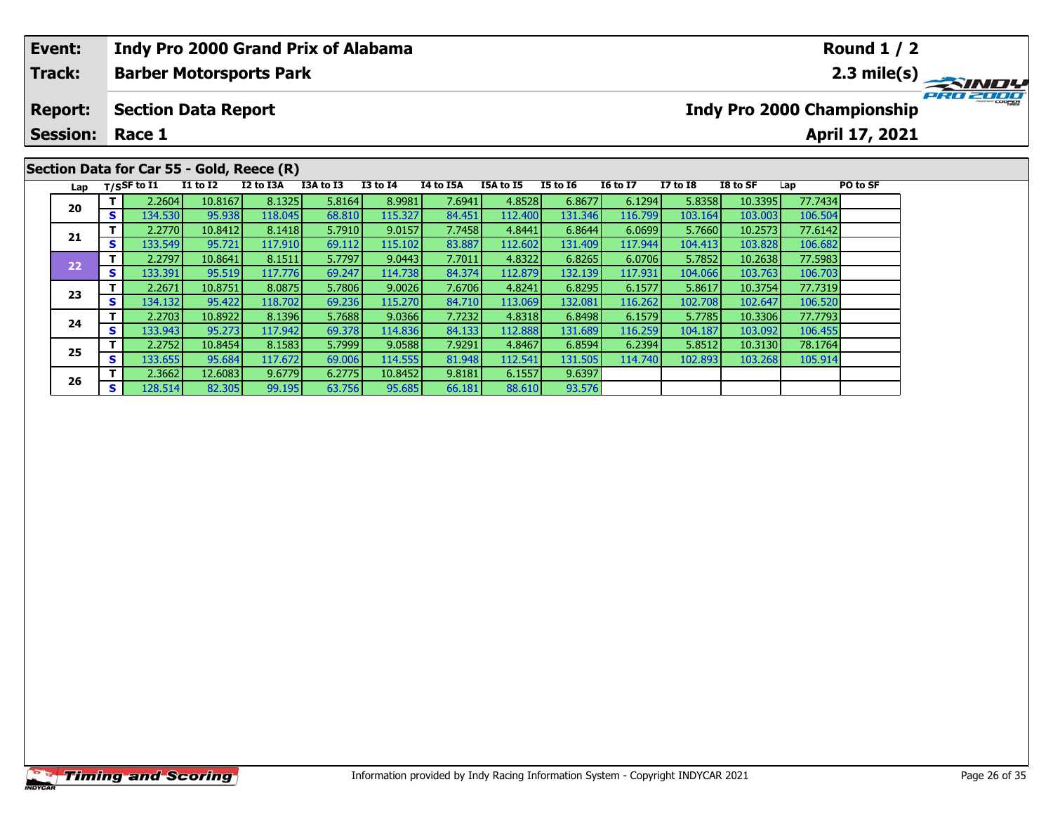# **Event:Round 1 / 2 Indy Pro 2000 Grand Prix of Alabama Track:Barber Motorsports Park 2.3 mile(s)** PRO ZOOO **Report: Section Data Report Indy Pro 2000 Championship April 17, 2021 Session: Race 1Section Data for Car 55 - Gold, Reece (R) Lap T/SSF to I1 I1 to I2 I2 to I3A I3A to I3 I3 to I4 I4 to I5A I5A to I5 I5 to I6 I6 to I7 I7 to I8 I8 to SF Lap PO to SF <sup>T</sup>** 2.2604 10.8167 8.1325 5.8164 8.9981 7.6941 4.8528 6.8677 6.1294 5.8358 10.3395 77.7434 **<sup>S</sup>** 134.530 95.938 118.045 68.810 115.327 84.451 112.400 131.346 116.799 103.164 103.003 106.504**20 <sup>T</sup>** 2.2770 10.8412 8.1418 5.7910 9.0157 7.7458 4.8441 6.8644 6.0699 5.7660 10.2573 77.6142 **<sup>S</sup>** 133.549 95.721 117.910 69.112 115.102 83.887 112.602 131.409 117.944 104.413 103.828 106.682**21**

**<sup>T</sup>** 2.2797 10.8641 8.1511 5.7797 9.0443 7.7011 4.8322 6.8265 6.0706 5.7852 10.2638 77.5983 **<sup>S</sup>** 133.391 95.519 117.776 69.247 114.738 84.374 112.879 132.139 117.931 104.066 103.763 106.703

**<sup>T</sup>** 2.2671 10.8751 8.0875 5.7806 9.0026 7.6706 4.8241 6.8295 6.1577 5.8617 10.3754 77.7319 **<sup>S</sup>** 134.132 95.422 118.702 69.236 115.270 84.710 113.069 132.081 116.262 102.708 102.647 106.520

**<sup>T</sup>** 2.2703 10.8922 8.1396 5.7688 9.0366 7.7232 4.8318 6.8498 6.1579 5.7785 10.3306 77.7793 **<sup>S</sup>** 133.943 95.273 117.942 69.378 114.836 84.133 112.888 131.689 116.259 104.187 103.092 106.455

**<sup>T</sup>** 2.2752 10.8454 8.1583 5.7999 9.0588 7.9291 4.8467 6.8594 6.2394 5.8512 10.3130 78.1764 **<sup>S</sup>** 133.655 95.684 117.672 69.006 114.555 81.948 112.541 131.505 114.740 102.893 103.268 105.914

**<sup>T</sup>** 2.3662 12.6083 9.6779 6.2775 10.8452 9.8181 6.1557 9.6397 **<sup>S</sup>** 128.514 82.305 99.195 63.756 95.685 66.181 88.610 93.576

**22**

**23**

**24**

**25**

**26**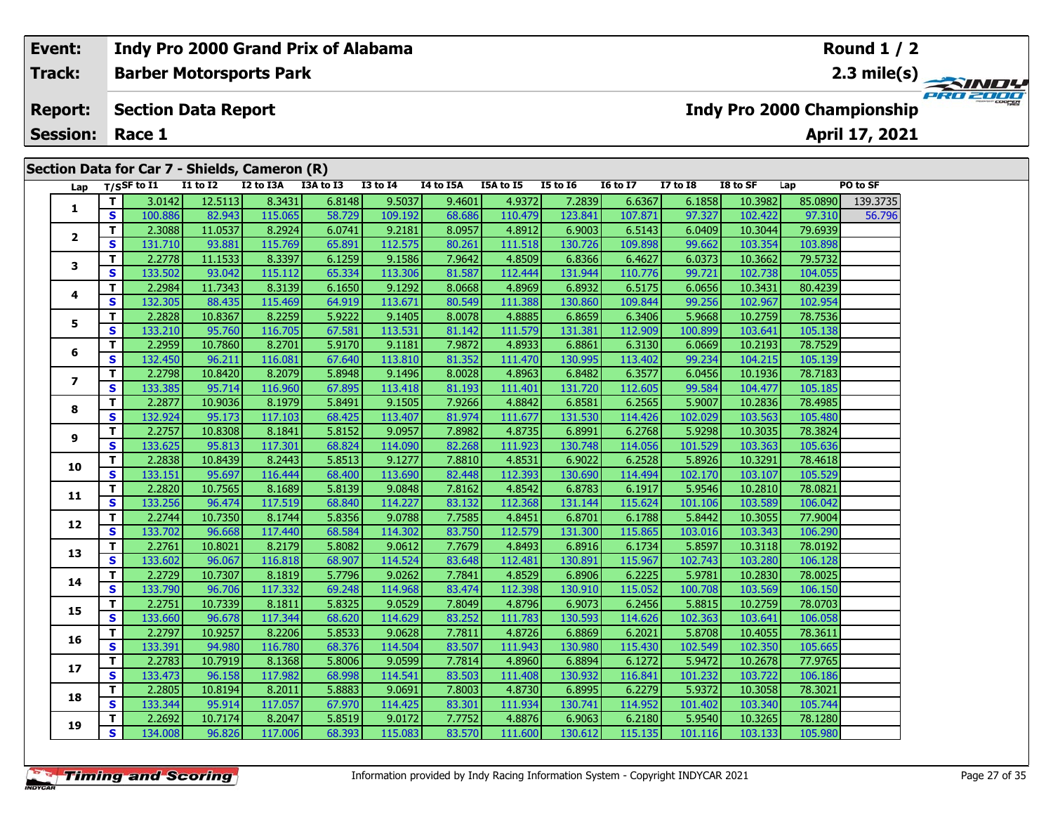| Event:          |    |                   |                            | <b>Indy Pro 2000 Grand Prix of Alabama</b>    |           |              |           |           |                 |                 |                 |          |         | <b>Round 1 / 2</b>                |          |
|-----------------|----|-------------------|----------------------------|-----------------------------------------------|-----------|--------------|-----------|-----------|-----------------|-----------------|-----------------|----------|---------|-----------------------------------|----------|
| <b>Track:</b>   |    |                   |                            | <b>Barber Motorsports Park</b>                |           |              |           |           |                 |                 |                 |          |         |                                   |          |
| <b>Report:</b>  |    |                   | <b>Section Data Report</b> |                                               |           |              |           |           |                 |                 |                 |          |         | <b>Indy Pro 2000 Championship</b> | PRO 2000 |
| <b>Session:</b> |    | Race 1            |                            |                                               |           |              |           |           |                 |                 |                 |          |         | April 17, 2021                    |          |
|                 |    |                   |                            |                                               |           |              |           |           |                 |                 |                 |          |         |                                   |          |
|                 |    |                   |                            | Section Data for Car 7 - Shields, Cameron (R) |           |              |           |           |                 |                 |                 |          |         |                                   |          |
|                 |    | Lap $T/SSF$ to I1 | <b>I1 to I2</b>            | I2 to I3A                                     | I3A to I3 | $I3$ to $I4$ | I4 to I5A | I5A to I5 | <b>I5 to 16</b> | <b>16 to 17</b> | <b>I7 to I8</b> | I8 to SF | Lap     | PO to SF                          |          |
|                 |    | 3.0142            | 12.5113                    | 8.3431                                        | 6.8148    | 9.5037       | 9.4601    | 4.9372    | 7.2839          | 6.6367          | 6.1858          | 10.3982  | 85.0890 | 139.3735                          |          |
|                 | S. | 100.886           | 82.943                     | 115.065                                       | 58.729    | 109.192      | 68.686    | 110.479   | 123.841         | 107.871         | 97.327          | 102.422  | 97.310  | 56.796                            |          |
| $\overline{2}$  |    | 2.3088            | 11.0537                    | 8.2924                                        | 6.0741    | 9.2181       | 8.0957    | 4.8912    | 6.9003          | 6.5143          | 6.0409          | 10.3044  | 79.6939 |                                   |          |
|                 | S. | 131.710           | 93.881                     | 115.769                                       | 65.891    | 112.575      | 80.261    | 111.518   | 130.726         | 109.898         | 99.662          | 103.354  | 103.898 |                                   |          |
| ,               |    | 2.2778            | 11.1533                    | 8.3397                                        | 6.1259    | 9.1586       | 7.9642    | 4.8509    | 6.8366          | 6.4627          | 6.0373          | 10.3662  | 79.5732 |                                   |          |

|                          | $\bullet$    | 100.000 | 82.943  | <b>CON'CTT</b> | <b>20.729</b> | <b>109.192</b> | 00.000 | 110.479 | 123.841 | 107.01  | 97.327  | 102.422 | <b>AV.210</b> | 50.790 |
|--------------------------|--------------|---------|---------|----------------|---------------|----------------|--------|---------|---------|---------|---------|---------|---------------|--------|
| 2                        | т            | 2.3088  | 11.0537 | 8.2924         | 6.0741        | 9.2181         | 8.0957 | 4.8912  | 6.9003  | 6.5143  | 6.0409  | 10.3044 | 79.6939       |        |
|                          | $\mathbf{s}$ | 131.710 | 93.881  | 115.769        | 65.891        | 112.575        | 80.261 | 111.518 | 130.726 | 109.898 | 99.662  | 103.354 | 103.898       |        |
| 3                        | T            | 2.2778  | 11.1533 | 8.3397         | 6.1259        | 9.1586         | 7.9642 | 4.8509  | 6.8366  | 6.4627  | 6.0373  | 10.3662 | 79.5732       |        |
|                          | S            | 133.502 | 93.042  | 115.112        | 65.334        | 113.306        | 81.587 | 112.444 | 131.944 | 110.776 | 99.721  | 102.738 | 104.055       |        |
|                          | T.           | 2.2984  | 11.7343 | 8.3139         | 6.1650        | 9.1292         | 8.0668 | 4.8969  | 6.8932  | 6.5175  | 6.0656  | 10.3431 | 80.4239       |        |
| 4                        | S            | 132.305 | 88.435  | 115.469        | 64.919        | 113.671        | 80.549 | 111.388 | 130.860 | 109.844 | 99.256  | 102.967 | 102.954       |        |
| 5                        | T.           | 2.2828  | 10.8367 | 8.2259         | 5.9222        | 9.1405         | 8.0078 | 4.8885  | 6.8659  | 6.3406  | 5.9668  | 10.2759 | 78.7536       |        |
|                          | S            | 133.210 | 95.760  | 116.705        | 67.581        | 113.531        | 81.142 | 111.579 | 131.381 | 112.909 | 100.899 | 103.641 | 105.138       |        |
| 6                        | T.           | 2.2959  | 10.7860 | 8.2701         | 5.9170        | 9.1181         | 7.9872 | 4.8933  | 6.8861  | 6.3130  | 6.0669  | 10.2193 | 78.7529       |        |
|                          | S            | 132.450 | 96.211  | 116.081        | 67.640        | 113.810        | 81.352 | 111.470 | 130.995 | 113.402 | 99.234  | 104.215 | 105.139       |        |
| $\overline{\phantom{a}}$ | T.           | 2.2798  | 10.8420 | 8.2079         | 5.8948        | 9.1496         | 8.0028 | 4.8963  | 6.8482  | 6.3577  | 6.0456  | 10.1936 | 78.7183       |        |
|                          | S            | 133.385 | 95.714  | 116.960        | 67.895        | 113.418        | 81.193 | 111.401 | 131.720 | 112.605 | 99.584  | 104.477 | 105.185       |        |
| 8                        | T.           | 2.2877  | 10.9036 | 8.1979         | 5.8491        | 9.1505         | 7.9266 | 4.8842  | 6.8581  | 6.2565  | 5.9007  | 10.2836 | 78.4985       |        |
|                          | S            | 132.924 | 95.173  | 117.103        | 68.425        | 113.407        | 81.974 | 111.677 | 131.530 | 114.426 | 102.029 | 103.563 | 105.480       |        |
| 9                        | T.           | 2.2757  | 10.8308 | 8.1841         | 5.8152        | 9.0957         | 7.8982 | 4.8735  | 6.8991  | 6.2768  | 5.9298  | 10.3035 | 78.3824       |        |
|                          | S            | 133.625 | 95.813  | 117.301        | 68.824        | 114.090        | 82.268 | 111.923 | 130.748 | 114.056 | 101.529 | 103.363 | 105.636       |        |
| 10                       | T.           | 2.2838  | 10.8439 | 8.2443         | 5.8513        | 9.1277         | 7.8810 | 4.8531  | 6.9022  | 6.2528  | 5.8926  | 10.3291 | 78.4618       |        |
|                          | S            | 133.151 | 95.697  | 116.444        | 68.400        | 113.690        | 82.448 | 112.393 | 130.690 | 114.494 | 102.170 | 103.107 | 105.529       |        |
| 11                       | T.           | 2.2820  | 10.7565 | 8.1689         | 5.8139        | 9.0848         | 7.8162 | 4.8542  | 6.8783  | 6.1917  | 5.9546  | 10.2810 | 78.0821       |        |
|                          | S            | 133.256 | 96.474  | 117.519        | 68.840        | 114.227        | 83.132 | 112.368 | 131.144 | 115.624 | 101.106 | 103.589 | 106.042       |        |
|                          | T.           | 2.2744  | 10.7350 | 8.1744         | 5.8356        | 9.0788         | 7.7585 | 4.8451  | 6.8701  | 6.1788  | 5.8442  | 10.3055 | 77.9004       |        |
| 12                       | S            | 133.702 | 96.668  | 117.440        | 68.584        | 114.302        | 83.750 | 112.579 | 131.300 | 115.865 | 103.016 | 103.343 | 106.290       |        |
| 13                       | T            | 2.2761  | 10.8021 | 8.2179         | 5.8082        | 9.0612         | 7.7679 | 4.8493  | 6.8916  | 6.1734  | 5.8597  | 10.3118 | 78.0192       |        |
|                          | S            | 133.602 | 96.067  | 116.818        | 68.907        | 114.524        | 83.648 | 112.481 | 130.891 | 115.967 | 102.743 | 103.280 | 106.128       |        |
| 14                       | T.           | 2.2729  | 10.7307 | 8.1819         | 5.7796        | 9.0262         | 7.7841 | 4.8529  | 6.8906  | 6.2225  | 5.9781  | 10.2830 | 78.0025       |        |
|                          | $\mathbf{s}$ | 133.790 | 96.706  | 117.332        | 69.248        | 114.968        | 83.474 | 112.398 | 130.910 | 115.052 | 100.708 | 103.569 | 106.150       |        |
| 15                       | T.           | 2.2751  | 10.7339 | 8.1811         | 5.8325        | 9.0529         | 7.8049 | 4.8796  | 6.9073  | 6.2456  | 5.8815  | 10.2759 | 78.0703       |        |
|                          | S            | 133.660 | 96.678  | 117.344        | 68.620        | 114.629        | 83.252 | 111.783 | 130.593 | 114.626 | 102.363 | 103.641 | 106.058       |        |
| 16                       | T.           | 2.2797  | 10.9257 | 8.2206         | 5.8533        | 9.0628         | 7.7811 | 4.8726  | 6.8869  | 6.2021  | 5.8708  | 10.4055 | 78.3611       |        |
|                          | S            | 133.391 | 94.980  | 116.780        | 68.376        | 114.504        | 83.507 | 111.943 | 130.980 | 115.430 | 102.549 | 102.350 | 105.665       |        |
| 17                       | T.           | 2.2783  | 10.7919 | 8.1368         | 5.8006        | 9.0599         | 7.7814 | 4.8960  | 6.8894  | 6.1272  | 5.9472  | 10.2678 | 77.9765       |        |
|                          | S            | 133.473 | 96.158  | 117.982        | 68.998        | 114.541        | 83.503 | 111.408 | 130.932 | 116.841 | 101.232 | 103.722 | 106.186       |        |
| 18                       | T.           | 2.2805  | 10.8194 | 8.2011         | 5.8883        | 9.0691         | 7.8003 | 4.8730  | 6.8995  | 6.2279  | 5.9372  | 10.3058 | 78.3021       |        |
|                          | S            | 133.344 | 95.914  | 117.057        | 67.970        | 114.425        | 83.301 | 111.934 | 130.741 | 114.952 | 101.402 | 103.340 | 105.744       |        |
| 19                       | T.           | 2.2692  | 10.7174 | 8.2047         | 5.8519        | 9.0172         | 7.7752 | 4.8876  | 6.9063  | 6.2180  | 5.9540  | 10.3265 | 78.1280       |        |
|                          | S            | 134.008 | 96.826  | 117.006        | 68.393        | 115.083        | 83.570 | 111.600 | 130.612 | 115.135 | 101.116 | 103.133 | 105.980       |        |
|                          |              |         |         |                |               |                |        |         |         |         |         |         |               |        |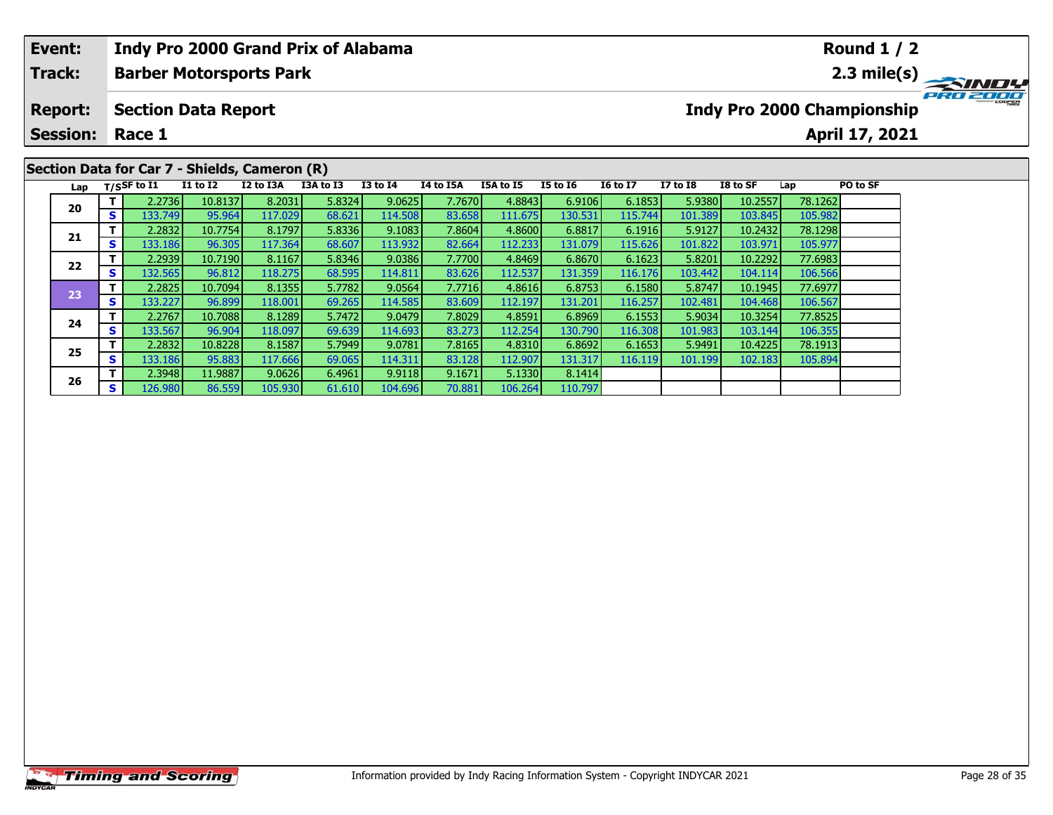| Event:          |    |                |                            | <b>Indy Pro 2000 Grand Prix of Alabama</b>    |           |                 |           |           |                 |                 |                 |          |         | <b>Round 1 / 2</b>                     |              |
|-----------------|----|----------------|----------------------------|-----------------------------------------------|-----------|-----------------|-----------|-----------|-----------------|-----------------|-----------------|----------|---------|----------------------------------------|--------------|
| <b>Track:</b>   |    |                |                            | <b>Barber Motorsports Park</b>                |           |                 |           |           |                 |                 |                 |          |         | $2.3$ mile(s) $\overline{\phantom{a}}$ | <b>SINDY</b> |
| <b>Report:</b>  |    |                | <b>Section Data Report</b> |                                               |           |                 |           |           |                 |                 |                 |          |         | Indy Pro 2000 Championship             | PRO 2000     |
| <b>Session:</b> |    | Race 1         |                            |                                               |           |                 |           |           |                 |                 |                 |          |         | April 17, 2021                         |              |
|                 |    |                |                            |                                               |           |                 |           |           |                 |                 |                 |          |         |                                        |              |
|                 |    |                |                            | Section Data for Car 7 - Shields, Cameron (R) |           |                 |           |           |                 |                 |                 |          |         |                                        |              |
| Lap             |    | $T/S$ SF to I1 | <b>I1 to I2</b>            | I2 to I3A                                     | I3A to I3 | <b>I3 to I4</b> | I4 to I5A | I5A to I5 | <b>I5 to 16</b> | <b>16 to 17</b> | <b>I7 to I8</b> | I8 to SF | Lap     | PO to SF                               |              |
| 20              |    | 2.2736         | 10.8137                    | 8.2031                                        | 5.8324    | 9.0625          | 7.7670    | 4.8843    | 6.9106          | 6.1853          | 5.9380          | 10.2557  | 78.1262 |                                        |              |
|                 | S. | 133.749        | 95.964                     | 117.029                                       | 68.621    | 114.508         | 83.658    | 111.675   | 130.531         | 115.744 l       | 101.389         | 103.845  | 105.982 |                                        |              |
|                 |    | 2.2832         | 10.7754                    | 8.1797                                        | 5.8336    | 9.1083          | 7.8604    | 4.8600    | 6.8817          | 6.1916          | 5.9127          | 10.2432  | 78.1298 |                                        |              |
| 21              | S. | 133.186        | 96.305                     | 117.364                                       | 68.607    | 113.932         | 82.664    | 112.233   | 131.079         | 115.626         | 101.822         | 103.971  | 105.977 |                                        |              |

110.797

**<sup>T</sup>** 2.2939 10.7190 8.1167 5.8346 9.0386 7.7700 4.8469 6.8670 6.1623 5.8201 10.2292 77.6983 **<sup>S</sup>** 132.565 96.812 118.275 68.595 114.811 83.626 112.537 131.359 116.176 103.442 104.114 106.566

**<sup>T</sup>** 2.2825 10.7094 8.1355 5.7782 9.0564 7.7716 4.8616 6.8753 6.1580 5.8747 10.1945 77.6977 **<sup>S</sup>** 133.227 96.899 118.001 69.265 114.585 83.609 112.197 131.201 116.257 102.481 104.468 106.567

**<sup>T</sup>** 2.2767 10.7088 8.1289 5.7472 9.0479 7.8029 4.8591 6.8969 6.1553 5.9034 10.3254 77.8525 **<sup>S</sup>** 133.567 96.904 118.097 69.639 114.693 83.273 112.254 130.790 116.308 101.983 103.144 106.355

**<sup>T</sup>** 2.2832 10.8228 8.1587 5.7949 9.0781 7.8165 4.8310 6.8692 6.1653 5.9491 10.4225 78.1913 **<sup>S</sup>** 133.186 95.883 117.666 69.065 114.311 83.128 112.907 131.317 116.119 101.199 102.183 105.894

**<sup>T</sup>** 2.3948 11.9887 9.0626 6.4961 9.9118 9.1671 5.1330 8.1414 **<sup>S</sup>** 126.980 86.559 105.930 61.610 104.696 70.881 106.264 110.797

**22**

**23**

**24**

**25**

**26**

106.566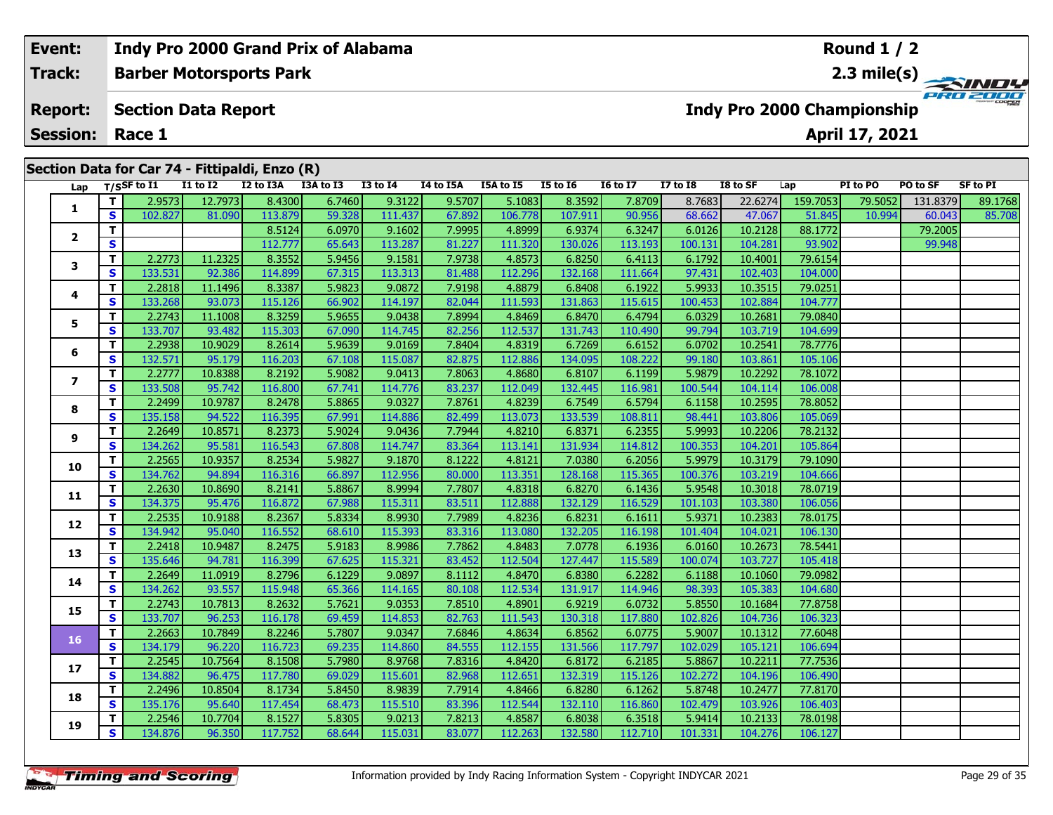| Event: |                     |          |                            |                 | Indy Pro 2000 Grand Prix of Alabama            |           |              |             |                  |                 |                 |              |          |                                   | Round $1/2$    |          |          |
|--------|---------------------|----------|----------------------------|-----------------|------------------------------------------------|-----------|--------------|-------------|------------------|-----------------|-----------------|--------------|----------|-----------------------------------|----------------|----------|----------|
|        | Track:              |          |                            |                 | <b>Barber Motorsports Park</b>                 |           |              |             |                  |                 |                 |              |          |                                   |                |          |          |
|        | <b>Report:</b>      |          | <b>Section Data Report</b> |                 |                                                |           |              |             |                  |                 |                 |              |          | <b>Indy Pro 2000 Championship</b> |                |          | PRO 2000 |
|        | <b>Session:</b>     |          | Race 1                     |                 |                                                |           |              |             |                  |                 |                 |              |          |                                   | April 17, 2021 |          |          |
|        |                     |          |                            |                 |                                                |           |              |             |                  |                 |                 |              |          |                                   |                |          |          |
|        |                     |          |                            |                 | Section Data for Car 74 - Fittipaldi, Enzo (R) |           |              |             |                  |                 |                 |              |          |                                   |                |          |          |
|        |                     |          | Lap T/SSF to I1            | <b>I1 to I2</b> | I2 to I3A                                      | I3A to I3 | $I3$ to $I4$ | I4 to I5A   | <b>I5A to I5</b> | <b>I5 to I6</b> | <b>16 to 17</b> | $I7$ to $I8$ | I8 to SF | Lap                               | PI to PO       | PO to SF | SF to PI |
|        |                     |          | 2.9573                     | 12.7973         | 8.4300                                         | 6.7460    | 9.3122       | 9.5707      | 5.1083           | 8.3592          | 7.8709          | 8.7683       | 22.6274  | 159.7053                          | 79.5052        | 131.8379 | 89.1768  |
|        |                     | <b>S</b> | 102.827                    | 81.090          | 113.879                                        | 59.328    | 111.437      | 67.892      | 106.778          | 107.911         | 90.956          | 68.662       | 47.067   | 51.845                            | 10.994         | 60.043   | 85.708   |
|        |                     |          |                            |                 | 8.5124                                         | 6.0970    | 9.1602       | 7.9995      | 4.8999           | 6.9374          | 6.3247          | 6.0126       | 10.2128  | 88.1772                           |                | 79.2005  |          |
|        | $\overline{2}$<br>S |          |                            |                 | 112.777                                        | 65.643    | 113.287      | 81.227      | 111.320          | 130.026         | 113.193         | 100.131      | 104.281  | 93.902                            |                | 99.948   |          |
|        | 3                   |          | 2.2773                     | 11.2325         | 8.3552                                         | 5.9456    | 9.1581       | 7.9738      | 4.8573           | 6.8250          | 6.4113          | 6.1792       | 10.4001  | 79.6154                           |                |          |          |
|        |                     | <b>S</b> | 133.531                    | 92.386          | 114.899                                        | 67.315    | 113.313      | 81.488      | 112.296          | 132.168         | 111.664         | 97.431       | 102.403  | 104.000                           |                |          |          |
|        |                     |          |                            |                 | -----                                          | - ---- 1  |              | - - - - - - |                  |                 | ------          | - -----      |          | -------                           |                |          |          |

| Lap          |    | $1/5$ <sup>31</sup> to 11 | 11 W 14 | 14 W 13M | נו טו מכו | 13 W 14 | <b>TA MO TOW</b> | 13M W 13 | 13 W 10 | 10 W 17 | 17 W 10 | 10 W JI | ∟aµ      | <b>1. WFV</b> | rv w 31  | LU FI   |
|--------------|----|---------------------------|---------|----------|-----------|---------|------------------|----------|---------|---------|---------|---------|----------|---------------|----------|---------|
| 1            | T. | 2.9573                    | 12.7973 | 8.4300   | 6.7460    | 9.3122  | 9.5707           | 5.1083   | 8.3592  | 7.8709  | 8.7683  | 22.6274 | 159.7053 | 79.5052       | 131.8379 | 89.1768 |
|              | S  | 102.827                   | 81.090  | 113.879  | 59.328    | 111.437 | 67.892           | 106.778  | 107.911 | 90.956  | 68.662  | 47.067  | 51.845   | 10.994        | 60.043   | 85.708  |
| $\mathbf{2}$ | T  |                           |         | 8.5124   | 6.0970    | 9.1602  | 7.9995           | 4.8999   | 6.9374  | 6.3247  | 6.0126  | 10.2128 | 88.1772  |               | 79.2005  |         |
|              | S  |                           |         | 112.777  | 65.643    | 113.287 | 81.227           | 111.320  | 130.026 | 113.193 | 100.131 | 104.281 | 93.902   |               | 99.948   |         |
| 3            | T  | 2.2773                    | 11.2325 | 8.3552   | 5.9456    | 9.1581  | 7.9738           | 4.8573   | 6.8250  | 6.4113  | 6.1792  | 10.4001 | 79.6154  |               |          |         |
|              | S  | 133.531                   | 92.386  | 114.899  | 67.315    | 113.313 | 81.488           | 112.296  | 132.168 | 111.664 | 97.431  | 102.403 | 104.000  |               |          |         |
| 4            | Т  | 2.2818                    | 11.1496 | 8.3387   | 5.9823    | 9.0872  | 7.9198           | 4.8879   | 6.8408  | 6.1922  | 5.9933  | 10.3515 | 79.0251  |               |          |         |
|              | S  | 133.268                   | 93.073  | 115.126  | 66.902    | 114.197 | 82.044           | 111.593  | 131.863 | 115.615 | 100.453 | 102.884 | 104.777  |               |          |         |
| 5            | T  | 2.2743                    | 11.1008 | 8.3259   | 5.9655    | 9.0438  | 7.8994           | 4.8469   | 6.8470  | 6.4794  | 6.0329  | 10.2681 | 79.0840  |               |          |         |
|              | S  | 133.707                   | 93.482  | 115.303  | 67.090    | 114.745 | 82.256           | 112.537  | 131.743 | 110.490 | 99.794  | 103.719 | 104.699  |               |          |         |
| 6            | T  | 2.2938                    | 10.9029 | 8.2614   | 5.9639    | 9.0169  | 7.8404           | 4.8319   | 6.7269  | 6.6152  | 6.0702  | 10.2541 | 78.7776  |               |          |         |
|              | S  | 132.571                   | 95.179  | 116.203  | 67.108    | 115.087 | 82.875           | 112.886  | 134.095 | 108.222 | 99.180  | 103.861 | 105.106  |               |          |         |
| 7            | T  | 2.2777                    | 10.8388 | 8.2192   | 5.9082    | 9.0413  | 7.8063           | 4.8680   | 6.8107  | 6.1199  | 5.9879  | 10.2292 | 78.1072  |               |          |         |
|              | S  | 133.508                   | 95.742  | 116.800  | 67.741    | 114.776 | 83.237           | 112.049  | 132.445 | 116.981 | 100.544 | 104.114 | 106.008  |               |          |         |
| 8            | T  | 2.2499                    | 10.9787 | 8.2478   | 5.8865    | 9.0327  | 7.8761           | 4.8239   | 6.7549  | 6.5794  | 6.1158  | 10.2595 | 78.8052  |               |          |         |
|              | S  | 135.158                   | 94.522  | 116.395  | 67.991    | 114.886 | 82.499           | 113.073  | 133.539 | 108.811 | 98.441  | 103.806 | 105.069  |               |          |         |
| 9            | T  | 2.2649                    | 10.8571 | 8.2373   | 5.9024    | 9.0436  | 7.7944           | 4.8210   | 6.8371  | 6.2355  | 5.9993  | 10.2206 | 78.2132  |               |          |         |
|              | S  | 134.262                   | 95.581  | 116.543  | 67.808    | 114.747 | 83.364           | 113.141  | 131.934 | 114.812 | 100.353 | 104.201 | 105.864  |               |          |         |
| 10           | T  | 2.2565                    | 10.9357 | 8.2534   | 5.9827    | 9.1870  | 8.1222           | 4.8121   | 7.0380  | 6.2056  | 5.9979  | 10.3179 | 79.1090  |               |          |         |
|              | S  | 134.762                   | 94.894  | 116.316  | 66.897    | 112.956 | 80.000           | 113.351  | 128.168 | 115.365 | 100.376 | 103.219 | 104.666  |               |          |         |
| 11           | T  | 2.2630                    | 10.8690 | 8.2141   | 5.8867    | 8.9994  | 7.7807           | 4.8318   | 6.8270  | 6.1436  | 5.9548  | 10.3018 | 78.0719  |               |          |         |
|              | S  | 134.375                   | 95.476  | 116.872  | 67.988    | 115.311 | 83.511           | 112.888  | 132.129 | 116.529 | 101.103 | 103.380 | 106.056  |               |          |         |
| 12           | T  | 2.2535                    | 10.9188 | 8.2367   | 5.8334    | 8.9930  | 7.7989           | 4.8236   | 6.8231  | 6.1611  | 5.9371  | 10.2383 | 78.0175  |               |          |         |
|              | S  | 134.942                   | 95.040  | 116.552  | 68.610    | 115.393 | 83.316           | 113.080  | 132.205 | 116.198 | 101.404 | 104.021 | 106.130  |               |          |         |
| 13           | T  | 2.2418                    | 10.9487 | 8.2475   | 5.9183    | 8.9986  | 7.7862           | 4.8483   | 7.0778  | 6.1936  | 6.0160  | 10.2673 | 78.5441  |               |          |         |
|              | S  | 135.646                   | 94.781  | 116.399  | 67.625    | 115.321 | 83.452           | 112.504  | 127.447 | 115.589 | 100.074 | 103.727 | 105.418  |               |          |         |
| 14           | Т  | 2.2649                    | 11.0919 | 8.2796   | 6.1229    | 9.0897  | 8.1112           | 4.8470   | 6.8380  | 6.2282  | 6.1188  | 10.1060 | 79.0982  |               |          |         |
|              | S  | 134.262                   | 93.557  | 115.948  | 65.366    | 114.165 | 80.108           | 112.534  | 131.917 | 114.946 | 98.393  | 105.383 | 104.680  |               |          |         |
| 15           | Т  | 2.2743                    | 10.7813 | 8.2632   | 5.7621    | 9.0353  | 7.8510           | 4.8901   | 6.9219  | 6.0732  | 5.8550  | 10.1684 | 77.8758  |               |          |         |
|              | S  | 133.707                   | 96.253  | 116.178  | 69.459    | 114.853 | 82.763           | 111.543  | 130.318 | 117.880 | 102.826 | 104.736 | 106.323  |               |          |         |
| 16           | Т  | 2.2663                    | 10.7849 | 8.2246   | 5.7807    | 9.0347  | 7.6846           | 4.8634   | 6.8562  | 6.0775  | 5.9007  | 10.1312 | 77.6048  |               |          |         |
|              | S  | 134.179                   | 96.220  | 116.723  | 69.235    | 114.860 | 84.555           | 112.155  | 131.566 | 117.797 | 102.029 | 105.121 | 106.694  |               |          |         |
| 17           | T. | 2.2545                    | 10.7564 | 8.1508   | 5.7980    | 8.9768  | 7.8316           | 4.8420   | 6.8172  | 6.2185  | 5.8867  | 10.2211 | 77.7536  |               |          |         |
|              | S  | 134.882                   | 96.475  | 117.780  | 69.029    | 115.601 | 82.968           | 112.651  | 132.319 | 115.126 | 102.272 | 104.196 | 106.490  |               |          |         |
| 18           | Т  | 2.2496                    | 10.8504 | 8.1734   | 5.8450    | 8.9839  | 7.7914           | 4.8466   | 6.8280  | 6.1262  | 5.8748  | 10.2477 | 77.8170  |               |          |         |
|              | S  | 135.176                   | 95.640  | 117.454  | 68.473    | 115.510 | 83.396           | 112.544  | 132.110 | 116.860 | 102.479 | 103.926 | 106.403  |               |          |         |
| 19           | т  | 2.2546                    | 10.7704 | 8.1527   | 5.8305    | 9.0213  | 7.8213           | 4.8587   | 6.8038  | 6.3518  | 5.9414  | 10.2133 | 78.0198  |               |          |         |
|              | S  | 134.876                   | 96.350  | 117.752  | 68.644    | 115.031 | 83.077           | 112.263  | 132.580 | 112.710 | 101.331 | 104.276 | 106.127  |               |          |         |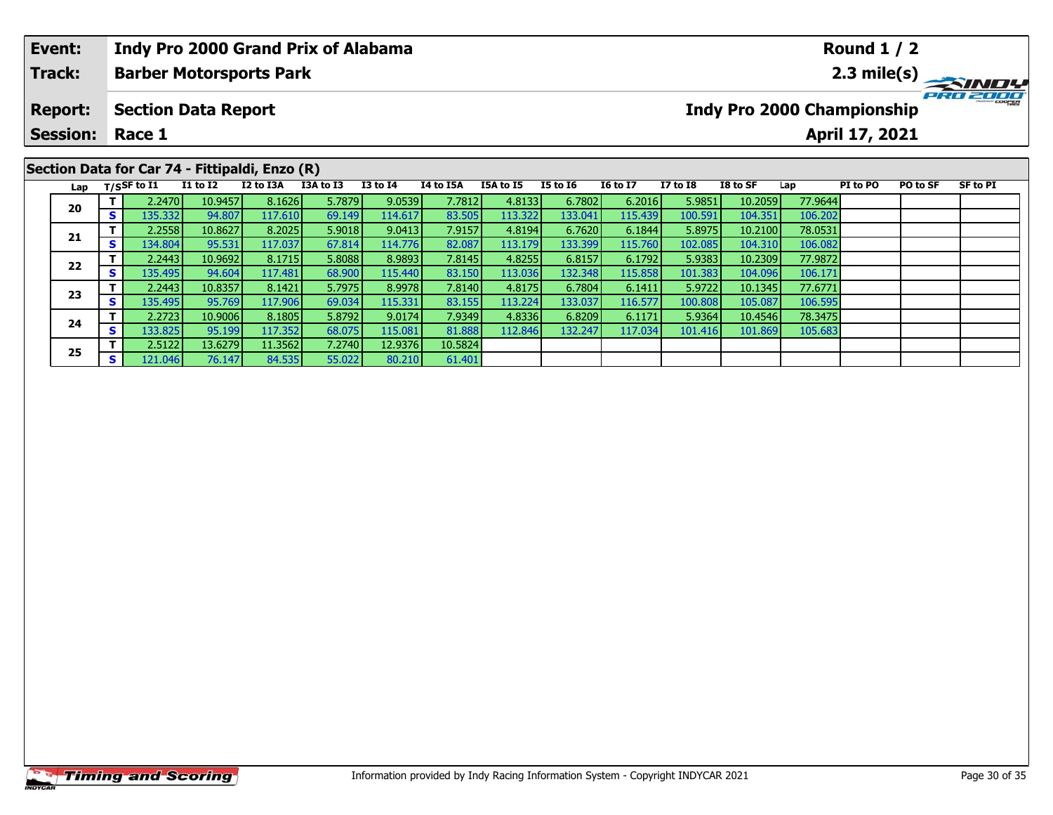| Event:          |    |                   |                            |                                                | <b>Indy Pro 2000 Grand Prix of Alabama</b> |              |           |                  |                 |                 |                 |                            |         | <b>Round 1 / 2</b> |                 |          |
|-----------------|----|-------------------|----------------------------|------------------------------------------------|--------------------------------------------|--------------|-----------|------------------|-----------------|-----------------|-----------------|----------------------------|---------|--------------------|-----------------|----------|
| <b>Track:</b>   |    |                   |                            | <b>Barber Motorsports Park</b>                 |                                            |              |           |                  |                 |                 |                 |                            |         |                    |                 |          |
| <b>Report:</b>  |    |                   | <b>Section Data Report</b> |                                                |                                            |              |           |                  |                 |                 |                 | Indy Pro 2000 Championship |         |                    |                 | PRO 2000 |
| <b>Session:</b> |    | Race 1            |                            |                                                |                                            |              |           |                  |                 |                 |                 |                            |         | April 17, 2021     |                 |          |
|                 |    |                   |                            | Section Data for Car 74 - Fittipaldi, Enzo (R) |                                            |              |           |                  |                 |                 |                 |                            |         |                    |                 |          |
|                 |    | Lap $T/SSF$ to I1 | <b>I1 to I2</b>            | I2 to I3A                                      | I3A to I3                                  | $I3$ to $I4$ | I4 to I5A | <b>I5A to I5</b> | <b>I5 to 16</b> | <b>I6 to I7</b> | <b>I7 to I8</b> | I8 to SF                   | Lap     | PI to PO           | <b>PO to SF</b> | SF to PI |
|                 |    | 2.2470            | 10.9457                    | 8.1626                                         | 5.7879                                     | 9.0539       | 7.7812    | 4.8133           | 6.7802          | 6.2016          | 5.9851          | 10.2059                    | 77.9644 |                    |                 |          |
| 20              | S. | 135.332           | 94.807                     | 117.610                                        | 69.149                                     | 114.617      | 83.505    | 113.322          | 133.041         | 115.439         | 100.591         | 104.351                    | 106.202 |                    |                 |          |
|                 |    | 2.2558            | 10.8627                    | 8.2025                                         | 5.9018                                     | 9.0413       | 7.9157    | 4.8194           | 6.7620          | 6.1844          | 5.8975          | 10.2100                    | 78.0531 |                    |                 |          |
| 21              | S. | 134.804           | 95.531                     | 117.037                                        | 67.814                                     | 114.776      | 82.087    | 113.179          | 133.399         | 115.760         | 102.085         | 104.310                    | 106.082 |                    |                 |          |
| $\sim$          |    | 2.2443            | 10.9692                    | 8.1715                                         | 5.8088                                     | 8.9893       | 7.8145    | 4.8255           | 6.8157          | 6.1792          | 5.9383          | 10.2309                    | 77.9872 |                    |                 |          |

**<sup>T</sup>** 2.2443 10.9692 8.1715 5.8088 8.9893 7.8145 4.8255 6.8157 6.1792 5.9383 10.2309 77.9872 **<sup>S</sup>** 135.495 94.604 117.481 68.900 115.440 83.150 113.036 132.348 115.858 101.383 104.096 106.171

**<sup>T</sup>** 2.2443 10.8357 8.1421 5.7975 8.9978 7.8140 4.8175 6.7804 6.1411 5.9722 10.1345 77.6771 **<sup>S</sup>** 135.495 95.769 117.906 69.034 115.331 83.155 113.224 133.037 116.577 100.808 105.087 106.595

**<sup>T</sup>** 2.2723 10.9006 8.1805 5.8792 9.0174 7.9349 4.8336 6.8209 6.1171 5.9364 10.4546 78.3475 **<sup>S</sup>** 133.825 95.199 117.352 68.075 115.081 81.888 112.846 132.247 117.034 101.416 101.869 105.683

**<sup>T</sup>** 2.5122 13.6279 11.3562 7.2740 12.9376 10.5824 **<sup>S</sup>** 121.046 76.147 84.535 55.022 80.210 61.401

# **Timing and Scoring**

**22**

**23**

**24**

**25**

106.171

106.595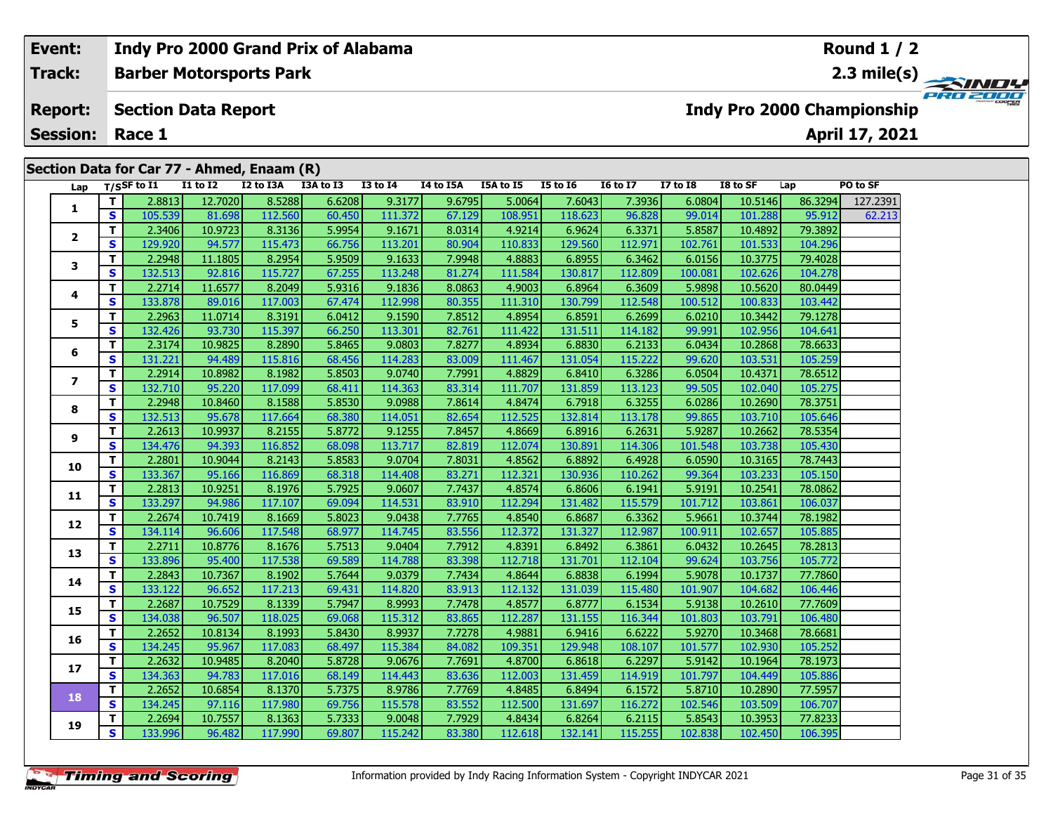# **Event: Indy Pro 2000 Grand Prix of Alabama Round 1 / 2Barber Motorsports Park 2.3 mile(s) Track:** PRO 2001 **Report: Section Data Report Indy Pro 2000 Championship April 17, 2021 Session: Race 1 Section Data for Car 77 - Ahmed, Enaam (R) Lap T/SSF to I1 I1 to I2 I2 to I3A I3A to I3 I3 to I4 I4 to I5A I5A to I5 I5 to I6 I6 to I7 I7 to I8 I8 to SF Lap PO to SF <sup>T</sup>** 2.8813 12.7020 8.5288 6.6208 9.3177 9.6795 5.0064 7.6043 7.3936 6.0804 10.5146 86.3294 127.2391 **<sup>S</sup>** 105.539 81.698 112.560 60.450 111.372 67.129 108.951 118.623 96.828 99.014 101.288 95.912 62.213**1 <sup>T</sup>** 2.3406 10.9723 8.3136 5.9954 9.1671 8.0314 4.9214 6.9624 6.3371 5.8587 10.4892 79.3892 **<sup>S</sup>** 129.920 94.577 115.473 66.756 113.201 80.904 110.833 129.560 112.971 102.761 101.533 104.296**2**

|                 | т                       | 2.8813  | 12.7020 | 8.5288  | 6.6208 | 9.3177  | 9.6795 | 5.0064  | 7.6043  | 7.3936  | 6.0804  | 10.5146 | 86.3294 | 127.2391 |
|-----------------|-------------------------|---------|---------|---------|--------|---------|--------|---------|---------|---------|---------|---------|---------|----------|
| 1               | $\mathbf{s}$            | 105.539 | 81.698  | 112.560 | 60.450 | 111.372 | 67.129 | 108.951 | 118.623 | 96.828  | 99.014  | 101.288 | 95.912  | 62.213   |
|                 | T                       | 2.3406  | 10.9723 | 8.3136  | 5.9954 | 9.1671  | 8.0314 | 4.9214  | 6.9624  | 6.3371  | 5.8587  | 10.4892 | 79.3892 |          |
| 2               | S                       | 129.920 | 94.577  | 115.473 | 66.756 | 113.201 | 80.904 | 110.833 | 129.560 | 112.971 | 102.761 | 101.533 | 104.296 |          |
| 3               | $\mathbf{T}$            | 2.2948  | 11.1805 | 8.2954  | 5.9509 | 9.1633  | 7.9948 | 4.8883  | 6.8955  | 6.3462  | 6.0156  | 10.3775 | 79.4028 |          |
|                 | $\mathbf{s}$            | 132.513 | 92.816  | 115.727 | 67.255 | 113.248 | 81.274 | 111.584 | 130.817 | 112.809 | 100.081 | 102.626 | 104.278 |          |
| 4               | $\overline{\mathsf{T}}$ | 2.2714  | 11.6577 | 8.2049  | 5.9316 | 9.1836  | 8.0863 | 4.9003  | 6.8964  | 6.3609  | 5.9898  | 10.5620 | 80.0449 |          |
|                 | S                       | 133.878 | 89.016  | 117.003 | 67.474 | 112.998 | 80.355 | 111.310 | 130.799 | 112.548 | 100.512 | 100.833 | 103.442 |          |
| 5               | $\mathbf{T}$            | 2.2963  | 11.0714 | 8.3191  | 6.0412 | 9.1590  | 7.8512 | 4.8954  | 6.8591  | 6.2699  | 6.0210  | 10.3442 | 79.1278 |          |
|                 | S                       | 132.426 | 93.730  | 115.397 | 66.250 | 113.301 | 82.761 | 111.422 | 131.511 | 114.182 | 99.991  | 102.956 | 104.641 |          |
| 6               | $\mathbf T$             | 2.3174  | 10.9825 | 8.2890  | 5.8465 | 9.0803  | 7.8277 | 4.8934  | 6.8830  | 6.2133  | 6.0434  | 10.2868 | 78.6633 |          |
|                 | S                       | 131.221 | 94.489  | 115.816 | 68.456 | 114.283 | 83.009 | 111.467 | 131.054 | 115.222 | 99.620  | 103.531 | 105.259 |          |
| $\overline{ }$  | $\mathbf{T}$            | 2.2914  | 10.8982 | 8.1982  | 5.8503 | 9.0740  | 7.7991 | 4.8829  | 6.8410  | 6.3286  | 6.0504  | 10.4371 | 78.6512 |          |
|                 | S                       | 132.710 | 95.220  | 117.099 | 68.411 | 114.363 | 83.314 | 111.707 | 131.859 | 113.123 | 99.505  | 102.040 | 105.275 |          |
| 8               | $\mathbf{T}$            | 2.2948  | 10.8460 | 8.1588  | 5.8530 | 9.0988  | 7.8614 | 4.8474  | 6.7918  | 6.3255  | 6.0286  | 10.2690 | 78.3751 |          |
|                 | $\mathbf{s}$            | 132.513 | 95.678  | 117.664 | 68.380 | 114.051 | 82.654 | 112.525 | 132.814 | 113.178 | 99.865  | 103.710 | 105.646 |          |
| 9               | $\mathbf T$             | 2.2613  | 10.9937 | 8.2155  | 5.8772 | 9.1255  | 7.8457 | 4.8669  | 6.8916  | 6.2631  | 5.9287  | 10.2662 | 78.5354 |          |
|                 | S                       | 134.476 | 94.393  | 116.852 | 68.098 | 113.717 | 82.819 | 112.074 | 130.891 | 114.306 | 101.548 | 103.738 | 105.430 |          |
| 10              | $\mathbf{T}$            | 2.2801  | 10.9044 | 8.2143  | 5.8583 | 9.0704  | 7.8031 | 4.8562  | 6.8892  | 6.4928  | 6.0590  | 10.3165 | 78.7443 |          |
|                 | S                       | 133.367 | 95.166  | 116.869 | 68.318 | 114.408 | 83.271 | 112.321 | 130.936 | 110.262 | 99.364  | 103.233 | 105.150 |          |
| 11              | T                       | 2.2813  | 10.9251 | 8.1976  | 5.7925 | 9.0607  | 7.7437 | 4.8574  | 6.8606  | 6.1941  | 5.9191  | 10.2541 | 78.0862 |          |
|                 | S                       | 133.297 | 94.986  | 117.107 | 69.094 | 114.531 | 83.910 | 112.294 | 131.482 | 115.579 | 101.712 | 103.861 | 106.037 |          |
| 12              | $\mathbf{T}$            | 2.2674  | 10.7419 | 8.1669  | 5.8023 | 9.0438  | 7.7765 | 4.8540  | 6.8687  | 6.3362  | 5.9661  | 10.3744 | 78.1982 |          |
|                 | S                       | 134.114 | 96.606  | 117.548 | 68.977 | 114.745 | 83.556 | 112.372 | 131.327 | 112.987 | 100.911 | 102.657 | 105.885 |          |
| 13              | $\mathbf T$             | 2.2711  | 10.8776 | 8.1676  | 5.7513 | 9.0404  | 7.7912 | 4.8391  | 6.8492  | 6.3861  | 6.0432  | 10.2645 | 78.2813 |          |
|                 | S                       | 133.896 | 95.400  | 117.538 | 69.589 | 114.788 | 83.398 | 112.718 | 131.701 | 112.104 | 99.624  | 103.756 | 105.772 |          |
| 14              | $\mathbf T$             | 2.2843  | 10.7367 | 8.1902  | 5.7644 | 9.0379  | 7.7434 | 4.8644  | 6.8838  | 6.1994  | 5.9078  | 10.1737 | 77.7860 |          |
|                 | $\mathbf s$             | 133.122 | 96.652  | 117.213 | 69.431 | 114.820 | 83.913 | 112.132 | 131.039 | 115.480 | 101.907 | 104.682 | 106.446 |          |
| 15              | $\mathbf{T}$            | 2.2687  | 10.7529 | 8.1339  | 5.7947 | 8.9993  | 7.7478 | 4.8577  | 6.8777  | 6.1534  | 5.9138  | 10.2610 | 77.7609 |          |
|                 | $\mathbf{s}$            | 134.038 | 96.507  | 118.025 | 69.068 | 115.312 | 83.865 | 112.287 | 131.155 | 116.344 | 101.803 | 103.791 | 106.480 |          |
| 16              | $\mathbf{T}$            | 2.2652  | 10.8134 | 8.1993  | 5.8430 | 8.9937  | 7.7278 | 4.9881  | 6.9416  | 6.6222  | 5.9270  | 10.3468 | 78.6681 |          |
|                 | S                       | 134.245 | 95.967  | 117.083 | 68.497 | 115.384 | 84.082 | 109.351 | 129.948 | 108.107 | 101.577 | 102.930 | 105.252 |          |
| 17 <sub>2</sub> | T                       | 2.2632  | 10.9485 | 8.2040  | 5.8728 | 9.0676  | 7.7691 | 4.8700  | 6.8618  | 6.2297  | 5.9142  | 10.1964 | 78.1973 |          |
|                 | S                       | 134.363 | 94.783  | 117.016 | 68.149 | 114.443 | 83.636 | 112.003 | 131.459 | 114.919 | 101.797 | 104.449 | 105.886 |          |
| 18              | T                       | 2.2652  | 10.6854 | 8.1370  | 5.7375 | 8.9786  | 7.7769 | 4.8485  | 6.8494  | 6.1572  | 5.8710  | 10.2890 | 77.5957 |          |
|                 | S                       | 134.245 | 97.116  | 117.980 | 69.756 | 115.578 | 83.552 | 112.500 | 131.697 | 116.272 | 102.546 | 103.509 | 106.707 |          |
| 19              | T                       | 2.2694  | 10.7557 | 8.1363  | 5.7333 | 9.0048  | 7.7929 | 4.8434  | 6.8264  | 6.2115  | 5.8543  | 10.3953 | 77.8233 |          |
|                 | $\mathbf{s}$            | 133.996 | 96.482  | 117.990 | 69.807 | 115.242 | 83.380 | 112.618 | 132.141 | 115.255 | 102.838 | 102.450 | 106.395 |          |
|                 |                         |         |         |         |        |         |        |         |         |         |         |         |         |          |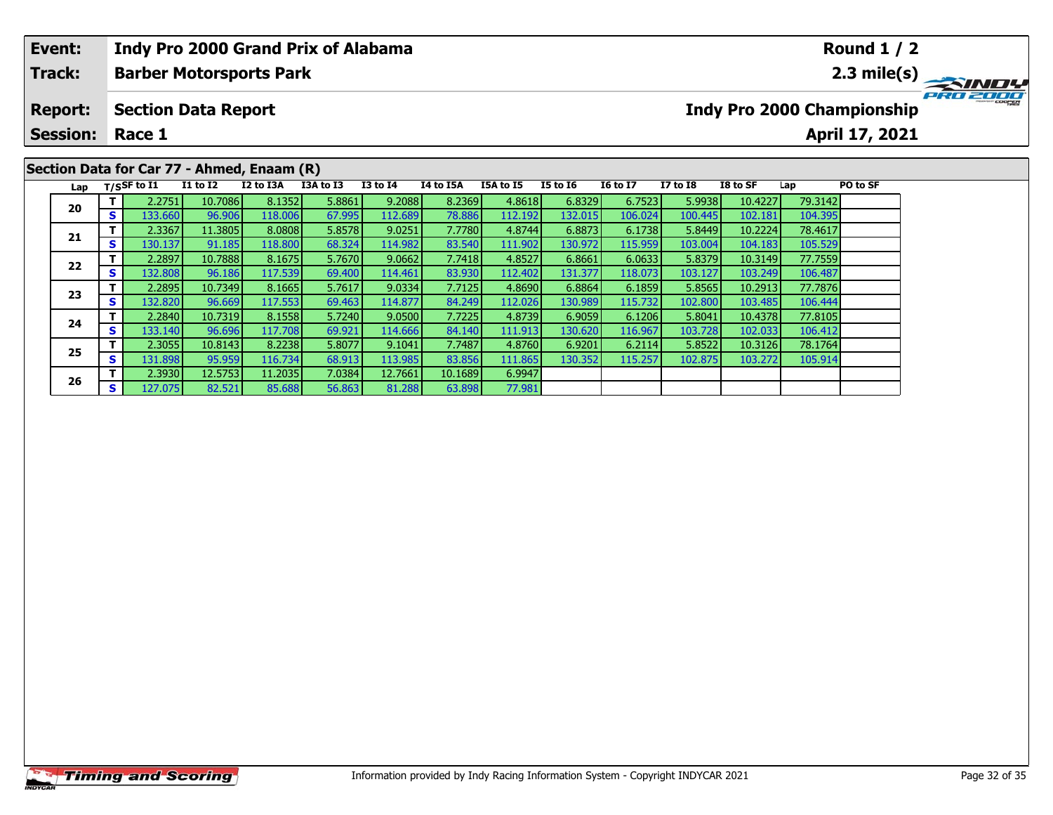| Event:          |    |                                |                            | <b>Indy Pro 2000 Grand Prix of Alabama</b> |           |                 |                  |           |          |                 |                 |          |         | <b>Round 1 / 2</b>         |             |
|-----------------|----|--------------------------------|----------------------------|--------------------------------------------|-----------|-----------------|------------------|-----------|----------|-----------------|-----------------|----------|---------|----------------------------|-------------|
| Track:          |    |                                |                            | <b>Barber Motorsports Park</b>             |           |                 |                  |           |          |                 |                 |          |         |                            | 2.3 mile(s) |
| <b>Report:</b>  |    |                                | <b>Section Data Report</b> |                                            |           |                 |                  |           |          |                 |                 |          |         | Indy Pro 2000 Championship |             |
| <b>Session:</b> |    | Race 1                         |                            |                                            |           |                 |                  |           |          |                 |                 |          |         | April 17, 2021             |             |
|                 |    |                                |                            | Section Data for Car 77 - Ahmed, Enaam (R) |           |                 |                  |           |          |                 |                 |          |         |                            |             |
|                 |    | Lap $T/SSF$ to $\overline{11}$ | <b>I1 to I2</b>            | I2 to I3A                                  | I3A to I3 | <b>I3 to I4</b> | <b>I4 to I5A</b> | I5A to I5 | I5 to 16 | <b>16 to 17</b> | <b>I7 to I8</b> | I8 to SF | Lap     | PO to SF                   |             |
|                 |    | 2.2751                         | 10.7086                    | 8.1352                                     | 5.8861    | 9.2088          | 8.2369           | 4.8618    | 6.8329   | 6.7523          | 5.9938          | 10.4227  | 79.3142 |                            |             |
| 20              | S. | 133.660                        | 96.906                     | 118,006                                    | 67.995    | 112.689         | 78.886           | 112.192   | 132.015  | 106.024         | 100.445         | 102.181  | 104.395 |                            |             |
|                 |    | 2.3367                         | 11.3805                    | 8.0808                                     | 5.8578    | 9.0251          | 7.7780           | 4.8744    | 6.8873   | 6.1738          | 5.8449          | 10.2224  | 78.4617 |                            |             |
| 21              | s  | 130.137                        | 91.185                     | 118.800                                    | 68.324    | 114.982         | 83.540           | 111.902   | 130.972  | 115.959         | 103.004         | 104.183  | 105.529 |                            |             |

77.981

**<sup>T</sup>** 2.2897 10.7888 8.1675 5.7670 9.0662 7.7418 4.8527 6.8661 6.0633 5.8379 10.3149 77.7559 **<sup>S</sup>** 132.808 96.186 117.539 69.400 114.461 83.930 112.402 131.377 118.073 103.127 103.249 106.487

**<sup>T</sup>** 2.2895 10.7349 8.1665 5.7617 9.0334 7.7125 4.8690 6.8864 6.1859 5.8565 10.2913 77.7876 **<sup>S</sup>** 132.820 96.669 117.553 69.463 114.877 84.249 112.026 130.989 115.732 102.800 103.485 106.444

**<sup>T</sup>** 2.2840 10.7319 8.1558 5.7240 9.0500 7.7225 4.8739 6.9059 6.1206 5.8041 10.4378 77.8105 **<sup>S</sup>** 133.140 96.696 117.708 69.921 114.666 84.140 111.913 130.620 116.967 103.728 102.033 106.412

**<sup>T</sup>** 2.3055 10.8143 8.2238 5.8077 9.1041 7.7487 4.8760 6.9201 6.2114 5.8522 10.3126 78.1764 **<sup>S</sup>** 131.898 95.959 116.734 68.913 113.985 83.856 111.865 130.352 115.257 102.875 103.272 105.914

**<sup>T</sup>** 2.3930 12.5753 11.2035 7.0384 12.7661 10.1689 6.9947 **<sup>S</sup>** 127.075 82.521 85.688 56.863 81.288 63.898 77.981

**22**

**23**

**24**

**25**

**26**

106.487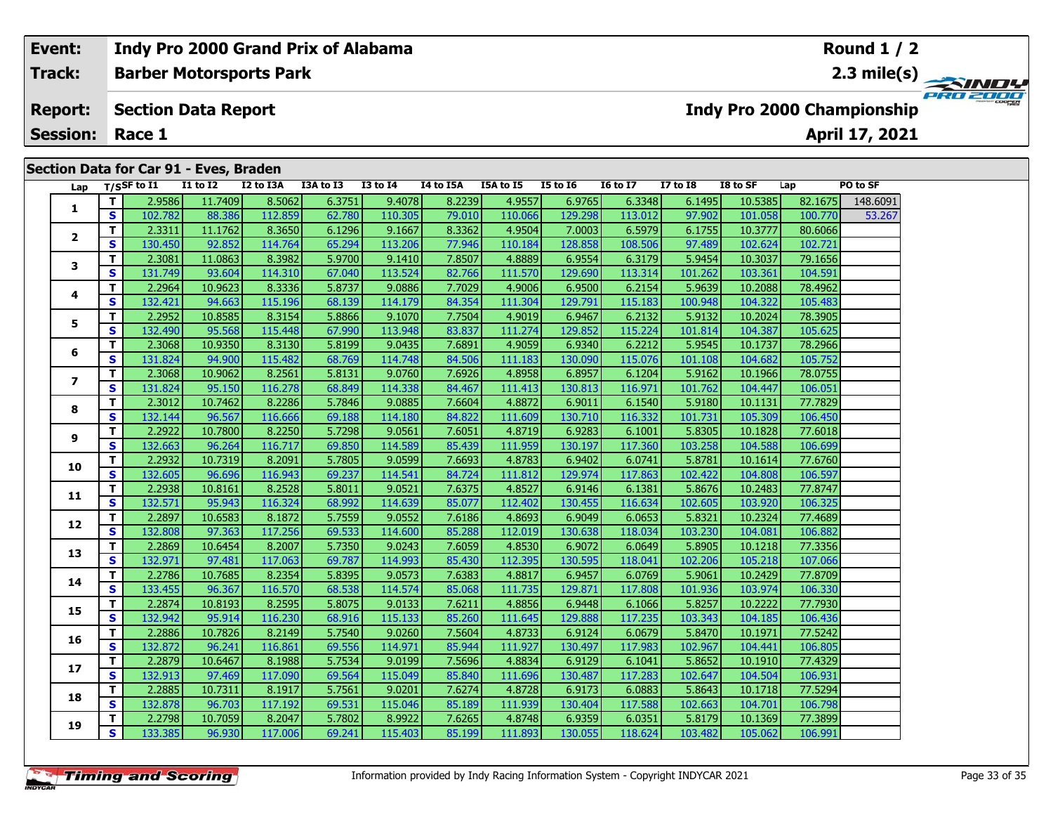# **Round 1 / 2Event: Indy Pro 2000 Grand Prix of Alabama Barber Motorsports Park 2.3 mile(s) Track:** PRO ZOO **Report: Section Data Report Indy Pro 2000 Championship April 17, 2021 Session: Race 1 Section Data for Car 91 - Eves, Braden Lap T/SSF to I1 I1 to I2 I2 to I3A I3A to I3 I3 to I4 I4 to I5A I5A to I5 I5 to I6 I6 to I7 I7 to I8 I8 to SF Lap PO to SF 1 <sup>T</sup>** 2.9586 11.7409 8.5062 6.3751 9.4078 8.2239 4.9557 6.9765 6.3348 6.1495 10.5385 82.1675 148.6091 **<sup>S</sup>** 102.782 88.386 112.859 62.780 110.305 79.010 110.066 129.298 113.012 97.902 101.058 100.770 53.267**2**

| ı               | S  | 102.782 | 88.386  | 112.859 | 62.780 | 110.305 | 79.010 | 110.066 | 129.298 | 113.012 | 97.902  | 101.058 | 100.770 | 53.26 |
|-----------------|----|---------|---------|---------|--------|---------|--------|---------|---------|---------|---------|---------|---------|-------|
| 2               | T. | 2.3311  | 11.1762 | 8.3650  | 6.1296 | 9.1667  | 8.3362 | 4.9504  | 7.0003  | 6.5979  | 6.1755  | 10.3777 | 80.6066 |       |
|                 | S  | 130.450 | 92.852  | 114.764 | 65.294 | 113.206 | 77.946 | 110.184 | 128.858 | 108.506 | 97.489  | 102.624 | 102.721 |       |
| 3               | T. | 2.3081  | 11.0863 | 8.3982  | 5.9700 | 9.1410  | 7.8507 | 4.8889  | 6.9554  | 6.3179  | 5.9454  | 10.3037 | 79.1656 |       |
|                 | S  | 131.749 | 93.604  | 114.310 | 67.040 | 113.524 | 82.766 | 111.570 | 129.690 | 113.314 | 101.262 | 103.361 | 104.591 |       |
| 4               | T. | 2.2964  | 10.9623 | 8.3336  | 5.8737 | 9.0886  | 7.7029 | 4.9006  | 6.9500  | 6.2154  | 5.9639  | 10.2088 | 78.4962 |       |
|                 | S  | 132.421 | 94.663  | 115.196 | 68.139 | 114.179 | 84.354 | 111.304 | 129.791 | 115.183 | 100.948 | 104.322 | 105.483 |       |
| 5.              | T. | 2.2952  | 10.8585 | 8.3154  | 5.8866 | 9.1070  | 7.7504 | 4.9019  | 6.9467  | 6.2132  | 5.9132  | 10.2024 | 78.3905 |       |
|                 | S  | 132.490 | 95.568  | 115.448 | 67.990 | 113.948 | 83.837 | 111.274 | 129.852 | 115.224 | 101.814 | 104.387 | 105.625 |       |
| 6               | т  | 2.3068  | 10.9350 | 8.3130  | 5.8199 | 9.0435  | 7.6891 | 4.9059  | 6.9340  | 6.2212  | 5.9545  | 10.1737 | 78.2966 |       |
|                 | S  | 131.824 | 94.900  | 115.482 | 68.769 | 114.748 | 84.506 | 111.183 | 130.090 | 115.076 | 101.108 | 104.682 | 105.752 |       |
| $\overline{ }$  | T  | 2.3068  | 10.9062 | 8.2561  | 5.8131 | 9.0760  | 7.6926 | 4.8958  | 6.8957  | 6.1204  | 5.9162  | 10.1966 | 78.0755 |       |
|                 | S  | 131.824 | 95.150  | 116.278 | 68.849 | 114.338 | 84.467 | 111.413 | 130.813 | 116.971 | 101.762 | 104.447 | 106.051 |       |
| 8               | T. | 2.3012  | 10.7462 | 8.2286  | 5.7846 | 9.0885  | 7.6604 | 4.8872  | 6.9011  | 6.1540  | 5.9180  | 10.1131 | 77.7829 |       |
|                 | S  | 132.144 | 96.567  | 116.666 | 69.188 | 114.180 | 84.822 | 111.609 | 130.710 | 116.332 | 101.731 | 105.309 | 106.450 |       |
| 9               | T. | 2.2922  | 10.7800 | 8.2250  | 5.7298 | 9.0561  | 7.6051 | 4.8719  | 6.9283  | 6.1001  | 5.8305  | 10.1828 | 77.6018 |       |
|                 | S  | 132.663 | 96.264  | 116.717 | 69.850 | 114.589 | 85.439 | 111.959 | 130.197 | 117.360 | 103.258 | 104.588 | 106.699 |       |
| 10              | T. | 2.2932  | 10.7319 | 8.2091  | 5.7805 | 9.0599  | 7.6693 | 4.8783  | 6.9402  | 6.0741  | 5.8781  | 10.1614 | 77.6760 |       |
|                 | S  | 132.605 | 96.696  | 116.943 | 69.237 | 114.541 | 84.724 | 111.812 | 129.974 | 117.863 | 102.422 | 104.808 | 106.597 |       |
| 11              | T. | 2.2938  | 10.8161 | 8.2528  | 5.8011 | 9.0521  | 7.6375 | 4.8527  | 6.9146  | 6.1381  | 5.8676  | 10.2483 | 77.8747 |       |
|                 | S  | 132.571 | 95.943  | 116.324 | 68.992 | 114.639 | 85.077 | 112.402 | 130.455 | 116.634 | 102.605 | 103.920 | 106.325 |       |
| 12              | T. | 2.2897  | 10.6583 | 8.1872  | 5.7559 | 9.0552  | 7.6186 | 4.8693  | 6.9049  | 6.0653  | 5.8321  | 10.2324 | 77.4689 |       |
|                 | S  | 132.808 | 97.363  | 117.256 | 69.533 | 114.600 | 85.288 | 112.019 | 130.638 | 118.034 | 103.230 | 104.081 | 106.882 |       |
| 13              | T. | 2.2869  | 10.6454 | 8.2007  | 5.7350 | 9.0243  | 7.6059 | 4.8530  | 6.9072  | 6.0649  | 5.8905  | 10.1218 | 77.3356 |       |
|                 | S  | 132.971 | 97.481  | 117.063 | 69.787 | 114.993 | 85.430 | 112.395 | 130.595 | 118.041 | 102.206 | 105.218 | 107.066 |       |
| 14              | T. | 2.2786  | 10.7685 | 8.2354  | 5.8395 | 9.0573  | 7.6383 | 4.8817  | 6.9457  | 6.0769  | 5.9061  | 10.2429 | 77.8709 |       |
|                 | S. | 133.455 | 96.367  | 116.570 | 68.538 | 114.574 | 85.068 | 111.735 | 129.871 | 117.808 | 101.936 | 103.974 | 106.330 |       |
| 15              | T. | 2.2874  | 10.8193 | 8.2595  | 5.8075 | 9.0133  | 7.6211 | 4.8856  | 6.9448  | 6.1066  | 5.8257  | 10.2222 | 77.7930 |       |
|                 | S  | 132.942 | 95.914  | 116.230 | 68.916 | 115.133 | 85.260 | 111.645 | 129.888 | 117.235 | 103.343 | 104.185 | 106.436 |       |
| 16              | T. | 2.2886  | 10.7826 | 8.2149  | 5.7540 | 9.0260  | 7.5604 | 4.8733  | 6.9124  | 6.0679  | 5.8470  | 10.1971 | 77.5242 |       |
|                 | S  | 132.872 | 96.241  | 116.861 | 69.556 | 114.971 | 85.944 | 111.927 | 130.497 | 117.983 | 102.967 | 104.441 | 106.805 |       |
| 17 <sup>2</sup> | т  | 2.2879  | 10.6467 | 8.1988  | 5.7534 | 9.0199  | 7.5696 | 4.8834  | 6.9129  | 6.1041  | 5.8652  | 10.1910 | 77.4329 |       |
|                 | S  | 132.913 | 97.469  | 117.090 | 69.564 | 115.049 | 85.840 | 111.696 | 130.487 | 117.283 | 102.647 | 104.504 | 106.931 |       |
| 18              | T. | 2.2885  | 10.7311 | 8.1917  | 5.7561 | 9.0201  | 7.6274 | 4.8728  | 6.9173  | 6.0883  | 5.8643  | 10.1718 | 77.5294 |       |
|                 | S  | 132.878 | 96.703  | 117.192 | 69.531 | 115.046 | 85.189 | 111.939 | 130.404 | 117.588 | 102.663 | 104.701 | 106.798 |       |
| 19              | Τ. | 2.2798  | 10.7059 | 8.2047  | 5.7802 | 8.9922  | 7.6265 | 4.8748  | 6.9359  | 6.0351  | 5.8179  | 10.1369 | 77.3899 |       |
|                 | S  | 133.385 | 96.930  | 117.006 | 69.241 | 115.403 | 85.199 | 111.893 | 130.055 | 118.624 | 103.482 | 105.062 | 106.991 |       |
|                 |    |         |         |         |        |         |        |         |         |         |         |         |         |       |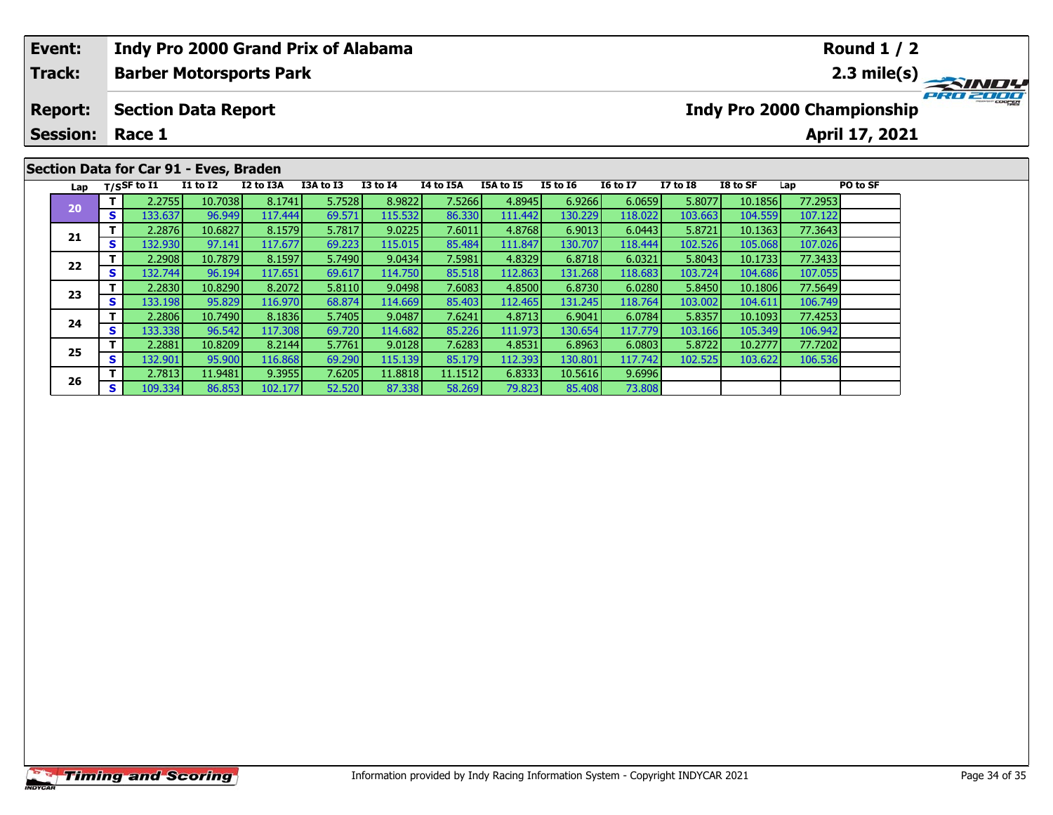| Event:          |          |                |                                        | <b>Indy Pro 2000 Grand Prix of Alabama</b> |           |                 |           |           |                 |                 |              |          |         | <b>Round 1 / 2</b>                |             |
|-----------------|----------|----------------|----------------------------------------|--------------------------------------------|-----------|-----------------|-----------|-----------|-----------------|-----------------|--------------|----------|---------|-----------------------------------|-------------|
| Track:          |          |                |                                        | <b>Barber Motorsports Park</b>             |           |                 |           |           |                 |                 |              |          |         |                                   | 2.3 mile(s) |
| <b>Report:</b>  |          |                | <b>Section Data Report</b>             |                                            |           |                 |           |           |                 |                 |              |          |         | <b>Indy Pro 2000 Championship</b> |             |
| <b>Session:</b> |          | Race 1         |                                        |                                            |           |                 |           |           |                 |                 |              |          |         | April 17, 2021                    |             |
|                 |          |                |                                        |                                            |           |                 |           |           |                 |                 |              |          |         |                                   |             |
|                 |          |                | Section Data for Car 91 - Eves, Braden |                                            |           |                 |           |           |                 |                 |              |          |         |                                   |             |
| Lap             |          | $T/S$ SF to I1 | <b>I1 to I2</b>                        | I2 to I3A                                  | I3A to I3 | <b>I3 to I4</b> | I4 to I5A | I5A to I5 | <b>I5 to 16</b> | <b>16 to 17</b> | $I7$ to $I8$ | I8 to SF | Lap     | PO to SF                          |             |
| 20              |          | 2.2755         | 10.7038                                | 8.1741                                     | 5.7528    | 8.9822          | 7.5266    | 4.8945    | 6.9266          | 6.0659          | 5.8077       | 10.1856  | 77.2953 |                                   |             |
|                 | <b>S</b> | 133.637        | 96.949                                 | 117.444                                    | 69.571    | 115.532         | 86.330    | 111.442   | 130.229         | 118.022         | 103.663      | 104.559  | 107.122 |                                   |             |
|                 |          | 2.2876         | 10.6827                                | 8.1579                                     | 5.7817    | 9.0225          | 7.6011    | 4.8768    | 6.9013          | 6.0443          | 5.8721       | 10.1363  | 77.3643 |                                   |             |
| 21              |          | 132.930        | 97.141                                 | 117.677                                    | 69.223    | 115.015         | 85.484    | 111.847   | 130.707         | 118,444         | 102.526      | 105.068  | 107.026 |                                   |             |

**<sup>T</sup>** 2.2908 10.7879 8.1597 5.7490 9.0434 7.5981 4.8329 6.8718 6.0321 5.8043 10.1733 77.3433 **<sup>S</sup>** 132.744 96.194 117.651 69.617 114.750 85.518 112.863 131.268 118.683 103.724 104.686 107.055

**<sup>T</sup>** 2.2830 10.8290 8.2072 5.8110 9.0498 7.6083 4.8500 6.8730 6.0280 5.8450 10.1806 77.5649 **<sup>S</sup>** 133.198 95.829 116.970 68.874 114.669 85.403 112.465 131.245 118.764 103.002 104.611 106.749

**<sup>T</sup>** 2.2806 10.7490 8.1836 5.7405 9.0487 7.6241 4.8713 6.9041 6.0784 5.8357 10.1093 77.4253 **<sup>S</sup>** 133.338 96.542 117.308 69.720 114.682 85.226 111.973 130.654 117.779 103.166 105.349 106.942

**<sup>T</sup>** 2.2881 10.8209 8.2144 5.7761 9.0128 7.6283 4.8531 6.8963 6.0803 5.8722 10.2777 77.7202 **<sup>S</sup>** 132.901 95.900 116.868 69.290 115.139 85.179 112.393 130.801 117.742 102.525 103.622 106.536

**<sup>T</sup>** 2.7813 11.9481 9.3955 7.6205 11.8818 11.1512 6.8333 10.5616 9.6996 **<sup>S</sup>** 109.334 86.853 102.177 52.520 87.338 58.269 79.823 85.408 73.808

**22**

**23**

**24**

**25**

**26**

73.808

107.026

107.05